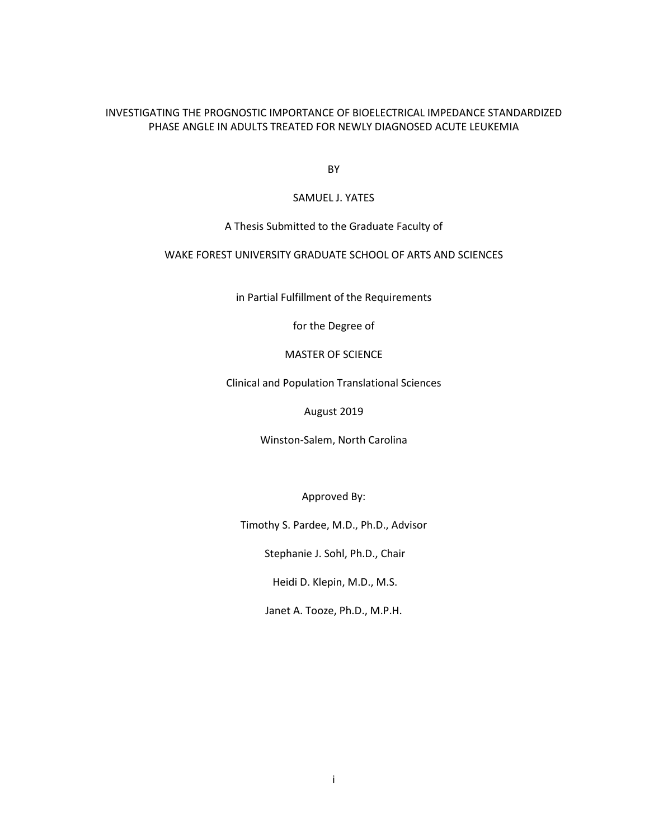# INVESTIGATING THE PROGNOSTIC IMPORTANCE OF BIOELECTRICAL IMPEDANCE STANDARDIZED PHASE ANGLE IN ADULTS TREATED FOR NEWLY DIAGNOSED ACUTE LEUKEMIA

BY

# SAMUEL J. YATES

# A Thesis Submitted to the Graduate Faculty of

# WAKE FOREST UNIVERSITY GRADUATE SCHOOL OF ARTS AND SCIENCES

in Partial Fulfillment of the Requirements

for the Degree of

MASTER OF SCIENCE

Clinical and Population Translational Sciences

August 2019

Winston-Salem, North Carolina

Approved By:

Timothy S. Pardee, M.D., Ph.D., Advisor

Stephanie J. Sohl, Ph.D., Chair

Heidi D. Klepin, M.D., M.S.

Janet A. Tooze, Ph.D., M.P.H.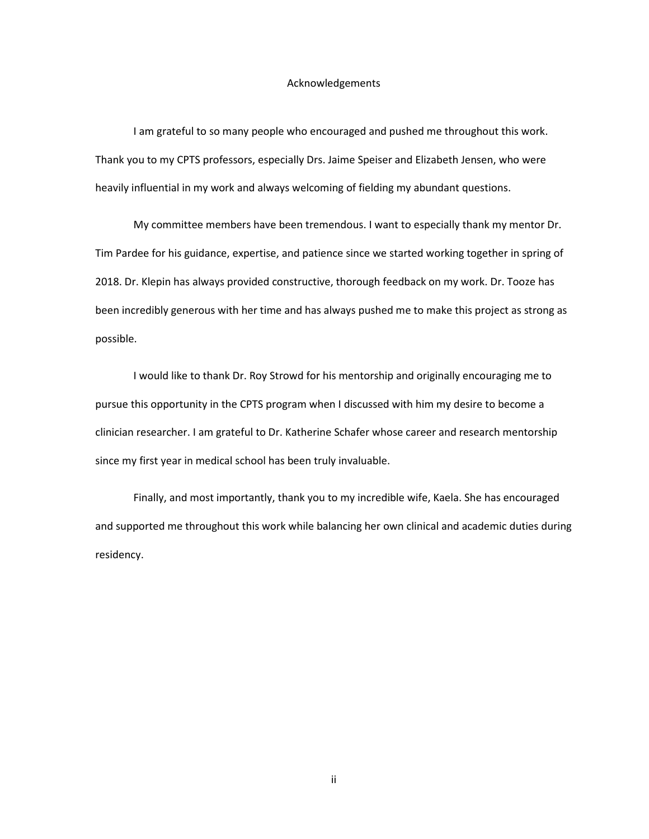### Acknowledgements

I am grateful to so many people who encouraged and pushed me throughout this work. Thank you to my CPTS professors, especially Drs. Jaime Speiser and Elizabeth Jensen, who were heavily influential in my work and always welcoming of fielding my abundant questions.

My committee members have been tremendous. I want to especially thank my mentor Dr. Tim Pardee for his guidance, expertise, and patience since we started working together in spring of 2018. Dr. Klepin has always provided constructive, thorough feedback on my work. Dr. Tooze has been incredibly generous with her time and has always pushed me to make this project as strong as possible.

I would like to thank Dr. Roy Strowd for his mentorship and originally encouraging me to pursue this opportunity in the CPTS program when I discussed with him my desire to become a clinician researcher. I am grateful to Dr. Katherine Schafer whose career and research mentorship since my first year in medical school has been truly invaluable.

Finally, and most importantly, thank you to my incredible wife, Kaela. She has encouraged and supported me throughout this work while balancing her own clinical and academic duties during residency.

ii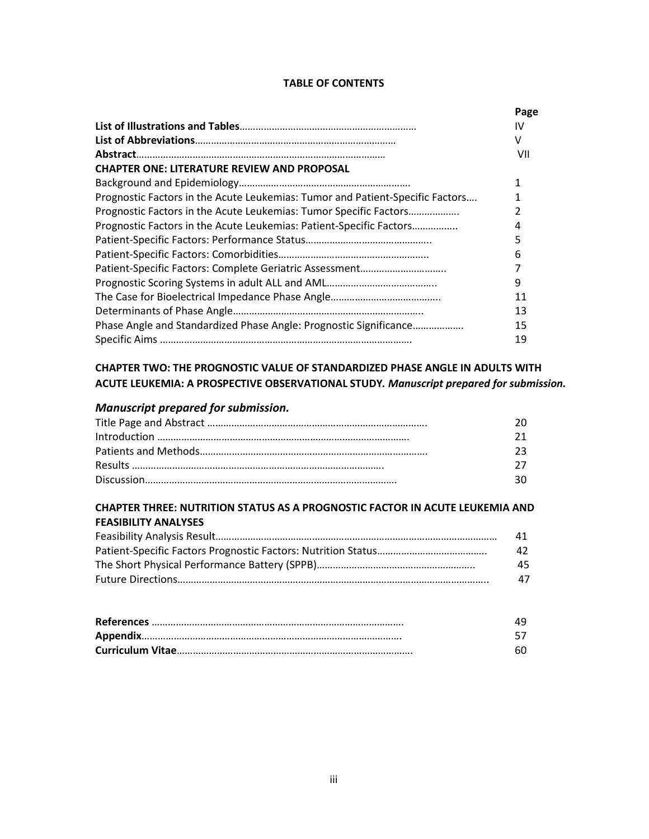# **TABLE OF CONTENTS**

|                                                                               | Page |
|-------------------------------------------------------------------------------|------|
|                                                                               | IV   |
|                                                                               | v    |
|                                                                               | VII  |
| <b>CHAPTER ONE: LITERATURE REVIEW AND PROPOSAL</b>                            |      |
|                                                                               | 1    |
| Prognostic Factors in the Acute Leukemias: Tumor and Patient-Specific Factors |      |
| Prognostic Factors in the Acute Leukemias: Tumor Specific Factors             | 2    |
| Prognostic Factors in the Acute Leukemias: Patient-Specific Factors           | 4    |
|                                                                               |      |
|                                                                               | 6    |
|                                                                               |      |
|                                                                               | 9    |
|                                                                               | 11   |
|                                                                               | 13   |
| Phase Angle and Standardized Phase Angle: Prognostic Significance             | 15   |
|                                                                               | 19   |

# **CHAPTER TWO: THE PROGNOSTIC VALUE OF STANDARDIZED PHASE ANGLE IN ADULTS WITH ACUTE LEUKEMIA: A PROSPECTIVE OBSERVATIONAL STUDY***. Manuscript prepared for submission.*

# *Manuscript prepared for submission.*

| ንበ  |
|-----|
| 21  |
| つっ  |
| 27. |
| 30. |

# **CHAPTER THREE: NUTRITION STATUS AS A PROGNOSTIC FACTOR IN ACUTE LEUKEMIA AND FEASIBILITY ANALYSES**

| 41  |
|-----|
| 42. |
| 45. |
| 47  |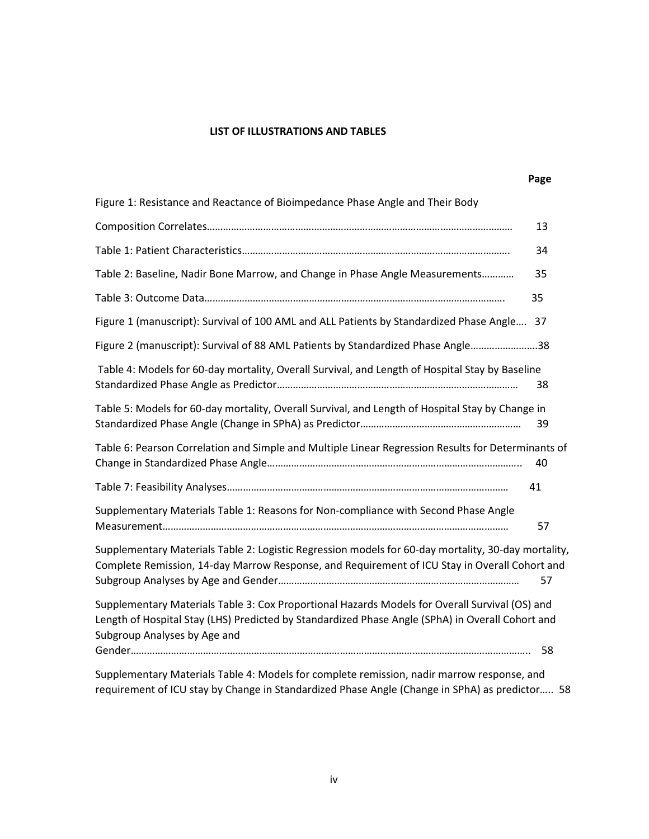# **LIST OF ILLUSTRATIONS AND TABLES**

|                                                                                                                                                                                                                                    | Page |
|------------------------------------------------------------------------------------------------------------------------------------------------------------------------------------------------------------------------------------|------|
| Figure 1: Resistance and Reactance of Bioimpedance Phase Angle and Their Body                                                                                                                                                      |      |
|                                                                                                                                                                                                                                    | 13   |
|                                                                                                                                                                                                                                    | 34   |
| Table 2: Baseline, Nadir Bone Marrow, and Change in Phase Angle Measurements                                                                                                                                                       | 35   |
|                                                                                                                                                                                                                                    | 35   |
| Figure 1 (manuscript): Survival of 100 AML and ALL Patients by Standardized Phase Angle                                                                                                                                            | 37   |
| Figure 2 (manuscript): Survival of 88 AML Patients by Standardized Phase Angle38                                                                                                                                                   |      |
| Table 4: Models for 60-day mortality, Overall Survival, and Length of Hospital Stay by Baseline                                                                                                                                    | 38   |
| Table 5: Models for 60-day mortality, Overall Survival, and Length of Hospital Stay by Change in                                                                                                                                   | 39   |
| Table 6: Pearson Correlation and Simple and Multiple Linear Regression Results for Determinants of                                                                                                                                 | 40   |
|                                                                                                                                                                                                                                    | 41   |
| Supplementary Materials Table 1: Reasons for Non-compliance with Second Phase Angle                                                                                                                                                | 57   |
| Supplementary Materials Table 2: Logistic Regression models for 60-day mortality, 30-day mortality,<br>Complete Remission, 14-day Marrow Response, and Requirement of ICU Stay in Overall Cohort and                               | 57   |
| Supplementary Materials Table 3: Cox Proportional Hazards Models for Overall Survival (OS) and<br>Length of Hospital Stay (LHS) Predicted by Standardized Phase Angle (SPhA) in Overall Cohort and<br>Subgroup Analyses by Age and |      |
|                                                                                                                                                                                                                                    | 58   |
| Supplementary Materials Table 4: Models for complete remission, nadir marrow response, and<br>requirement of ICU stay by Change in Standardized Phase Angle (Change in SPhA) as predictor 58                                       |      |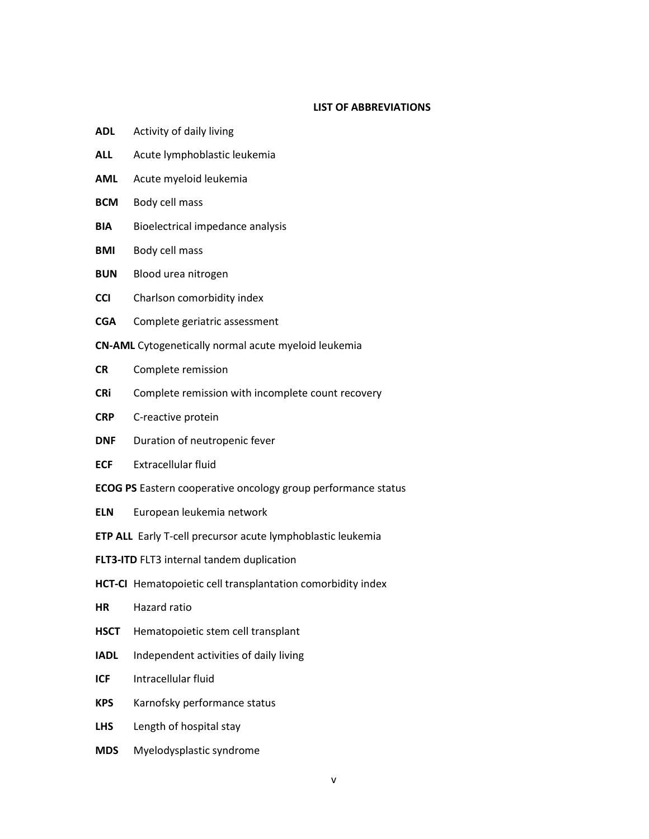# **LIST OF ABBREVIATIONS**

- **ADL** Activity of daily living
- **ALL** Acute lymphoblastic leukemia
- **AML** Acute myeloid leukemia
- **BCM** Body cell mass
- **BIA** Bioelectrical impedance analysis
- **BMI** Body cell mass
- **BUN** Blood urea nitrogen
- **CCI** Charlson comorbidity index
- **CGA** Complete geriatric assessment

**CN-AML** Cytogenetically normal acute myeloid leukemia

- **CR** Complete remission
- **CRi** Complete remission with incomplete count recovery
- **CRP** C-reactive protein
- **DNF** Duration of neutropenic fever
- **ECF** Extracellular fluid
- **ECOG PS** Eastern cooperative oncology group performance status
- **ELN** European leukemia network
- **ETP ALL** Early T-cell precursor acute lymphoblastic leukemia
- **FLT3-ITD** FLT3 internal tandem duplication
- **HCT-CI** Hematopoietic cell transplantation comorbidity index
- **HR** Hazard ratio
- **HSCT** Hematopoietic stem cell transplant
- **IADL** Independent activities of daily living
- **ICF** Intracellular fluid
- **KPS** Karnofsky performance status
- **LHS** Length of hospital stay
- **MDS** Myelodysplastic syndrome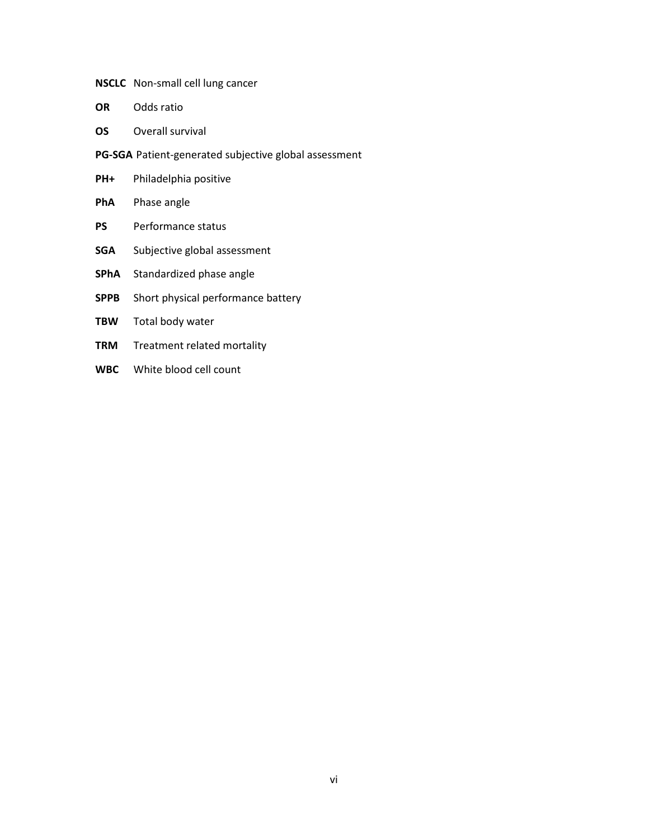# **NSCLC** Non-small cell lung cancer

- **OR** Odds ratio
- **OS** Overall survival

**PG-SGA** Patient-generated subjective global assessment

- **PH+** Philadelphia positive
- **PhA** Phase angle
- **PS** Performance status
- **SGA** Subjective global assessment
- **SPhA** Standardized phase angle
- **SPPB** Short physical performance battery
- **TBW** Total body water
- **TRM** Treatment related mortality
- **WBC** White blood cell count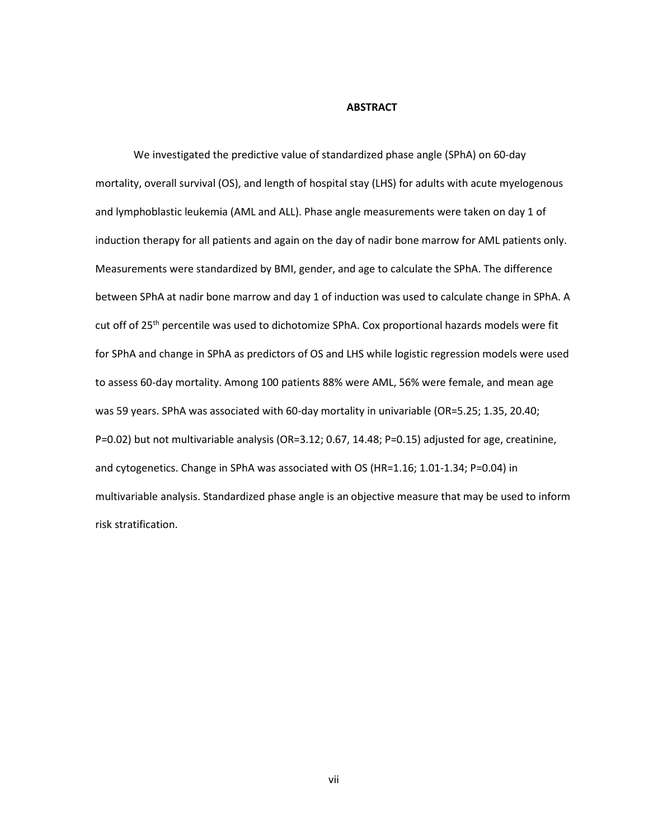### **ABSTRACT**

We investigated the predictive value of standardized phase angle (SPhA) on 60-day mortality, overall survival (OS), and length of hospital stay (LHS) for adults with acute myelogenous and lymphoblastic leukemia (AML and ALL). Phase angle measurements were taken on day 1 of induction therapy for all patients and again on the day of nadir bone marrow for AML patients only. Measurements were standardized by BMI, gender, and age to calculate the SPhA. The difference between SPhA at nadir bone marrow and day 1 of induction was used to calculate change in SPhA. A cut off of 25<sup>th</sup> percentile was used to dichotomize SPhA. Cox proportional hazards models were fit for SPhA and change in SPhA as predictors of OS and LHS while logistic regression models were used to assess 60-day mortality. Among 100 patients 88% were AML, 56% were female, and mean age was 59 years. SPhA was associated with 60-day mortality in univariable (OR=5.25; 1.35, 20.40; P=0.02) but not multivariable analysis (OR=3.12; 0.67, 14.48; P=0.15) adjusted for age, creatinine, and cytogenetics. Change in SPhA was associated with OS (HR=1.16; 1.01-1.34; P=0.04) in multivariable analysis. Standardized phase angle is an objective measure that may be used to inform risk stratification.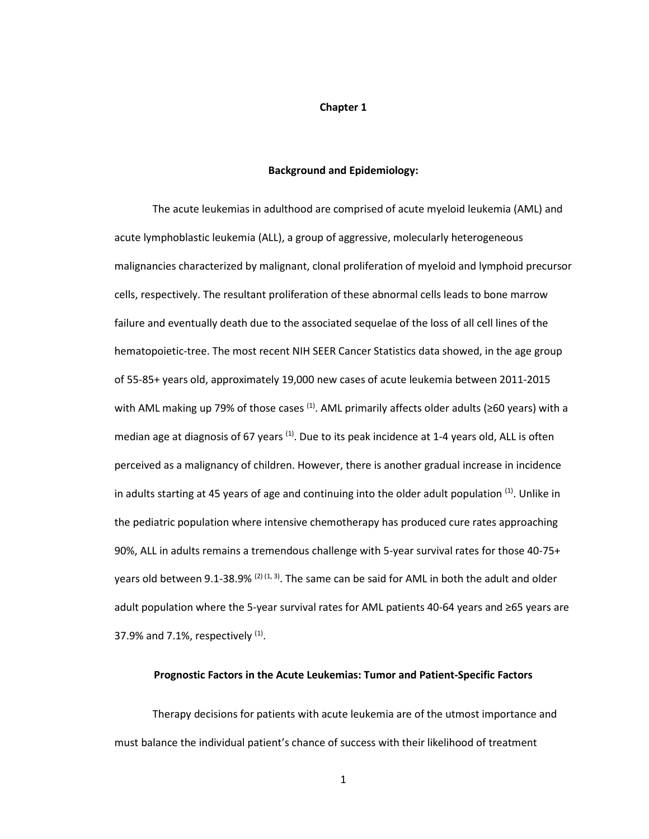### **Chapter 1**

### **Background and Epidemiology:**

The acute leukemias in adulthood are comprised of acute myeloid leukemia (AML) and acute lymphoblastic leukemia (ALL), a group of aggressive, molecularly heterogeneous malignancies characterized by malignant, clonal proliferation of myeloid and lymphoid precursor cells, respectively. The resultant proliferation of these abnormal cells leads to bone marrow failure and eventually death due to the associated sequelae of the loss of all cell lines of the hematopoietic-tree. The most recent NIH SEER Cancer Statistics data showed, in the age group of 55-85+ years old, approximately 19,000 new cases of acute leukemia between 2011-2015 with AML making up 79% of those cases  $^{(1)}$ . AML primarily affects older adults (≥60 years) with a median age at diagnosis of 67 years  $^{(1)}$ . Due to its peak incidence at 1-4 years old, ALL is often perceived as a malignancy of children. However, there is another gradual increase in incidence in adults starting at 45 years of age and continuing into the older adult population  $<sup>(1)</sup>$ . Unlike in</sup> the pediatric population where intensive chemotherapy has produced cure rates approaching 90%, ALL in adults remains a tremendous challenge with 5-year survival rates for those 40-75+ years old between 9.1-38.9%  $(2)$   $(1, 3)$ . The same can be said for AML in both the adult and older adult population where the 5-year survival rates for AML patients 40-64 years and ≥65 years are 37.9% and 7.1%, respectively  $(1)$ .

## **Prognostic Factors in the Acute Leukemias: Tumor and Patient-Specific Factors**

Therapy decisions for patients with acute leukemia are of the utmost importance and must balance the individual patient's chance of success with their likelihood of treatment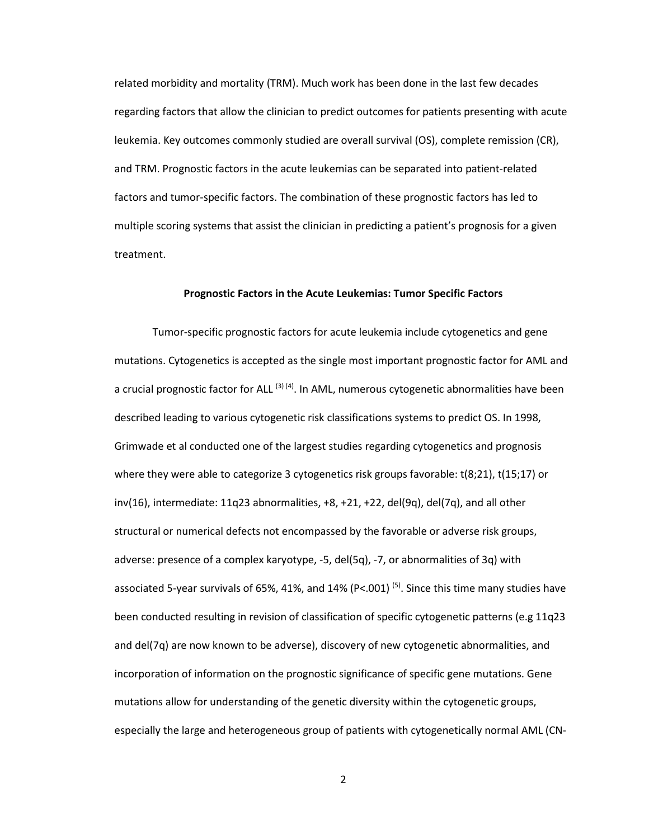related morbidity and mortality (TRM). Much work has been done in the last few decades regarding factors that allow the clinician to predict outcomes for patients presenting with acute leukemia. Key outcomes commonly studied are overall survival (OS), complete remission (CR), and TRM. Prognostic factors in the acute leukemias can be separated into patient-related factors and tumor-specific factors. The combination of these prognostic factors has led to multiple scoring systems that assist the clinician in predicting a patient's prognosis for a given treatment.

### **Prognostic Factors in the Acute Leukemias: Tumor Specific Factors**

 Tumor-specific prognostic factors for acute leukemia include cytogenetics and gene mutations. Cytogenetics is accepted as the single most important prognostic factor for AML and a crucial prognostic factor for ALL<sup>(3)(4)</sup>. In AML, numerous cytogenetic abnormalities have been described leading to various cytogenetic risk classifications systems to predict OS. In 1998, Grimwade et al conducted one of the largest studies regarding cytogenetics and prognosis where they were able to categorize 3 cytogenetics risk groups favorable: t(8;21), t(15;17) or  $inv(16)$ , intermediate: 11q23 abnormalities,  $+8$ ,  $+21$ ,  $+22$ , del(9q), del(7q), and all other structural or numerical defects not encompassed by the favorable or adverse risk groups, adverse: presence of a complex karyotype, -5, del(5q), -7, or abnormalities of 3q) with associated 5-year survivals of 65%, 41%, and 14% (P<.001)<sup>(5)</sup>. Since this time many studies have been conducted resulting in revision of classification of specific cytogenetic patterns (e.g 11q23 and del(7q) are now known to be adverse), discovery of new cytogenetic abnormalities, and incorporation of information on the prognostic significance of specific gene mutations. Gene mutations allow for understanding of the genetic diversity within the cytogenetic groups, especially the large and heterogeneous group of patients with cytogenetically normal AML (CN-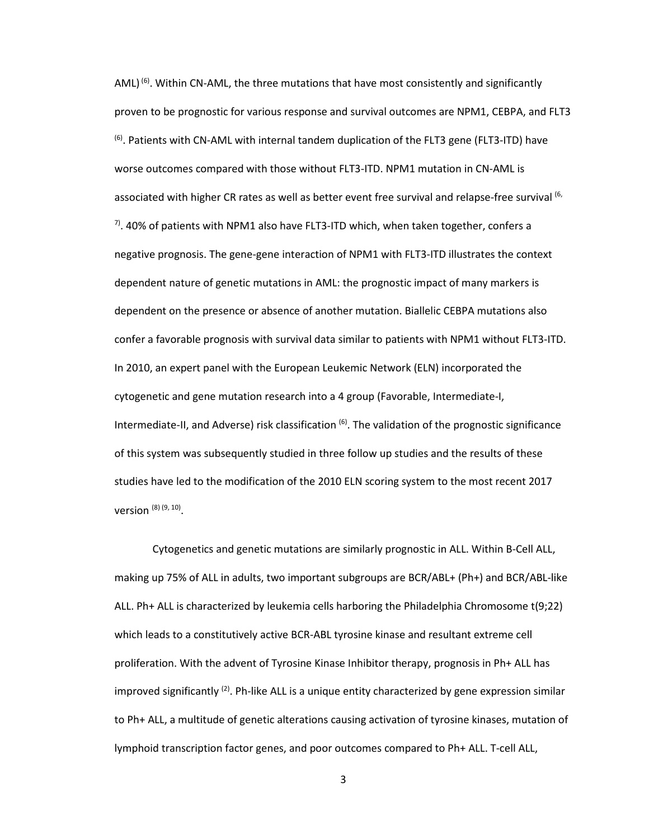$AML$ <sup>(6)</sup>. Within CN-AML, the three mutations that have most consistently and significantly proven to be prognostic for various response and survival outcomes are NPM1, CEBPA, and FLT3  $<sup>(6)</sup>$ . Patients with CN-AML with internal tandem duplication of the FLT3 gene (FLT3-ITD) have</sup> worse outcomes compared with those without FLT3-ITD. NPM1 mutation in CN-AML is associated with higher CR rates as well as better event free survival and relapse-free survival (6,  $^{7}$ . 40% of patients with NPM1 also have FLT3-ITD which, when taken together, confers a negative prognosis. The gene-gene interaction of NPM1 with FLT3-ITD illustrates the context dependent nature of genetic mutations in AML: the prognostic impact of many markers is dependent on the presence or absence of another mutation. Biallelic CEBPA mutations also confer a favorable prognosis with survival data similar to patients with NPM1 without FLT3-ITD. In 2010, an expert panel with the European Leukemic Network (ELN) incorporated the cytogenetic and gene mutation research into a 4 group (Favorable, Intermediate-I, Intermediate-II, and Adverse) risk classification  $^{(6)}$ . The validation of the prognostic significance of this system was subsequently studied in three follow up studies and the results of these studies have led to the modification of the 2010 ELN scoring system to the most recent 2017 version <sup>(8) (9, 10)</sup>.

Cytogenetics and genetic mutations are similarly prognostic in ALL. Within B-Cell ALL, making up 75% of ALL in adults, two important subgroups are BCR/ABL+ (Ph+) and BCR/ABL-like ALL. Ph+ ALL is characterized by leukemia cells harboring the Philadelphia Chromosome t(9;22) which leads to a constitutively active BCR-ABL tyrosine kinase and resultant extreme cell proliferation. With the advent of Tyrosine Kinase Inhibitor therapy, prognosis in Ph+ ALL has improved significantly  $(2)$ . Ph-like ALL is a unique entity characterized by gene expression similar to Ph+ ALL, a multitude of genetic alterations causing activation of tyrosine kinases, mutation of lymphoid transcription factor genes, and poor outcomes compared to Ph+ ALL. T-cell ALL,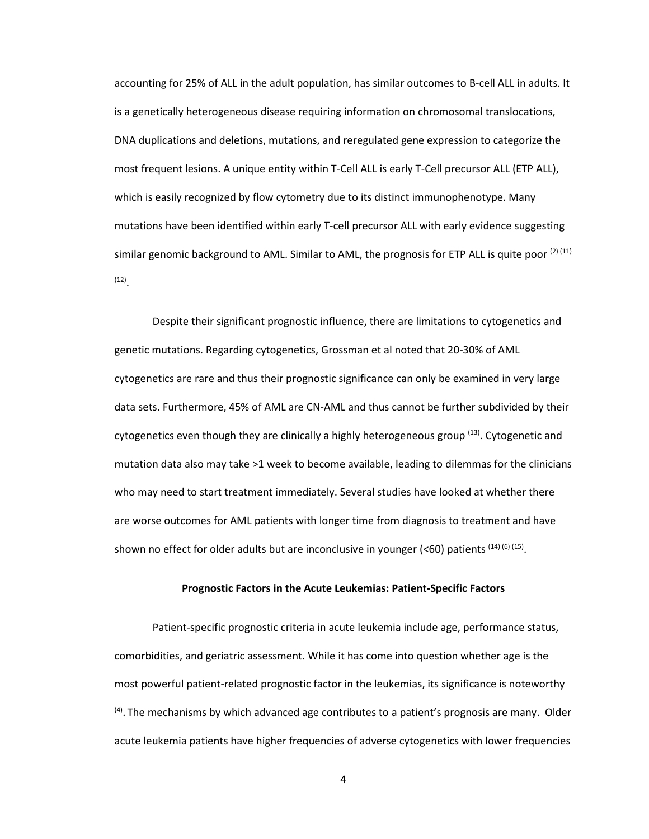accounting for 25% of ALL in the adult population, has similar outcomes to B-cell ALL in adults. It is a genetically heterogeneous disease requiring information on chromosomal translocations, DNA duplications and deletions, mutations, and reregulated gene expression to categorize the most frequent lesions. A unique entity within T-Cell ALL is early T-Cell precursor ALL (ETP ALL), which is easily recognized by flow cytometry due to its distinct immunophenotype. Many mutations have been identified within early T-cell precursor ALL with early evidence suggesting similar genomic background to AML. Similar to AML, the prognosis for ETP ALL is quite poor  $(2)(11)$ (12) .

 Despite their significant prognostic influence, there are limitations to cytogenetics and genetic mutations. Regarding cytogenetics, Grossman et al noted that 20-30% of AML cytogenetics are rare and thus their prognostic significance can only be examined in very large data sets. Furthermore, 45% of AML are CN-AML and thus cannot be further subdivided by their cytogenetics even though they are clinically a highly heterogeneous group <sup>(13)</sup>. Cytogenetic and mutation data also may take >1 week to become available, leading to dilemmas for the clinicians who may need to start treatment immediately. Several studies have looked at whether there are worse outcomes for AML patients with longer time from diagnosis to treatment and have shown no effect for older adults but are inconclusive in younger (<60) patients  $(14)$  (6)  $(15)$ .

# **Prognostic Factors in the Acute Leukemias: Patient-Specific Factors**

 Patient-specific prognostic criteria in acute leukemia include age, performance status, comorbidities, and geriatric assessment. While it has come into question whether age is the most powerful patient-related prognostic factor in the leukemias, its significance is noteworthy  $<sup>(4)</sup>$ . The mechanisms by which advanced age contributes to a patient's prognosis are many. Older</sup> acute leukemia patients have higher frequencies of adverse cytogenetics with lower frequencies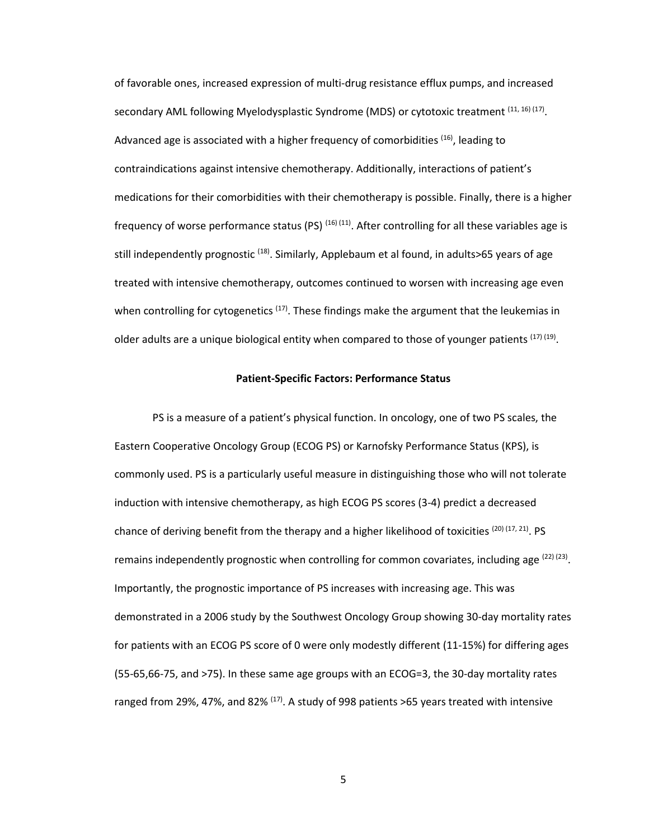of favorable ones, increased expression of multi-drug resistance efflux pumps, and increased secondary AML following Myelodysplastic Syndrome (MDS) or cytotoxic treatment <sup>(11, 16) (17)</sup>. Advanced age is associated with a higher frequency of comorbidities  $(16)$ , leading to contraindications against intensive chemotherapy. Additionally, interactions of patient's medications for their comorbidities with their chemotherapy is possible. Finally, there is a higher frequency of worse performance status (PS)  $^{(16)(11)}$ . After controlling for all these variables age is still independently prognostic <sup>(18)</sup>. Similarly, Applebaum et al found, in adults>65 years of age treated with intensive chemotherapy, outcomes continued to worsen with increasing age even when controlling for cytogenetics  $(17)$ . These findings make the argument that the leukemias in older adults are a unique biological entity when compared to those of younger patients  $^{(17)(19)}$ .

## **Patient-Specific Factors: Performance Status**

 PS is a measure of a patient's physical function. In oncology, one of two PS scales, the Eastern Cooperative Oncology Group (ECOG PS) or Karnofsky Performance Status (KPS), is commonly used. PS is a particularly useful measure in distinguishing those who will not tolerate induction with intensive chemotherapy, as high ECOG PS scores (3-4) predict a decreased chance of deriving benefit from the therapy and a higher likelihood of toxicities  $(20)$   $(17, 21)$ . PS remains independently prognostic when controlling for common covariates, including age  $(22)(23)$ . Importantly, the prognostic importance of PS increases with increasing age. This was demonstrated in a 2006 study by the Southwest Oncology Group showing 30-day mortality rates for patients with an ECOG PS score of 0 were only modestly different (11-15%) for differing ages (55-65,66-75, and >75). In these same age groups with an ECOG=3, the 30-day mortality rates ranged from 29%, 47%, and 82%  $(17)$ . A study of 998 patients >65 years treated with intensive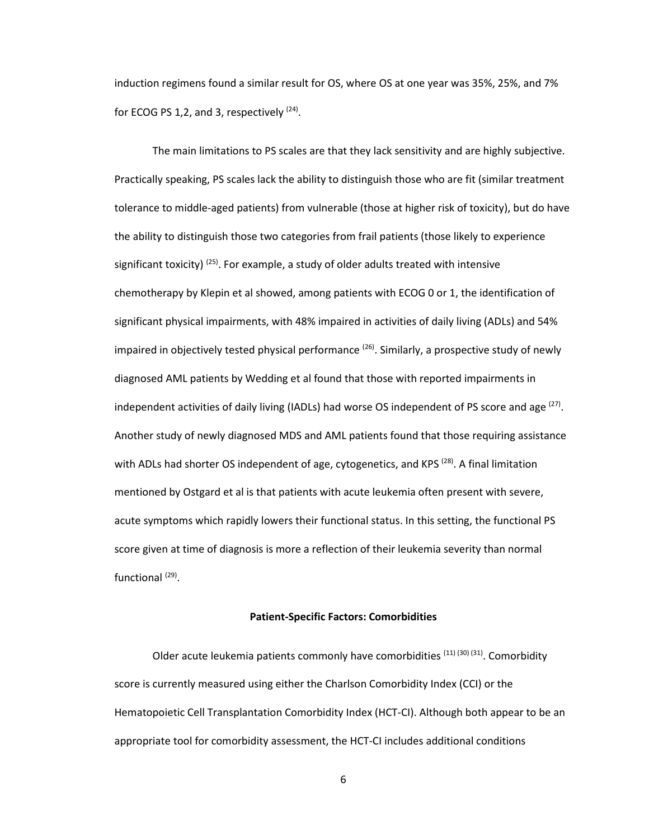induction regimens found a similar result for OS, where OS at one year was 35%, 25%, and 7% for ECOG PS 1,2, and 3, respectively  $(24)$ .

 The main limitations to PS scales are that they lack sensitivity and are highly subjective. Practically speaking, PS scales lack the ability to distinguish those who are fit (similar treatment tolerance to middle-aged patients) from vulnerable (those at higher risk of toxicity), but do have the ability to distinguish those two categories from frail patients (those likely to experience significant toxicity)  $^{(25)}$ . For example, a study of older adults treated with intensive chemotherapy by Klepin et al showed, among patients with ECOG 0 or 1, the identification of significant physical impairments, with 48% impaired in activities of daily living (ADLs) and 54% impaired in objectively tested physical performance  $(26)$ . Similarly, a prospective study of newly diagnosed AML patients by Wedding et al found that those with reported impairments in independent activities of daily living (IADLs) had worse OS independent of PS score and age  $^{(27)}$ . Another study of newly diagnosed MDS and AML patients found that those requiring assistance with ADLs had shorter OS independent of age, cytogenetics, and KPS<sup>(28)</sup>. A final limitation mentioned by Ostgard et al is that patients with acute leukemia often present with severe, acute symptoms which rapidly lowers their functional status. In this setting, the functional PS score given at time of diagnosis is more a reflection of their leukemia severity than normal functional (29).

### **Patient-Specific Factors: Comorbidities**

Older acute leukemia patients commonly have comorbidities  $(11)$   $(30)$   $(31)$ . Comorbidity score is currently measured using either the Charlson Comorbidity Index (CCI) or the Hematopoietic Cell Transplantation Comorbidity Index (HCT-CI). Although both appear to be an appropriate tool for comorbidity assessment, the HCT-CI includes additional conditions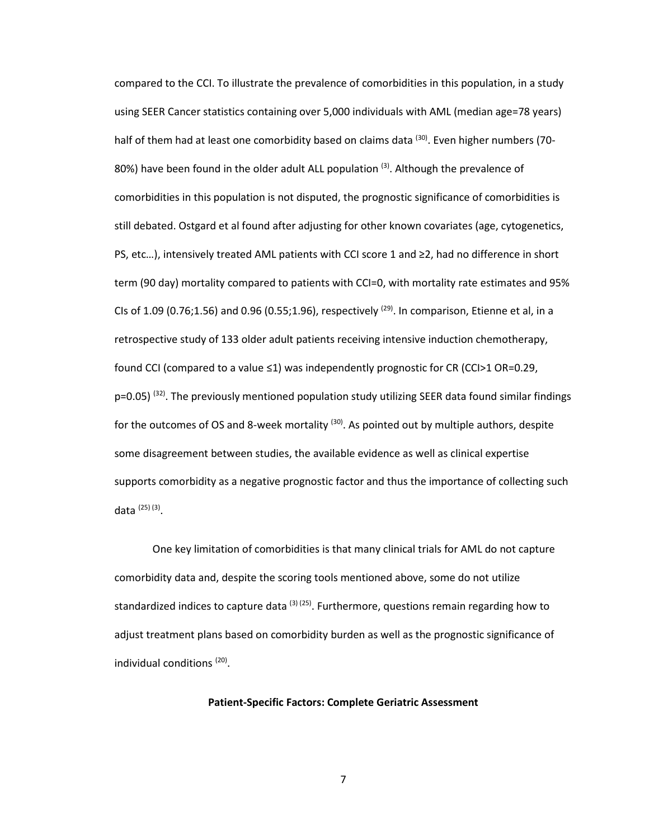compared to the CCI. To illustrate the prevalence of comorbidities in this population, in a study using SEER Cancer statistics containing over 5,000 individuals with AML (median age=78 years) half of them had at least one comorbidity based on claims data <sup>(30)</sup>. Even higher numbers (70-80%) have been found in the older adult ALL population<sup>(3)</sup>. Although the prevalence of comorbidities in this population is not disputed, the prognostic significance of comorbidities is still debated. Ostgard et al found after adjusting for other known covariates (age, cytogenetics, PS, etc…), intensively treated AML patients with CCI score 1 and ≥2, had no difference in short term (90 day) mortality compared to patients with CCI=0, with mortality rate estimates and 95% CIs of 1.09 (0.76;1.56) and 0.96 (0.55;1.96), respectively  $^{(29)}$ . In comparison, Etienne et al, in a retrospective study of 133 older adult patients receiving intensive induction chemotherapy, found CCI (compared to a value ≤1) was independently prognostic for CR (CCI>1 OR=0.29,  $p=0.05$ ) (32). The previously mentioned population study utilizing SEER data found similar findings for the outcomes of OS and 8-week mortality  $(30)$ . As pointed out by multiple authors, despite some disagreement between studies, the available evidence as well as clinical expertise supports comorbidity as a negative prognostic factor and thus the importance of collecting such data <sup>(25) (3)</sup>.

 One key limitation of comorbidities is that many clinical trials for AML do not capture comorbidity data and, despite the scoring tools mentioned above, some do not utilize standardized indices to capture data  $(3)$  (25). Furthermore, questions remain regarding how to adjust treatment plans based on comorbidity burden as well as the prognostic significance of individual conditions<sup>(20)</sup>.

### **Patient-Specific Factors: Complete Geriatric Assessment**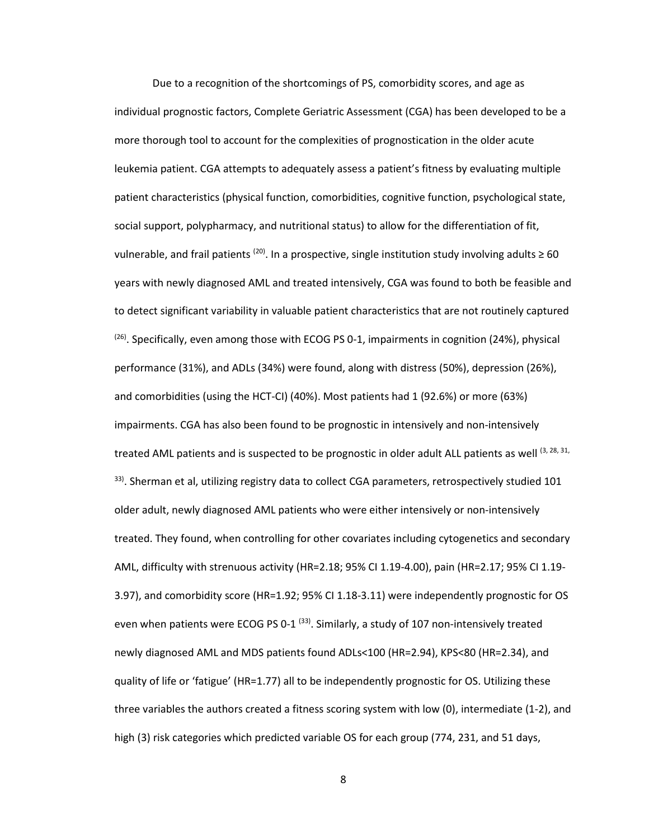Due to a recognition of the shortcomings of PS, comorbidity scores, and age as individual prognostic factors, Complete Geriatric Assessment (CGA) has been developed to be a more thorough tool to account for the complexities of prognostication in the older acute leukemia patient. CGA attempts to adequately assess a patient's fitness by evaluating multiple patient characteristics (physical function, comorbidities, cognitive function, psychological state, social support, polypharmacy, and nutritional status) to allow for the differentiation of fit, vulnerable, and frail patients <sup>(20)</sup>. In a prospective, single institution study involving adults  $\geq 60$ years with newly diagnosed AML and treated intensively, CGA was found to both be feasible and to detect significant variability in valuable patient characteristics that are not routinely captured  $(26)$ . Specifically, even among those with ECOG PS 0-1, impairments in cognition (24%), physical performance (31%), and ADLs (34%) were found, along with distress (50%), depression (26%), and comorbidities (using the HCT-CI) (40%). Most patients had 1 (92.6%) or more (63%) impairments. CGA has also been found to be prognostic in intensively and non-intensively treated AML patients and is suspected to be prognostic in older adult ALL patients as well (3, 28, 31,  $33$ ). Sherman et al, utilizing registry data to collect CGA parameters, retrospectively studied 101 older adult, newly diagnosed AML patients who were either intensively or non-intensively treated. They found, when controlling for other covariates including cytogenetics and secondary AML, difficulty with strenuous activity (HR=2.18; 95% CI 1.19-4.00), pain (HR=2.17; 95% CI 1.19- 3.97), and comorbidity score (HR=1.92; 95% CI 1.18-3.11) were independently prognostic for OS even when patients were ECOG PS 0-1 $^{(33)}$ . Similarly, a study of 107 non-intensively treated newly diagnosed AML and MDS patients found ADLs<100 (HR=2.94), KPS<80 (HR=2.34), and quality of life or 'fatigue' (HR=1.77) all to be independently prognostic for OS. Utilizing these three variables the authors created a fitness scoring system with low (0), intermediate (1-2), and high (3) risk categories which predicted variable OS for each group (774, 231, and 51 days,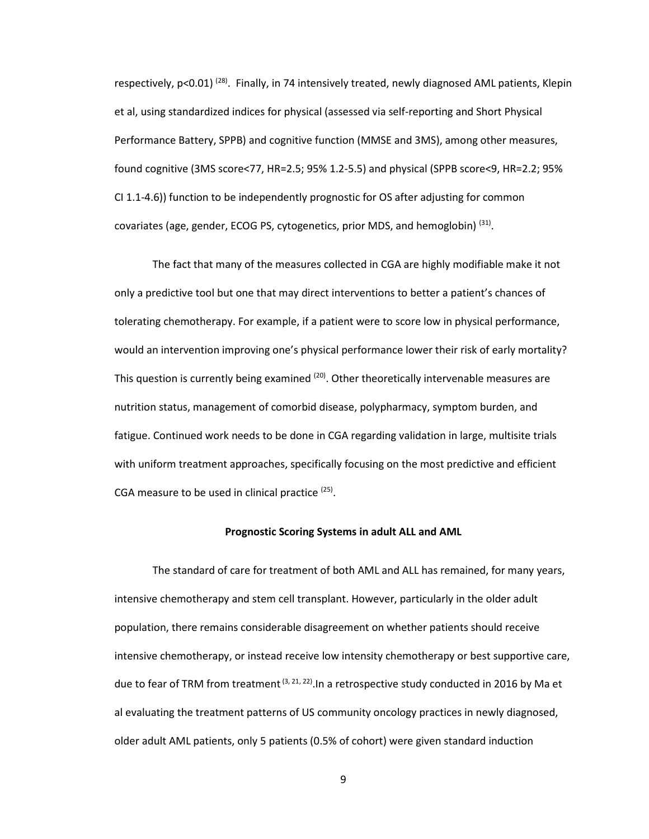respectively,  $p<0.01$ <sup>(28)</sup>. Finally, in 74 intensively treated, newly diagnosed AML patients, Klepin et al, using standardized indices for physical (assessed via self-reporting and Short Physical Performance Battery, SPPB) and cognitive function (MMSE and 3MS), among other measures, found cognitive (3MS score<77, HR=2.5; 95% 1.2-5.5) and physical (SPPB score<9, HR=2.2; 95% CI 1.1-4.6)) function to be independently prognostic for OS after adjusting for common covariates (age, gender, ECOG PS, cytogenetics, prior MDS, and hemoglobin)<sup>(31)</sup>.

 The fact that many of the measures collected in CGA are highly modifiable make it not only a predictive tool but one that may direct interventions to better a patient's chances of tolerating chemotherapy. For example, if a patient were to score low in physical performance, would an intervention improving one's physical performance lower their risk of early mortality? This question is currently being examined <sup>(20)</sup>. Other theoretically intervenable measures are nutrition status, management of comorbid disease, polypharmacy, symptom burden, and fatigue. Continued work needs to be done in CGA regarding validation in large, multisite trials with uniform treatment approaches, specifically focusing on the most predictive and efficient CGA measure to be used in clinical practice  $(25)$ .

### **Prognostic Scoring Systems in adult ALL and AML**

 The standard of care for treatment of both AML and ALL has remained, for many years, intensive chemotherapy and stem cell transplant. However, particularly in the older adult population, there remains considerable disagreement on whether patients should receive intensive chemotherapy, or instead receive low intensity chemotherapy or best supportive care, due to fear of TRM from treatment  $(3, 21, 22)$ . In a retrospective study conducted in 2016 by Ma et al evaluating the treatment patterns of US community oncology practices in newly diagnosed, older adult AML patients, only 5 patients (0.5% of cohort) were given standard induction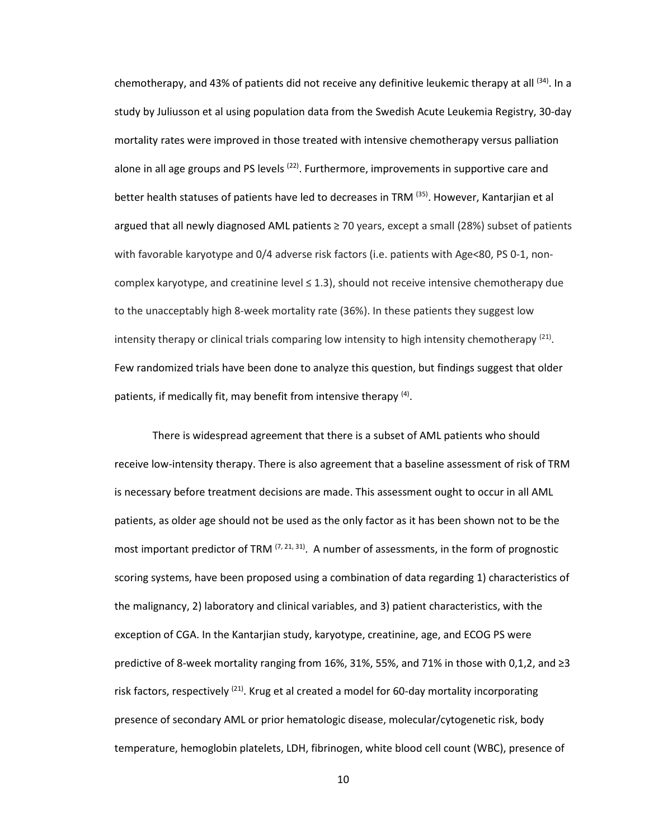chemotherapy, and 43% of patients did not receive any definitive leukemic therapy at all <sup>(34)</sup>. In a study by Juliusson et al using population data from the Swedish Acute Leukemia Registry, 30-day mortality rates were improved in those treated with intensive chemotherapy versus palliation alone in all age groups and PS levels  $(22)$ . Furthermore, improvements in supportive care and better health statuses of patients have led to decreases in TRM <sup>(35)</sup>. However, Kantarjian et al argued that all newly diagnosed AML patients  $\geq$  70 years, except a small (28%) subset of patients with favorable karyotype and 0/4 adverse risk factors (i.e. patients with Age<80, PS 0-1, noncomplex karyotype, and creatinine level  $\leq 1.3$ ), should not receive intensive chemotherapy due to the unacceptably high 8-week mortality rate (36%). In these patients they suggest low intensity therapy or clinical trials comparing low intensity to high intensity chemotherapy  $(21)$ . Few randomized trials have been done to analyze this question, but findings suggest that older patients, if medically fit, may benefit from intensive therapy <sup>(4)</sup>.

There is widespread agreement that there is a subset of AML patients who should receive low-intensity therapy. There is also agreement that a baseline assessment of risk of TRM is necessary before treatment decisions are made. This assessment ought to occur in all AML patients, as older age should not be used as the only factor as it has been shown not to be the most important predictor of TRM  $(7, 21, 31)$ . A number of assessments, in the form of prognostic scoring systems, have been proposed using a combination of data regarding 1) characteristics of the malignancy, 2) laboratory and clinical variables, and 3) patient characteristics, with the exception of CGA. In the Kantarjian study, karyotype, creatinine, age, and ECOG PS were predictive of 8-week mortality ranging from 16%, 31%, 55%, and 71% in those with 0,1,2, and ≥3 risk factors, respectively  $(21)$ . Krug et al created a model for 60-day mortality incorporating presence of secondary AML or prior hematologic disease, molecular/cytogenetic risk, body temperature, hemoglobin platelets, LDH, fibrinogen, white blood cell count (WBC), presence of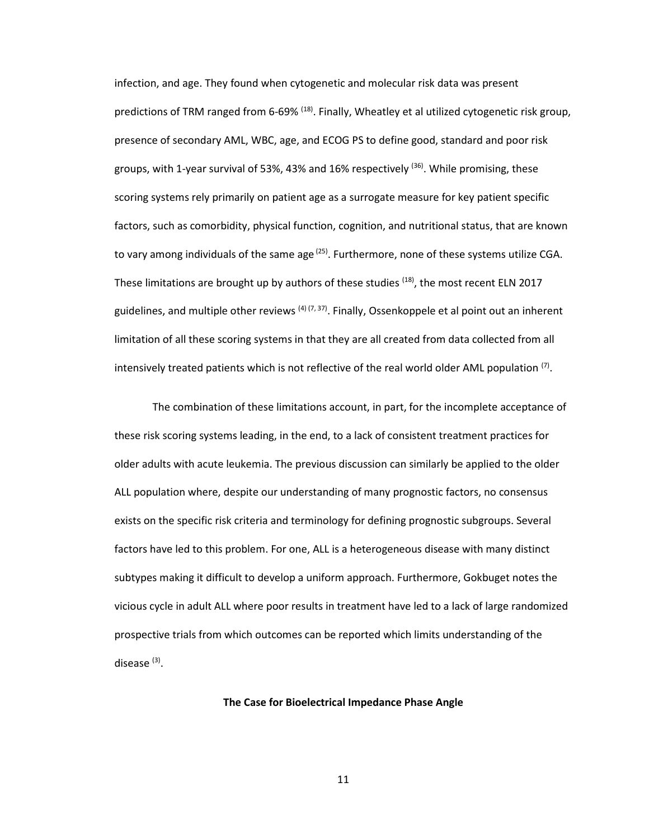infection, and age. They found when cytogenetic and molecular risk data was present predictions of TRM ranged from 6-69% <sup>(18)</sup>. Finally, Wheatley et al utilized cytogenetic risk group, presence of secondary AML, WBC, age, and ECOG PS to define good, standard and poor risk groups, with 1-year survival of 53%, 43% and 16% respectively <sup>(36)</sup>. While promising, these scoring systems rely primarily on patient age as a surrogate measure for key patient specific factors, such as comorbidity, physical function, cognition, and nutritional status, that are known to vary among individuals of the same age  $(25)$ . Furthermore, none of these systems utilize CGA. These limitations are brought up by authors of these studies  $(18)$ , the most recent ELN 2017 guidelines, and multiple other reviews <sup>(4) (7, 37)</sup>. Finally, Ossenkoppele et al point out an inherent limitation of all these scoring systems in that they are all created from data collected from all intensively treated patients which is not reflective of the real world older AML population  $(7)$ .

The combination of these limitations account, in part, for the incomplete acceptance of these risk scoring systems leading, in the end, to a lack of consistent treatment practices for older adults with acute leukemia. The previous discussion can similarly be applied to the older ALL population where, despite our understanding of many prognostic factors, no consensus exists on the specific risk criteria and terminology for defining prognostic subgroups. Several factors have led to this problem. For one, ALL is a heterogeneous disease with many distinct subtypes making it difficult to develop a uniform approach. Furthermore, Gokbuget notes the vicious cycle in adult ALL where poor results in treatment have led to a lack of large randomized prospective trials from which outcomes can be reported which limits understanding of the disease<sup>(3)</sup>.

## **The Case for Bioelectrical Impedance Phase Angle**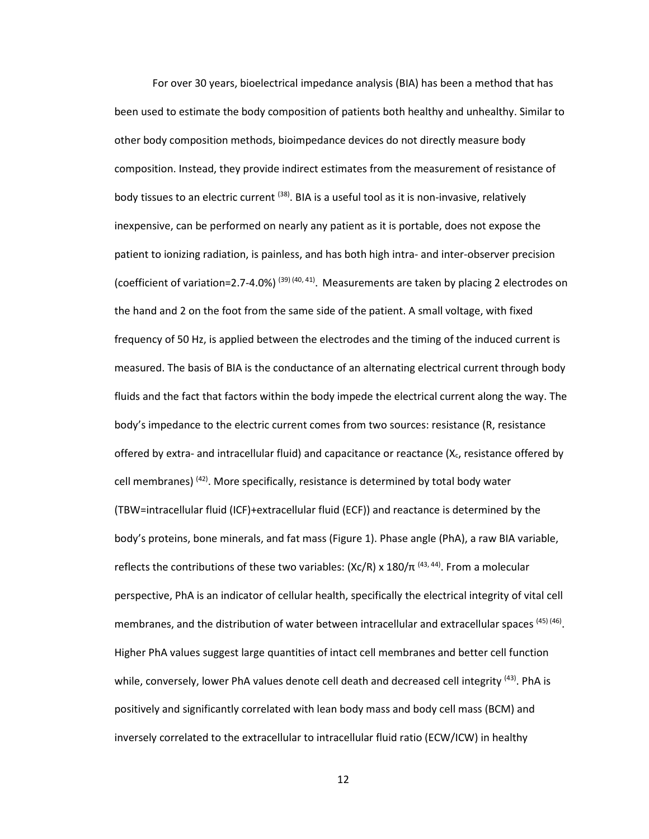For over 30 years, bioelectrical impedance analysis (BIA) has been a method that has been used to estimate the body composition of patients both healthy and unhealthy. Similar to other body composition methods, bioimpedance devices do not directly measure body composition. Instead, they provide indirect estimates from the measurement of resistance of body tissues to an electric current  $(38)$ . BIA is a useful tool as it is non-invasive, relatively inexpensive, can be performed on nearly any patient as it is portable, does not expose the patient to ionizing radiation, is painless, and has both high intra- and inter-observer precision (coefficient of variation=2.7-4.0%)  $^{(39)(40, 41)}$ . Measurements are taken by placing 2 electrodes on the hand and 2 on the foot from the same side of the patient. A small voltage, with fixed frequency of 50 Hz, is applied between the electrodes and the timing of the induced current is measured. The basis of BIA is the conductance of an alternating electrical current through body fluids and the fact that factors within the body impede the electrical current along the way. The body's impedance to the electric current comes from two sources: resistance (R, resistance offered by extra- and intracellular fluid) and capacitance or reactance  $(X_c)$ , resistance offered by cell membranes) (42). More specifically, resistance is determined by total body water (TBW=intracellular fluid (ICF)+extracellular fluid (ECF)) and reactance is determined by the body's proteins, bone minerals, and fat mass (Figure 1). Phase angle (PhA), a raw BIA variable, reflects the contributions of these two variables: (Xc/R) x 180/ $\pi$  <sup>(43, 44)</sup>. From a molecular perspective, PhA is an indicator of cellular health, specifically the electrical integrity of vital cell membranes, and the distribution of water between intracellular and extracellular spaces (45) (46). Higher PhA values suggest large quantities of intact cell membranes and better cell function while, conversely, lower PhA values denote cell death and decreased cell integrity <sup>(43)</sup>. PhA is positively and significantly correlated with lean body mass and body cell mass (BCM) and inversely correlated to the extracellular to intracellular fluid ratio (ECW/ICW) in healthy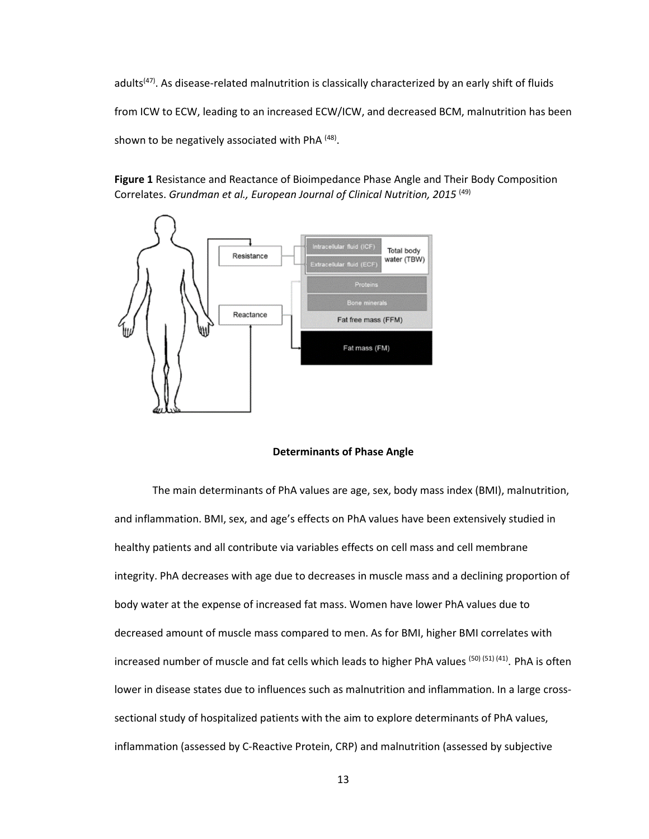adults<sup>(47)</sup>. As disease-related malnutrition is classically characterized by an early shift of fluids from ICW to ECW, leading to an increased ECW/ICW, and decreased BCM, malnutrition has been shown to be negatively associated with PhA<sup>(48)</sup>.

**Figure 1** Resistance and Reactance of Bioimpedance Phase Angle and Their Body Composition Correlates. *Grundman et al., European Journal of Clinical Nutrition, 2015* (49)



### **Determinants of Phase Angle**

The main determinants of PhA values are age, sex, body mass index (BMI), malnutrition, and inflammation. BMI, sex, and age's effects on PhA values have been extensively studied in healthy patients and all contribute via variables effects on cell mass and cell membrane integrity. PhA decreases with age due to decreases in muscle mass and a declining proportion of body water at the expense of increased fat mass. Women have lower PhA values due to decreased amount of muscle mass compared to men. As for BMI, higher BMI correlates with increased number of muscle and fat cells which leads to higher PhA values (50) (51) (41). PhA is often lower in disease states due to influences such as malnutrition and inflammation. In a large crosssectional study of hospitalized patients with the aim to explore determinants of PhA values, inflammation (assessed by C-Reactive Protein, CRP) and malnutrition (assessed by subjective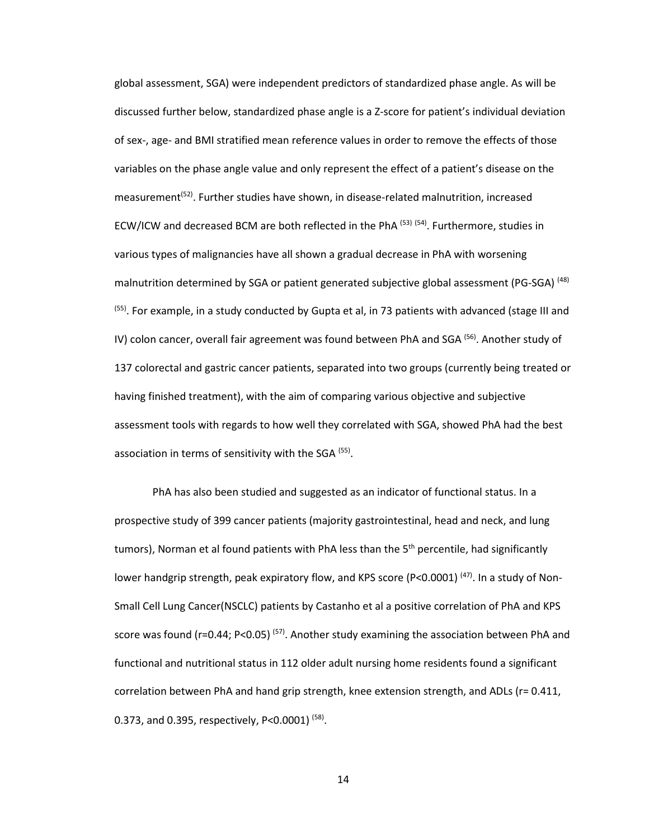global assessment, SGA) were independent predictors of standardized phase angle. As will be discussed further below, standardized phase angle is a Z-score for patient's individual deviation of sex-, age- and BMI stratified mean reference values in order to remove the effects of those variables on the phase angle value and only represent the effect of a patient's disease on the measurement<sup>(52)</sup>. Further studies have shown, in disease-related malnutrition, increased ECW/ICW and decreased BCM are both reflected in the PhA  $<sup>(53)</sup>$  (54). Furthermore, studies in</sup> various types of malignancies have all shown a gradual decrease in PhA with worsening malnutrition determined by SGA or patient generated subjective global assessment (PG-SGA)  $^{(48)}$  $<sup>(55)</sup>$ . For example, in a study conducted by Gupta et al, in 73 patients with advanced (stage III and</sup> IV) colon cancer, overall fair agreement was found between PhA and SGA  $<sup>(56)</sup>$ . Another study of</sup> 137 colorectal and gastric cancer patients, separated into two groups (currently being treated or having finished treatment), with the aim of comparing various objective and subjective assessment tools with regards to how well they correlated with SGA, showed PhA had the best association in terms of sensitivity with the SGA  $(55)$ .

PhA has also been studied and suggested as an indicator of functional status. In a prospective study of 399 cancer patients (majority gastrointestinal, head and neck, and lung tumors), Norman et al found patients with PhA less than the  $5<sup>th</sup>$  percentile, had significantly lower handgrip strength, peak expiratory flow, and KPS score (P<0.0001)  $^{(47)}$ . In a study of Non-Small Cell Lung Cancer(NSCLC) patients by Castanho et al a positive correlation of PhA and KPS score was found (r=0.44; P<0.05)<sup>(57)</sup>. Another study examining the association between PhA and functional and nutritional status in 112 older adult nursing home residents found a significant correlation between PhA and hand grip strength, knee extension strength, and ADLs (r= 0.411, 0.373, and 0.395, respectively, P<0.0001)  $(58)$ .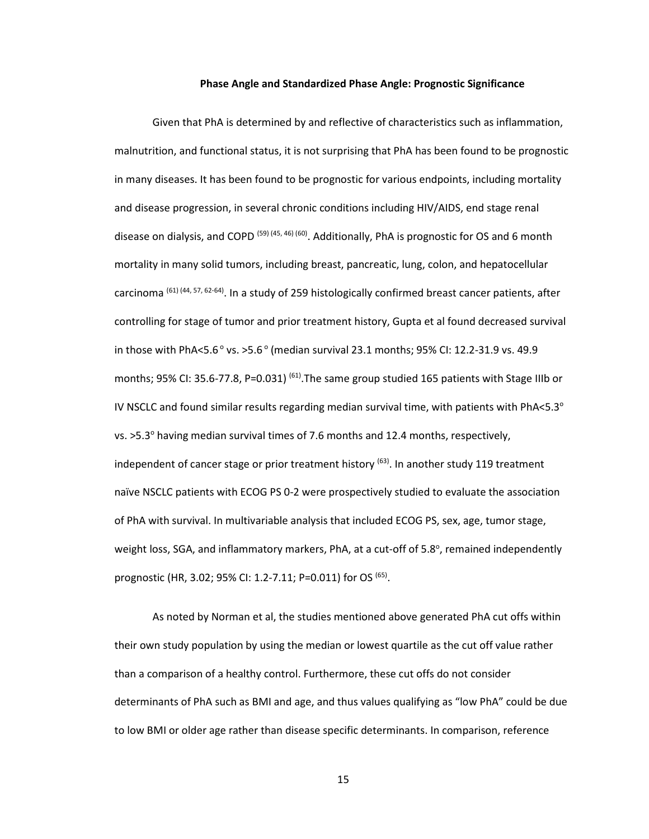#### **Phase Angle and Standardized Phase Angle: Prognostic Significance**

Given that PhA is determined by and reflective of characteristics such as inflammation, malnutrition, and functional status, it is not surprising that PhA has been found to be prognostic in many diseases. It has been found to be prognostic for various endpoints, including mortality and disease progression, in several chronic conditions including HIV/AIDS, end stage renal disease on dialysis, and COPD<sup>(59)(45, 46)(60)</sup>. Additionally, PhA is prognostic for OS and 6 month mortality in many solid tumors, including breast, pancreatic, lung, colon, and hepatocellular carcinoma (61) (44, 57, 62-64). In a study of 259 histologically confirmed breast cancer patients, after controlling for stage of tumor and prior treatment history, Gupta et al found decreased survival in those with PhA<5.6 $^{\circ}$  vs. >5.6 $^{\circ}$  (median survival 23.1 months; 95% CI: 12.2-31.9 vs. 49.9 months; 95% CI: 35.6-77.8, P=0.031)<sup>(61)</sup>. The same group studied 165 patients with Stage IIIb or IV NSCLC and found similar results regarding median survival time, with patients with PhA<5.3 $^{\circ}$ vs. >5.3<sup>°</sup> having median survival times of 7.6 months and 12.4 months, respectively, independent of cancer stage or prior treatment history  $(63)$ . In another study 119 treatment naïve NSCLC patients with ECOG PS 0-2 were prospectively studied to evaluate the association of PhA with survival. In multivariable analysis that included ECOG PS, sex, age, tumor stage, weight loss, SGA, and inflammatory markers, PhA, at a cut-off of 5.8°, remained independently prognostic (HR, 3.02; 95% CI: 1.2-7.11; P=0.011) for OS <sup>(65)</sup>.

As noted by Norman et al, the studies mentioned above generated PhA cut offs within their own study population by using the median or lowest quartile as the cut off value rather than a comparison of a healthy control. Furthermore, these cut offs do not consider determinants of PhA such as BMI and age, and thus values qualifying as "low PhA" could be due to low BMI or older age rather than disease specific determinants. In comparison, reference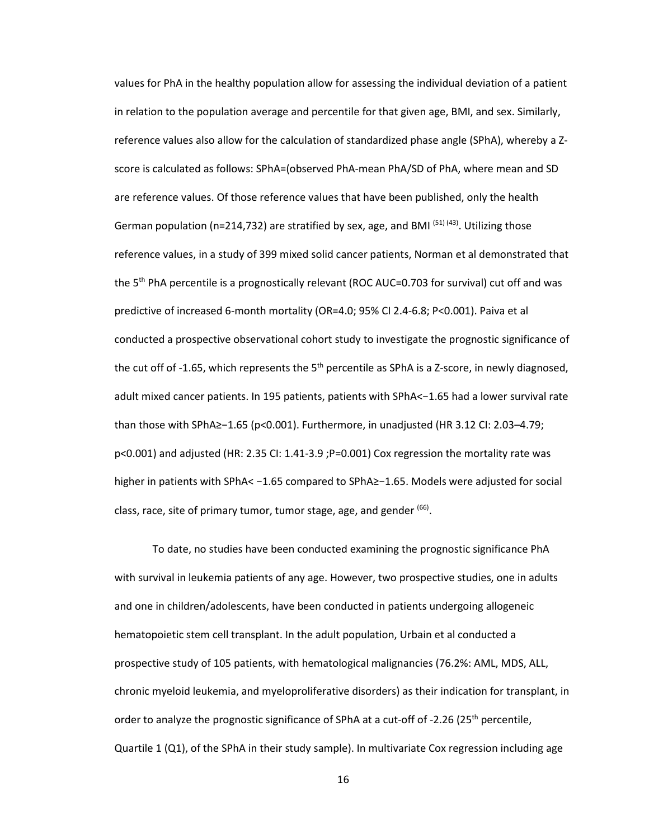values for PhA in the healthy population allow for assessing the individual deviation of a patient in relation to the population average and percentile for that given age, BMI, and sex. Similarly, reference values also allow for the calculation of standardized phase angle (SPhA), whereby a Zscore is calculated as follows: SPhA=(observed PhA-mean PhA/SD of PhA, where mean and SD are reference values. Of those reference values that have been published, only the health German population (n=214,732) are stratified by sex, age, and BMI  $(51)$  (43). Utilizing those reference values, in a study of 399 mixed solid cancer patients, Norman et al demonstrated that the 5<sup>th</sup> PhA percentile is a prognostically relevant (ROC AUC=0.703 for survival) cut off and was predictive of increased 6-month mortality (OR=4.0; 95% CI 2.4-6.8; P<0.001). Paiva et al conducted a prospective observational cohort study to investigate the prognostic significance of the cut off of -1.65, which represents the  $5<sup>th</sup>$  percentile as SPhA is a Z-score, in newly diagnosed, adult mixed cancer patients. In 195 patients, patients with SPhA<−1.65 had a lower survival rate than those with SPhA≥−1.65 (p<0.001). Furthermore, in unadjusted (HR 3.12 CI: 2.03–4.79; p<0.001) and adjusted (HR: 2.35 CI: 1.41-3.9 ;P=0.001) Cox regression the mortality rate was higher in patients with SPhA< −1.65 compared to SPhA≥−1.65. Models were adjusted for social class, race, site of primary tumor, tumor stage, age, and gender <sup>(66)</sup>.

To date, no studies have been conducted examining the prognostic significance PhA with survival in leukemia patients of any age. However, two prospective studies, one in adults and one in children/adolescents, have been conducted in patients undergoing allogeneic hematopoietic stem cell transplant. In the adult population, Urbain et al conducted a prospective study of 105 patients, with hematological malignancies (76.2%: AML, MDS, ALL, chronic myeloid leukemia, and myeloproliferative disorders) as their indication for transplant, in order to analyze the prognostic significance of SPhA at a cut-off of -2.26 (25<sup>th</sup> percentile, Quartile 1 (Q1), of the SPhA in their study sample). In multivariate Cox regression including age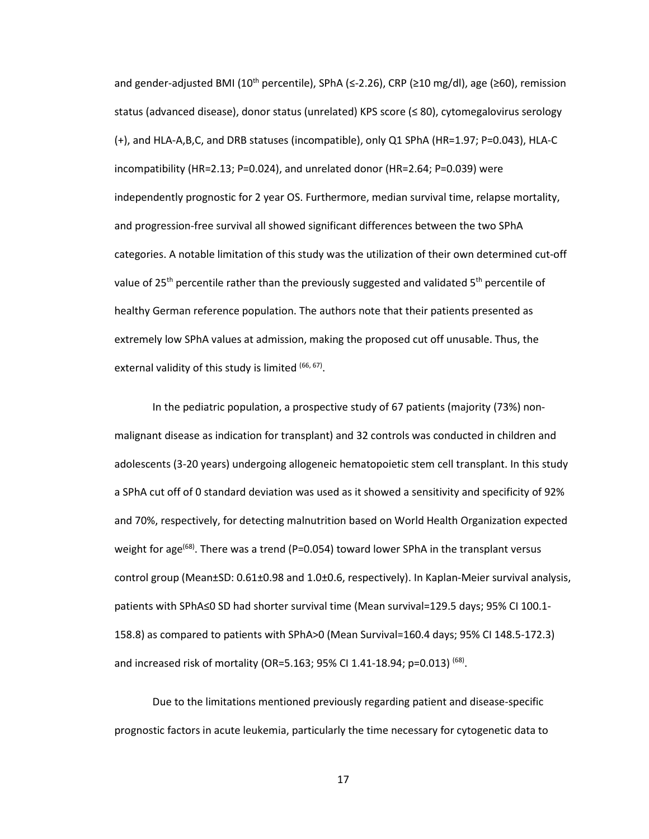and gender-adjusted BMI (10<sup>th</sup> percentile), SPhA (≤-2.26), CRP (≥10 mg/dl), age (≥60), remission status (advanced disease), donor status (unrelated) KPS score (≤ 80), cytomegalovirus serology (+), and HLA-A,B,C, and DRB statuses (incompatible), only Q1 SPhA (HR=1.97; P=0.043), HLA-C incompatibility (HR=2.13; P=0.024), and unrelated donor (HR=2.64; P=0.039) were independently prognostic for 2 year OS. Furthermore, median survival time, relapse mortality, and progression-free survival all showed significant differences between the two SPhA categories. A notable limitation of this study was the utilization of their own determined cut-off value of 25<sup>th</sup> percentile rather than the previously suggested and validated 5<sup>th</sup> percentile of healthy German reference population. The authors note that their patients presented as extremely low SPhA values at admission, making the proposed cut off unusable. Thus, the external validity of this study is limited (66, 67).

In the pediatric population, a prospective study of 67 patients (majority (73%) nonmalignant disease as indication for transplant) and 32 controls was conducted in children and adolescents (3-20 years) undergoing allogeneic hematopoietic stem cell transplant. In this study a SPhA cut off of 0 standard deviation was used as it showed a sensitivity and specificity of 92% and 70%, respectively, for detecting malnutrition based on World Health Organization expected weight for age<sup>(68)</sup>. There was a trend (P=0.054) toward lower SPhA in the transplant versus control group (Mean±SD: 0.61±0.98 and 1.0±0.6, respectively). In Kaplan-Meier survival analysis, patients with SPhA≤0 SD had shorter survival time (Mean survival=129.5 days; 95% CI 100.1- 158.8) as compared to patients with SPhA>0 (Mean Survival=160.4 days; 95% CI 148.5-172.3) and increased risk of mortality (OR=5.163; 95% CI 1.41-18.94; p=0.013)<sup>(68)</sup>.

Due to the limitations mentioned previously regarding patient and disease-specific prognostic factors in acute leukemia, particularly the time necessary for cytogenetic data to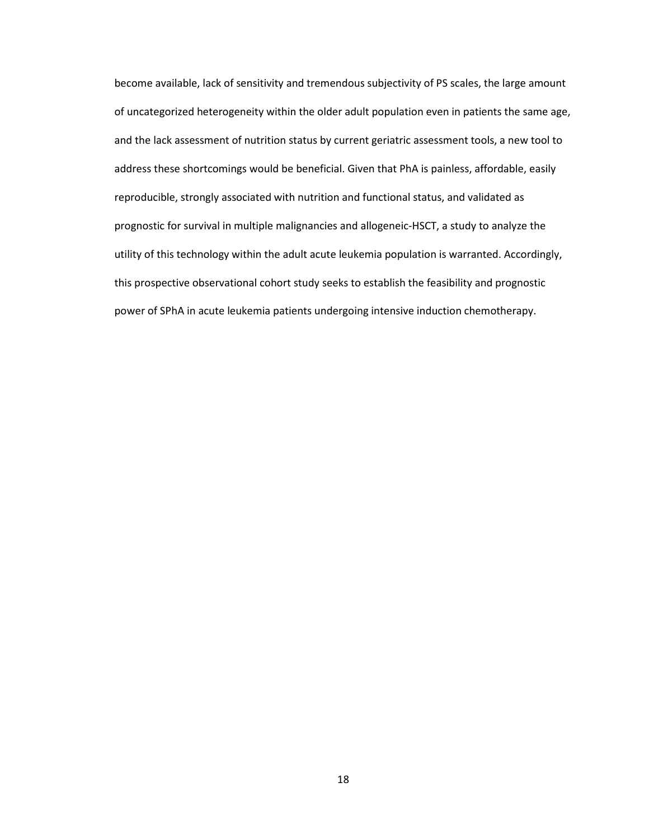become available, lack of sensitivity and tremendous subjectivity of PS scales, the large amount of uncategorized heterogeneity within the older adult population even in patients the same age, and the lack assessment of nutrition status by current geriatric assessment tools, a new tool to address these shortcomings would be beneficial. Given that PhA is painless, affordable, easily reproducible, strongly associated with nutrition and functional status, and validated as prognostic for survival in multiple malignancies and allogeneic-HSCT, a study to analyze the utility of this technology within the adult acute leukemia population is warranted. Accordingly, this prospective observational cohort study seeks to establish the feasibility and prognostic power of SPhA in acute leukemia patients undergoing intensive induction chemotherapy.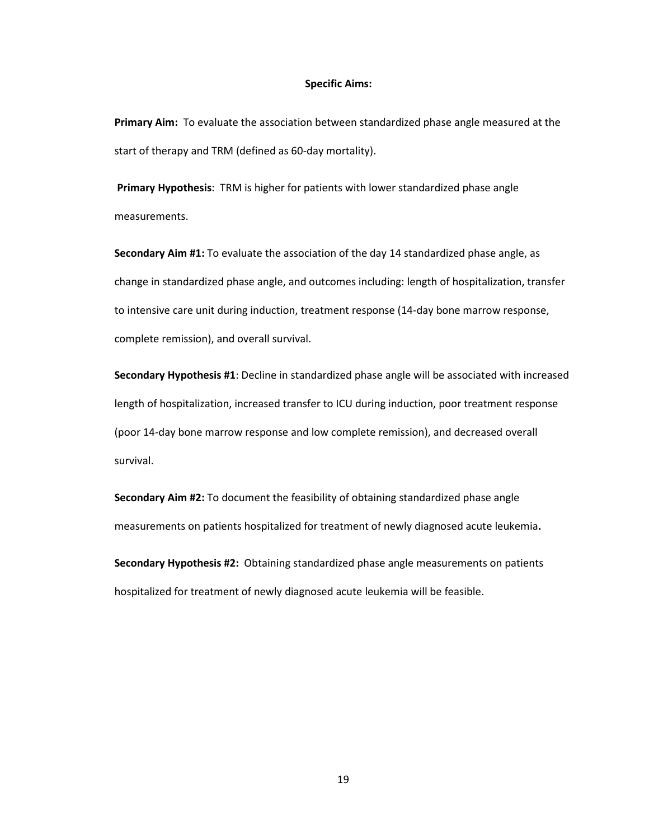### **Specific Aims:**

**Primary Aim:** To evaluate the association between standardized phase angle measured at the start of therapy and TRM (defined as 60-day mortality).

**Primary Hypothesis**: TRM is higher for patients with lower standardized phase angle measurements.

**Secondary Aim #1:** To evaluate the association of the day 14 standardized phase angle, as change in standardized phase angle, and outcomes including: length of hospitalization, transfer to intensive care unit during induction, treatment response (14-day bone marrow response, complete remission), and overall survival.

**Secondary Hypothesis #1**: Decline in standardized phase angle will be associated with increased length of hospitalization, increased transfer to ICU during induction, poor treatment response (poor 14-day bone marrow response and low complete remission), and decreased overall survival.

**Secondary Aim #2:** To document the feasibility of obtaining standardized phase angle measurements on patients hospitalized for treatment of newly diagnosed acute leukemia**.** 

**Secondary Hypothesis #2:** Obtaining standardized phase angle measurements on patients hospitalized for treatment of newly diagnosed acute leukemia will be feasible.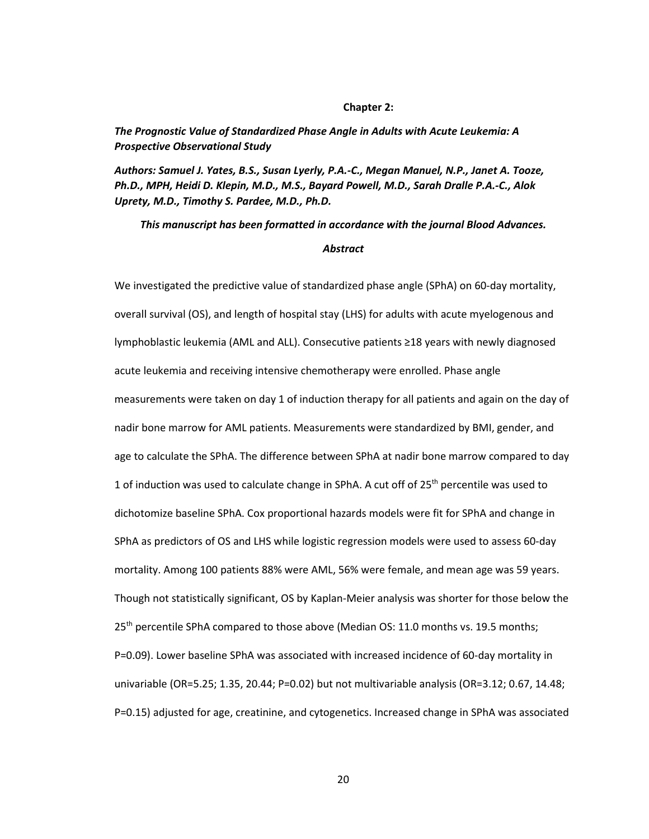### **Chapter 2:**

*The Prognostic Value of Standardized Phase Angle in Adults with Acute Leukemia: A Prospective Observational Study* 

*Authors: Samuel J. Yates, B.S., Susan Lyerly, P.A.-C., Megan Manuel, N.P., Janet A. Tooze, Ph.D., MPH, Heidi D. Klepin, M.D., M.S., Bayard Powell, M.D., Sarah Dralle P.A.-C., Alok Uprety, M.D., Timothy S. Pardee, M.D., Ph.D.* 

# *This manuscript has been formatted in accordance with the journal Blood Advances.*

# *Abstract*

We investigated the predictive value of standardized phase angle (SPhA) on 60-day mortality, overall survival (OS), and length of hospital stay (LHS) for adults with acute myelogenous and lymphoblastic leukemia (AML and ALL). Consecutive patients ≥18 years with newly diagnosed acute leukemia and receiving intensive chemotherapy were enrolled. Phase angle measurements were taken on day 1 of induction therapy for all patients and again on the day of nadir bone marrow for AML patients. Measurements were standardized by BMI, gender, and age to calculate the SPhA. The difference between SPhA at nadir bone marrow compared to day 1 of induction was used to calculate change in SPhA. A cut off of  $25<sup>th</sup>$  percentile was used to dichotomize baseline SPhA. Cox proportional hazards models were fit for SPhA and change in SPhA as predictors of OS and LHS while logistic regression models were used to assess 60-day mortality. Among 100 patients 88% were AML, 56% were female, and mean age was 59 years. Though not statistically significant, OS by Kaplan-Meier analysis was shorter for those below the 25<sup>th</sup> percentile SPhA compared to those above (Median OS: 11.0 months vs. 19.5 months; P=0.09). Lower baseline SPhA was associated with increased incidence of 60-day mortality in univariable (OR=5.25; 1.35, 20.44; P=0.02) but not multivariable analysis (OR=3.12; 0.67, 14.48; P=0.15) adjusted for age, creatinine, and cytogenetics. Increased change in SPhA was associated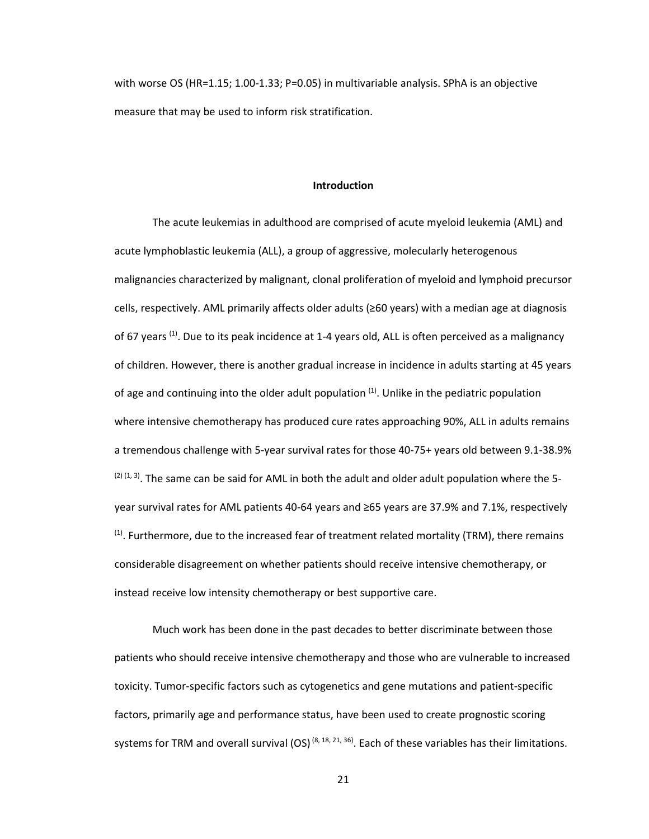with worse OS (HR=1.15; 1.00-1.33; P=0.05) in multivariable analysis. SPhA is an objective measure that may be used to inform risk stratification.

# **Introduction**

The acute leukemias in adulthood are comprised of acute myeloid leukemia (AML) and acute lymphoblastic leukemia (ALL), a group of aggressive, molecularly heterogenous malignancies characterized by malignant, clonal proliferation of myeloid and lymphoid precursor cells, respectively. AML primarily affects older adults (≥60 years) with a median age at diagnosis of 67 years  $(1)$ . Due to its peak incidence at 1-4 years old, ALL is often perceived as a malignancy of children. However, there is another gradual increase in incidence in adults starting at 45 years of age and continuing into the older adult population  $(1)$ . Unlike in the pediatric population where intensive chemotherapy has produced cure rates approaching 90%, ALL in adults remains a tremendous challenge with 5-year survival rates for those 40-75+ years old between 9.1-38.9%  $(2)(1, 3)$ . The same can be said for AML in both the adult and older adult population where the 5year survival rates for AML patients 40-64 years and ≥65 years are 37.9% and 7.1%, respectively  $<sup>(1)</sup>$ . Furthermore, due to the increased fear of treatment related mortality (TRM), there remains</sup> considerable disagreement on whether patients should receive intensive chemotherapy, or instead receive low intensity chemotherapy or best supportive care.

 Much work has been done in the past decades to better discriminate between those patients who should receive intensive chemotherapy and those who are vulnerable to increased toxicity. Tumor-specific factors such as cytogenetics and gene mutations and patient-specific factors, primarily age and performance status, have been used to create prognostic scoring systems for TRM and overall survival  $(OS)^{(8, 18, 21, 36)}$ . Each of these variables has their limitations.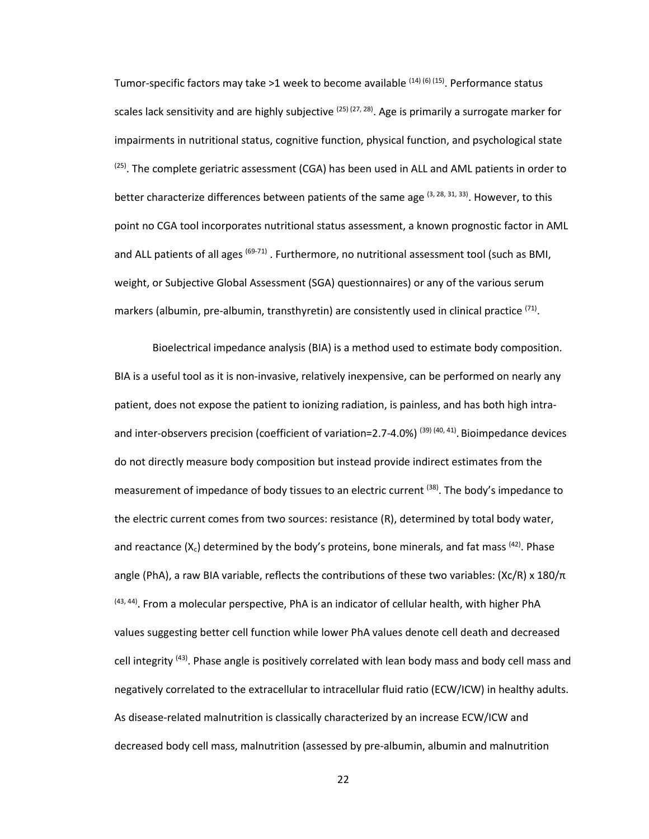Tumor-specific factors may take >1 week to become available  $(14)$  (6) (15). Performance status scales lack sensitivity and are highly subjective <sup>(25) (27, 28)</sup>. Age is primarily a surrogate marker for impairments in nutritional status, cognitive function, physical function, and psychological state (25). The complete geriatric assessment (CGA) has been used in ALL and AML patients in order to better characterize differences between patients of the same age  $(3, 28, 31, 33)$ . However, to this point no CGA tool incorporates nutritional status assessment, a known prognostic factor in AML and ALL patients of all ages (69-71). Furthermore, no nutritional assessment tool (such as BMI, weight, or Subjective Global Assessment (SGA) questionnaires) or any of the various serum markers (albumin, pre-albumin, transthyretin) are consistently used in clinical practice <sup>(71)</sup>.

Bioelectrical impedance analysis (BIA) is a method used to estimate body composition. BIA is a useful tool as it is non-invasive, relatively inexpensive, can be performed on nearly any patient, does not expose the patient to ionizing radiation, is painless, and has both high intraand inter-observers precision (coefficient of variation=2.7-4.0%) (39) (40, 41). Bioimpedance devices do not directly measure body composition but instead provide indirect estimates from the measurement of impedance of body tissues to an electric current <sup>(38)</sup>. The body's impedance to the electric current comes from two sources: resistance (R), determined by total body water, and reactance  $(X_c)$  determined by the body's proteins, bone minerals, and fat mass  $(42)$ . Phase angle (PhA), a raw BIA variable, reflects the contributions of these two variables:  $(Xc/R) \times 180/\pi$  $(43, 44)$ . From a molecular perspective, PhA is an indicator of cellular health, with higher PhA values suggesting better cell function while lower PhA values denote cell death and decreased cell integrity <sup>(43)</sup>. Phase angle is positively correlated with lean body mass and body cell mass and negatively correlated to the extracellular to intracellular fluid ratio (ECW/ICW) in healthy adults. As disease-related malnutrition is classically characterized by an increase ECW/ICW and decreased body cell mass, malnutrition (assessed by pre-albumin, albumin and malnutrition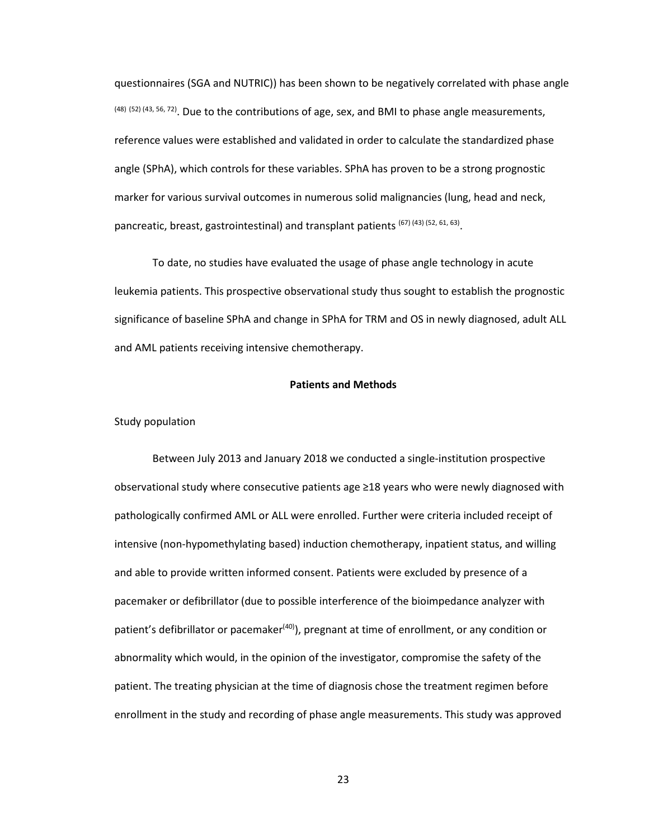questionnaires (SGA and NUTRIC)) has been shown to be negatively correlated with phase angle (48) (52) (43, 56, 72). Due to the contributions of age, sex, and BMI to phase angle measurements, reference values were established and validated in order to calculate the standardized phase angle (SPhA), which controls for these variables. SPhA has proven to be a strong prognostic marker for various survival outcomes in numerous solid malignancies (lung, head and neck, pancreatic, breast, gastrointestinal) and transplant patients (67) (43) (52, 61, 63).

To date, no studies have evaluated the usage of phase angle technology in acute leukemia patients. This prospective observational study thus sought to establish the prognostic significance of baseline SPhA and change in SPhA for TRM and OS in newly diagnosed, adult ALL and AML patients receiving intensive chemotherapy.

# **Patients and Methods**

Study population

Between July 2013 and January 2018 we conducted a single-institution prospective observational study where consecutive patients age ≥18 years who were newly diagnosed with pathologically confirmed AML or ALL were enrolled. Further were criteria included receipt of intensive (non-hypomethylating based) induction chemotherapy, inpatient status, and willing and able to provide written informed consent. Patients were excluded by presence of a pacemaker or defibrillator (due to possible interference of the bioimpedance analyzer with patient's defibrillator or pacemaker<sup>(40)</sup>), pregnant at time of enrollment, or any condition or abnormality which would, in the opinion of the investigator, compromise the safety of the patient. The treating physician at the time of diagnosis chose the treatment regimen before enrollment in the study and recording of phase angle measurements. This study was approved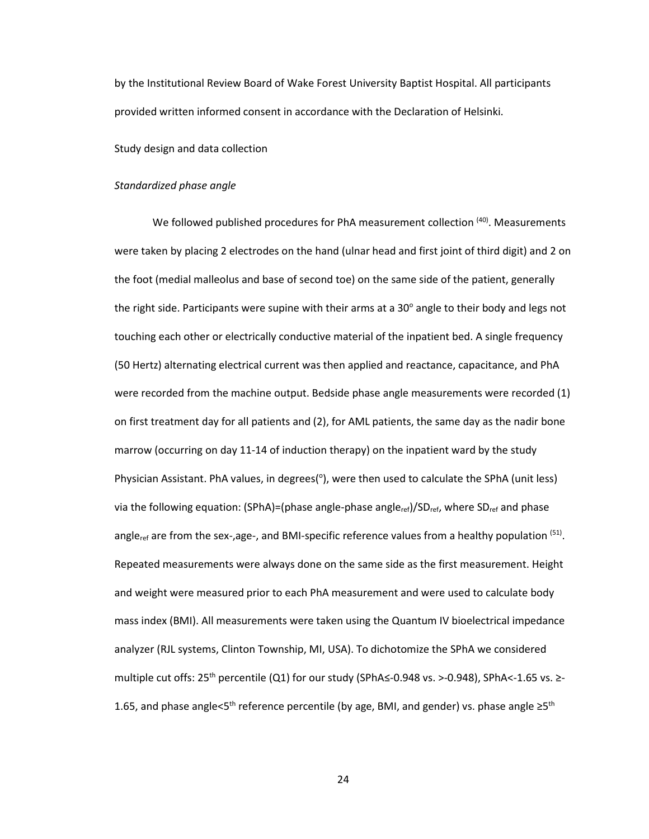by the Institutional Review Board of Wake Forest University Baptist Hospital. All participants provided written informed consent in accordance with the Declaration of Helsinki.

# Study design and data collection

## *Standardized phase angle*

We followed published procedures for PhA measurement collection (40). Measurements were taken by placing 2 electrodes on the hand (ulnar head and first joint of third digit) and 2 on the foot (medial malleolus and base of second toe) on the same side of the patient, generally the right side. Participants were supine with their arms at a 30 $^{\circ}$  angle to their body and legs not touching each other or electrically conductive material of the inpatient bed. A single frequency (50 Hertz) alternating electrical current was then applied and reactance, capacitance, and PhA were recorded from the machine output. Bedside phase angle measurements were recorded (1) on first treatment day for all patients and (2), for AML patients, the same day as the nadir bone marrow (occurring on day 11-14 of induction therapy) on the inpatient ward by the study Physician Assistant. PhA values, in degrees(°), were then used to calculate the SPhA (unit less) via the following equation: (SPhA)=(phase angle-phase angle<sub>ref</sub>)/SD<sub>ref</sub>, where SD<sub>ref</sub> and phase angle<sub>ref</sub> are from the sex-,age-, and BMI-specific reference values from a healthy population  $(51)$ . Repeated measurements were always done on the same side as the first measurement. Height and weight were measured prior to each PhA measurement and were used to calculate body mass index (BMI). All measurements were taken using the Quantum IV bioelectrical impedance analyzer (RJL systems, Clinton Township, MI, USA). To dichotomize the SPhA we considered multiple cut offs:  $25^{th}$  percentile (Q1) for our study (SPhA $\leq$ -0.948 vs. >-0.948), SPhA $\lt$ -1.65 vs. >-1.65, and phase angle<5<sup>th</sup> reference percentile (by age, BMI, and gender) vs. phase angle  $\geq 5$ <sup>th</sup>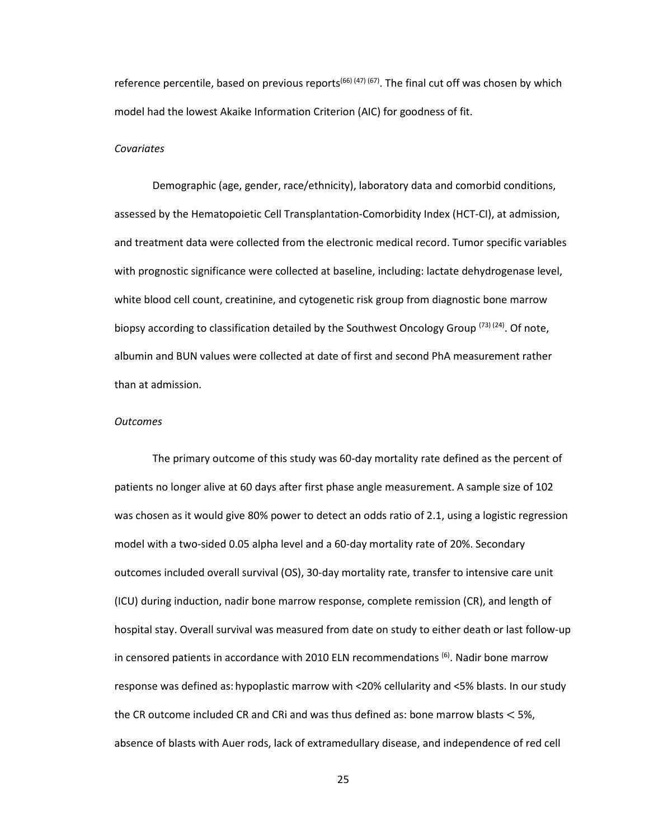reference percentile, based on previous reports<sup>(66) (47) (67)</sup>. The final cut off was chosen by which model had the lowest Akaike Information Criterion (AIC) for goodness of fit.

# *Covariates*

Demographic (age, gender, race/ethnicity), laboratory data and comorbid conditions, assessed by the Hematopoietic Cell Transplantation-Comorbidity Index (HCT-CI), at admission, and treatment data were collected from the electronic medical record. Tumor specific variables with prognostic significance were collected at baseline, including: lactate dehydrogenase level, white blood cell count, creatinine, and cytogenetic risk group from diagnostic bone marrow biopsy according to classification detailed by the Southwest Oncology Group <sup>(73) (24)</sup>. Of note, albumin and BUN values were collected at date of first and second PhA measurement rather than at admission.

### *Outcomes*

The primary outcome of this study was 60-day mortality rate defined as the percent of patients no longer alive at 60 days after first phase angle measurement. A sample size of 102 was chosen as it would give 80% power to detect an odds ratio of 2.1, using a logistic regression model with a two-sided 0.05 alpha level and a 60-day mortality rate of 20%. Secondary outcomes included overall survival (OS), 30-day mortality rate, transfer to intensive care unit (ICU) during induction, nadir bone marrow response, complete remission (CR), and length of hospital stay. Overall survival was measured from date on study to either death or last follow-up in censored patients in accordance with 2010 ELN recommendations <sup>(6)</sup>. Nadir bone marrow response was defined as: hypoplastic marrow with <20% cellularity and <5% blasts. In our study the CR outcome included CR and CRi and was thus defined as: bone marrow blasts < 5%, absence of blasts with Auer rods, lack of extramedullary disease, and independence of red cell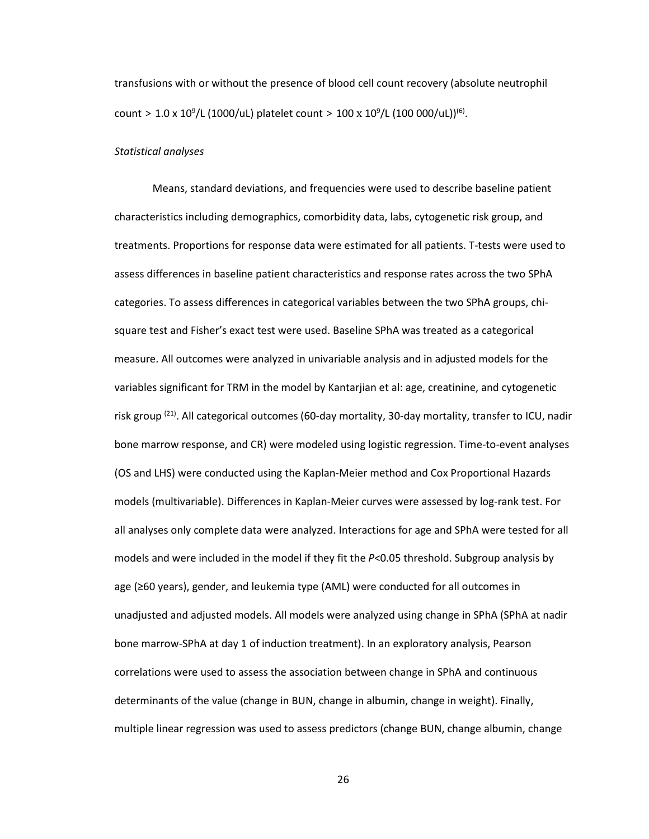transfusions with or without the presence of blood cell count recovery (absolute neutrophil count > 1.0 x 10<sup>9</sup>/L (1000/uL) platelet count > 100 x 10<sup>9</sup>/L (100 000/uL))<sup>(6)</sup>.

## *Statistical analyses*

Means, standard deviations, and frequencies were used to describe baseline patient characteristics including demographics, comorbidity data, labs, cytogenetic risk group, and treatments. Proportions for response data were estimated for all patients. T-tests were used to assess differences in baseline patient characteristics and response rates across the two SPhA categories. To assess differences in categorical variables between the two SPhA groups, chisquare test and Fisher's exact test were used. Baseline SPhA was treated as a categorical measure. All outcomes were analyzed in univariable analysis and in adjusted models for the variables significant for TRM in the model by Kantarjian et al: age, creatinine, and cytogenetic risk group<sup>(21)</sup>. All categorical outcomes (60-day mortality, 30-day mortality, transfer to ICU, nadir bone marrow response, and CR) were modeled using logistic regression. Time-to-event analyses (OS and LHS) were conducted using the Kaplan-Meier method and Cox Proportional Hazards models (multivariable). Differences in Kaplan-Meier curves were assessed by log-rank test. For all analyses only complete data were analyzed. Interactions for age and SPhA were tested for all models and were included in the model if they fit the *P*<0.05 threshold. Subgroup analysis by age (≥60 years), gender, and leukemia type (AML) were conducted for all outcomes in unadjusted and adjusted models. All models were analyzed using change in SPhA (SPhA at nadir bone marrow-SPhA at day 1 of induction treatment). In an exploratory analysis, Pearson correlations were used to assess the association between change in SPhA and continuous determinants of the value (change in BUN, change in albumin, change in weight). Finally, multiple linear regression was used to assess predictors (change BUN, change albumin, change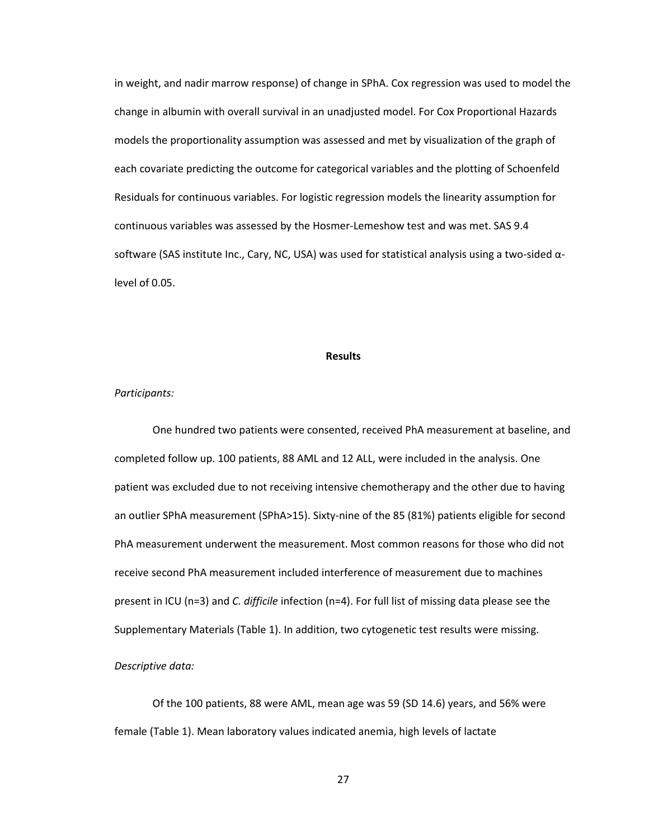in weight, and nadir marrow response) of change in SPhA. Cox regression was used to model the change in albumin with overall survival in an unadjusted model. For Cox Proportional Hazards models the proportionality assumption was assessed and met by visualization of the graph of each covariate predicting the outcome for categorical variables and the plotting of Schoenfeld Residuals for continuous variables. For logistic regression models the linearity assumption for continuous variables was assessed by the Hosmer-Lemeshow test and was met. SAS 9.4 software (SAS institute Inc., Cary, NC, USA) was used for statistical analysis using a two-sided αlevel of 0.05.

### **Results**

### *Participants:*

One hundred two patients were consented, received PhA measurement at baseline, and completed follow up. 100 patients, 88 AML and 12 ALL, were included in the analysis. One patient was excluded due to not receiving intensive chemotherapy and the other due to having an outlier SPhA measurement (SPhA>15). Sixty-nine of the 85 (81%) patients eligible for second PhA measurement underwent the measurement. Most common reasons for those who did not receive second PhA measurement included interference of measurement due to machines present in ICU (n=3) and *C. difficile* infection (n=4). For full list of missing data please see the Supplementary Materials (Table 1). In addition, two cytogenetic test results were missing.

# *Descriptive data:*

Of the 100 patients, 88 were AML, mean age was 59 (SD 14.6) years, and 56% were female (Table 1). Mean laboratory values indicated anemia, high levels of lactate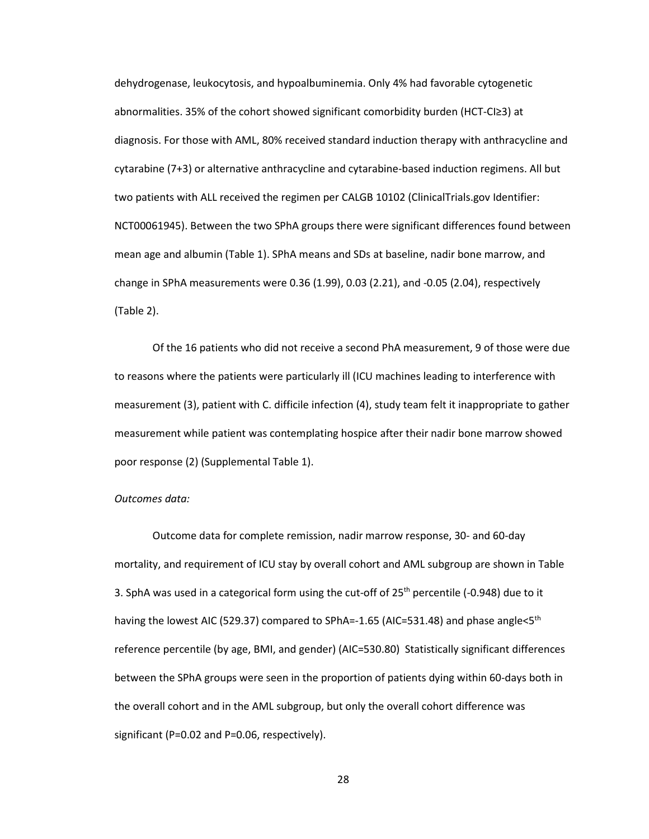dehydrogenase, leukocytosis, and hypoalbuminemia. Only 4% had favorable cytogenetic abnormalities. 35% of the cohort showed significant comorbidity burden (HCT-CI≥3) at diagnosis. For those with AML, 80% received standard induction therapy with anthracycline and cytarabine (7+3) or alternative anthracycline and cytarabine-based induction regimens. All but two patients with ALL received the regimen per CALGB 10102 (ClinicalTrials.gov Identifier: NCT00061945). Between the two SPhA groups there were significant differences found between mean age and albumin (Table 1). SPhA means and SDs at baseline, nadir bone marrow, and change in SPhA measurements were 0.36 (1.99), 0.03 (2.21), and -0.05 (2.04), respectively (Table 2).

Of the 16 patients who did not receive a second PhA measurement, 9 of those were due to reasons where the patients were particularly ill (ICU machines leading to interference with measurement (3), patient with C. difficile infection (4), study team felt it inappropriate to gather measurement while patient was contemplating hospice after their nadir bone marrow showed poor response (2) (Supplemental Table 1).

# *Outcomes data:*

Outcome data for complete remission, nadir marrow response, 30- and 60-day mortality, and requirement of ICU stay by overall cohort and AML subgroup are shown in Table 3. SphA was used in a categorical form using the cut-off of  $25<sup>th</sup>$  percentile (-0.948) due to it having the lowest AIC (529.37) compared to SPhA=-1.65 (AIC=531.48) and phase angle<5<sup>th</sup> reference percentile (by age, BMI, and gender) (AIC=530.80) Statistically significant differences between the SPhA groups were seen in the proportion of patients dying within 60-days both in the overall cohort and in the AML subgroup, but only the overall cohort difference was significant (P=0.02 and P=0.06, respectively).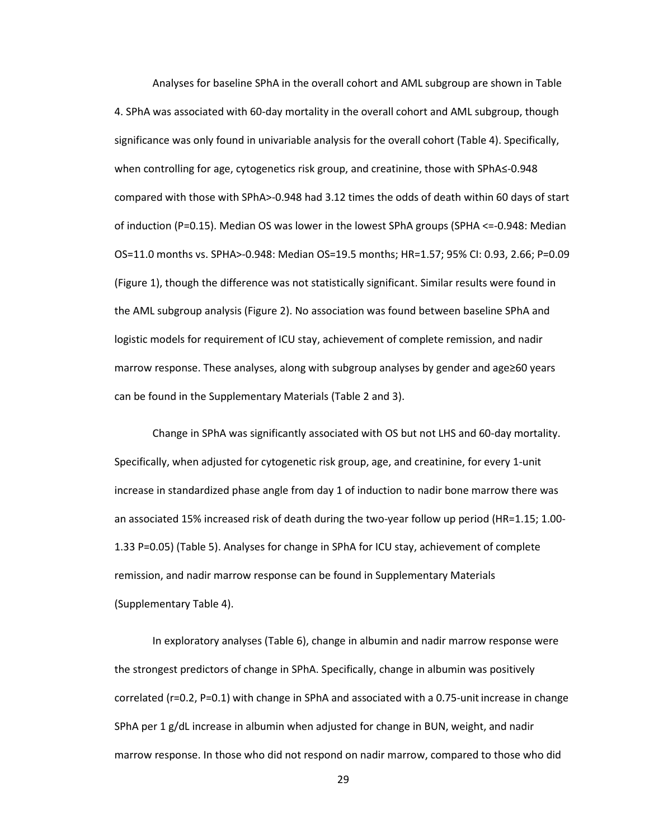Analyses for baseline SPhA in the overall cohort and AML subgroup are shown in Table 4. SPhA was associated with 60-day mortality in the overall cohort and AML subgroup, though significance was only found in univariable analysis for the overall cohort (Table 4). Specifically, when controlling for age, cytogenetics risk group, and creatinine, those with SPhA≤-0.948 compared with those with SPhA>-0.948 had 3.12 times the odds of death within 60 days of start of induction (P=0.15). Median OS was lower in the lowest SPhA groups (SPHA <=-0.948: Median OS=11.0 months vs. SPHA>-0.948: Median OS=19.5 months; HR=1.57; 95% CI: 0.93, 2.66; P=0.09 (Figure 1), though the difference was not statistically significant. Similar results were found in the AML subgroup analysis (Figure 2). No association was found between baseline SPhA and logistic models for requirement of ICU stay, achievement of complete remission, and nadir marrow response. These analyses, along with subgroup analyses by gender and age≥60 years can be found in the Supplementary Materials (Table 2 and 3).

Change in SPhA was significantly associated with OS but not LHS and 60-day mortality. Specifically, when adjusted for cytogenetic risk group, age, and creatinine, for every 1-unit increase in standardized phase angle from day 1 of induction to nadir bone marrow there was an associated 15% increased risk of death during the two-year follow up period (HR=1.15; 1.00- 1.33 P=0.05) (Table 5). Analyses for change in SPhA for ICU stay, achievement of complete remission, and nadir marrow response can be found in Supplementary Materials (Supplementary Table 4).

In exploratory analyses (Table 6), change in albumin and nadir marrow response were the strongest predictors of change in SPhA. Specifically, change in albumin was positively correlated (r=0.2, P=0.1) with change in SPhA and associated with a 0.75-unit increase in change SPhA per 1 g/dL increase in albumin when adjusted for change in BUN, weight, and nadir marrow response. In those who did not respond on nadir marrow, compared to those who did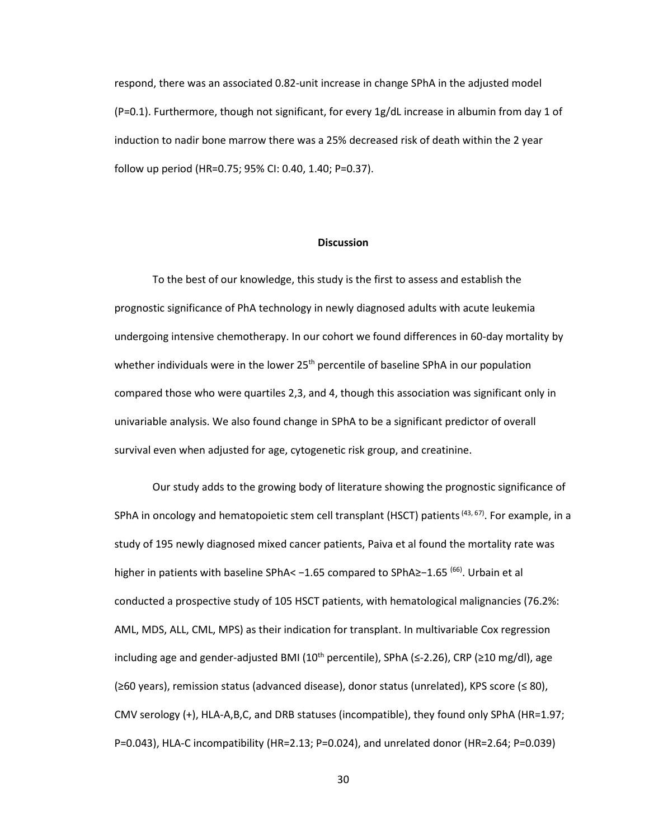respond, there was an associated 0.82-unit increase in change SPhA in the adjusted model  $(P=0.1)$ . Furthermore, though not significant, for every 1g/dL increase in albumin from day 1 of induction to nadir bone marrow there was a 25% decreased risk of death within the 2 year follow up period (HR=0.75; 95% CI: 0.40, 1.40; P=0.37).

### **Discussion**

To the best of our knowledge, this study is the first to assess and establish the prognostic significance of PhA technology in newly diagnosed adults with acute leukemia undergoing intensive chemotherapy. In our cohort we found differences in 60-day mortality by whether individuals were in the lower  $25<sup>th</sup>$  percentile of baseline SPhA in our population compared those who were quartiles 2,3, and 4, though this association was significant only in univariable analysis. We also found change in SPhA to be a significant predictor of overall survival even when adjusted for age, cytogenetic risk group, and creatinine.

Our study adds to the growing body of literature showing the prognostic significance of SPhA in oncology and hematopoietic stem cell transplant (HSCT) patients  $(43, 67)$ . For example, in a study of 195 newly diagnosed mixed cancer patients, Paiva et al found the mortality rate was higher in patients with baseline SPhA< −1.65 compared to SPhA≥−1.65 (66). Urbain et al conducted a prospective study of 105 HSCT patients, with hematological malignancies (76.2%: AML, MDS, ALL, CML, MPS) as their indication for transplant. In multivariable Cox regression including age and gender-adjusted BMI ( $10<sup>th</sup>$  percentile), SPhA (≤-2.26), CRP (≥10 mg/dl), age (≥60 years), remission status (advanced disease), donor status (unrelated), KPS score (≤ 80), CMV serology (+), HLA-A,B,C, and DRB statuses (incompatible), they found only SPhA (HR=1.97; P=0.043), HLA-C incompatibility (HR=2.13; P=0.024), and unrelated donor (HR=2.64; P=0.039)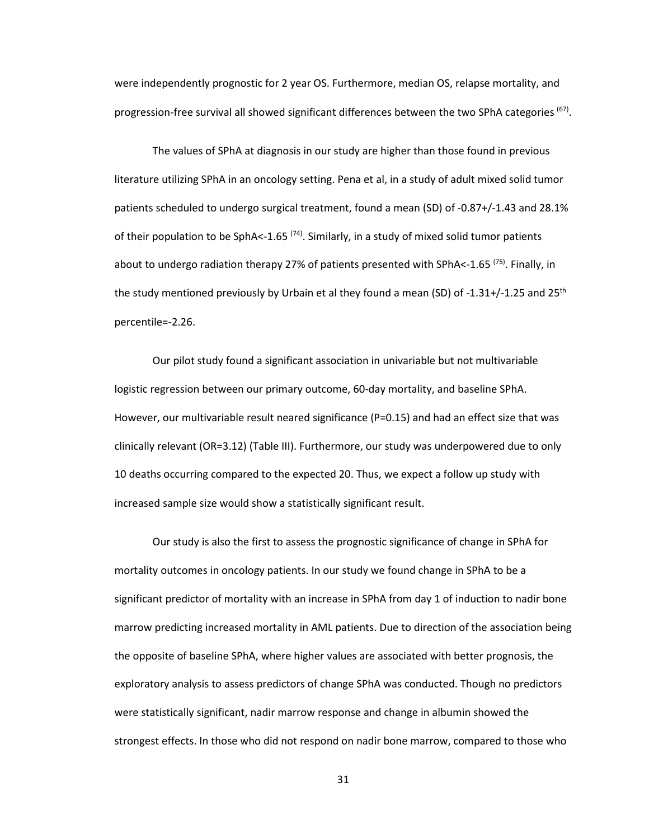were independently prognostic for 2 year OS. Furthermore, median OS, relapse mortality, and progression-free survival all showed significant differences between the two SPhA categories <sup>(67)</sup>.

 The values of SPhA at diagnosis in our study are higher than those found in previous literature utilizing SPhA in an oncology setting. Pena et al, in a study of adult mixed solid tumor patients scheduled to undergo surgical treatment, found a mean (SD) of -0.87+/-1.43 and 28.1% of their population to be SphA<-1.65<sup> $(74)$ </sup>. Similarly, in a study of mixed solid tumor patients about to undergo radiation therapy 27% of patients presented with SPhA<-1.65  $<sup>(75)</sup>$ . Finally, in</sup> the study mentioned previously by Urbain et al they found a mean (SD) of -1.31+/-1.25 and 25<sup>th</sup> percentile=-2.26.

Our pilot study found a significant association in univariable but not multivariable logistic regression between our primary outcome, 60-day mortality, and baseline SPhA. However, our multivariable result neared significance (P=0.15) and had an effect size that was clinically relevant (OR=3.12) (Table III). Furthermore, our study was underpowered due to only 10 deaths occurring compared to the expected 20. Thus, we expect a follow up study with increased sample size would show a statistically significant result.

Our study is also the first to assess the prognostic significance of change in SPhA for mortality outcomes in oncology patients. In our study we found change in SPhA to be a significant predictor of mortality with an increase in SPhA from day 1 of induction to nadir bone marrow predicting increased mortality in AML patients. Due to direction of the association being the opposite of baseline SPhA, where higher values are associated with better prognosis, the exploratory analysis to assess predictors of change SPhA was conducted. Though no predictors were statistically significant, nadir marrow response and change in albumin showed the strongest effects. In those who did not respond on nadir bone marrow, compared to those who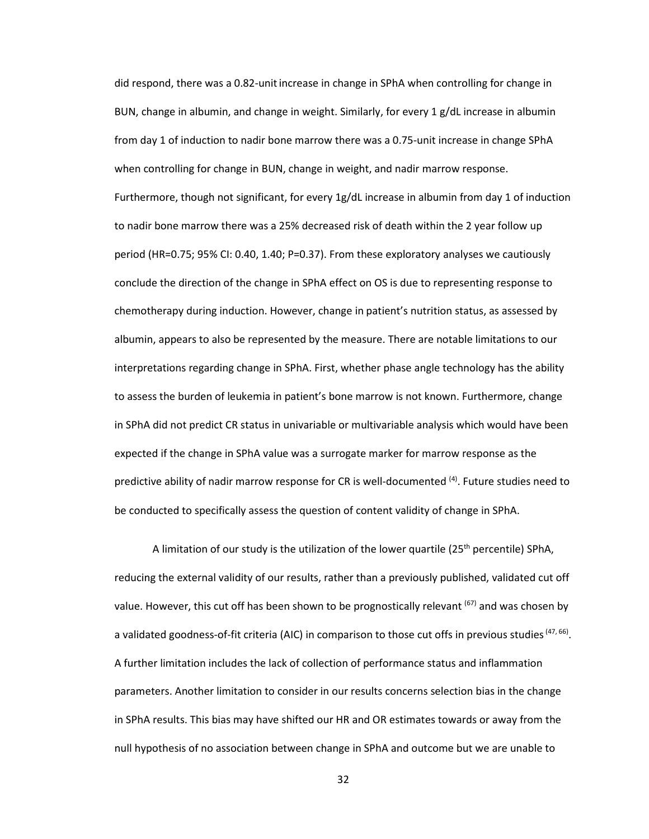did respond, there was a 0.82-unitincrease in change in SPhA when controlling for change in BUN, change in albumin, and change in weight. Similarly, for every 1 g/dL increase in albumin from day 1 of induction to nadir bone marrow there was a 0.75-unit increase in change SPhA when controlling for change in BUN, change in weight, and nadir marrow response. Furthermore, though not significant, for every 1g/dL increase in albumin from day 1 of induction to nadir bone marrow there was a 25% decreased risk of death within the 2 year follow up period (HR=0.75; 95% CI: 0.40, 1.40; P=0.37). From these exploratory analyses we cautiously conclude the direction of the change in SPhA effect on OS is due to representing response to chemotherapy during induction. However, change in patient's nutrition status, as assessed by albumin, appears to also be represented by the measure. There are notable limitations to our interpretations regarding change in SPhA. First, whether phase angle technology has the ability to assess the burden of leukemia in patient's bone marrow is not known. Furthermore, change in SPhA did not predict CR status in univariable or multivariable analysis which would have been expected if the change in SPhA value was a surrogate marker for marrow response as the predictive ability of nadir marrow response for CR is well-documented  $(4)$ . Future studies need to be conducted to specifically assess the question of content validity of change in SPhA.

A limitation of our study is the utilization of the lower quartile ( $25<sup>th</sup>$  percentile) SPhA, reducing the external validity of our results, rather than a previously published, validated cut off value. However, this cut off has been shown to be prognostically relevant  $(67)$  and was chosen by a validated goodness-of-fit criteria (AIC) in comparison to those cut offs in previous studies <sup>(47, 66)</sup>. A further limitation includes the lack of collection of performance status and inflammation parameters. Another limitation to consider in our results concerns selection bias in the change in SPhA results. This bias may have shifted our HR and OR estimates towards or away from the null hypothesis of no association between change in SPhA and outcome but we are unable to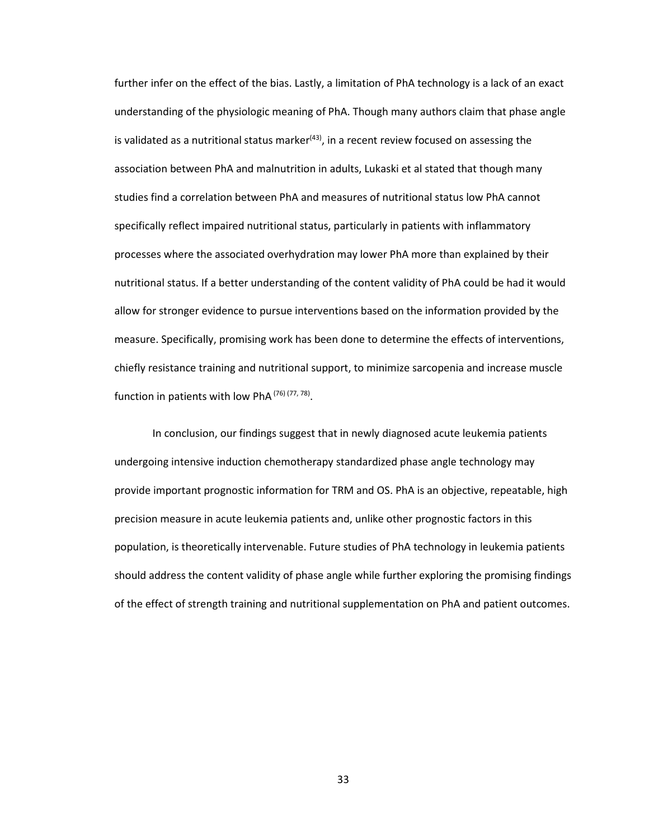further infer on the effect of the bias. Lastly, a limitation of PhA technology is a lack of an exact understanding of the physiologic meaning of PhA. Though many authors claim that phase angle is validated as a nutritional status marker $(43)$ , in a recent review focused on assessing the association between PhA and malnutrition in adults, Lukaski et al stated that though many studies find a correlation between PhA and measures of nutritional status low PhA cannot specifically reflect impaired nutritional status, particularly in patients with inflammatory processes where the associated overhydration may lower PhA more than explained by their nutritional status. If a better understanding of the content validity of PhA could be had it would allow for stronger evidence to pursue interventions based on the information provided by the measure. Specifically, promising work has been done to determine the effects of interventions, chiefly resistance training and nutritional support, to minimize sarcopenia and increase muscle function in patients with low PhA<sup>(76)</sup><sup>(77,78)</sup>.

In conclusion, our findings suggest that in newly diagnosed acute leukemia patients undergoing intensive induction chemotherapy standardized phase angle technology may provide important prognostic information for TRM and OS. PhA is an objective, repeatable, high precision measure in acute leukemia patients and, unlike other prognostic factors in this population, is theoretically intervenable. Future studies of PhA technology in leukemia patients should address the content validity of phase angle while further exploring the promising findings of the effect of strength training and nutritional supplementation on PhA and patient outcomes.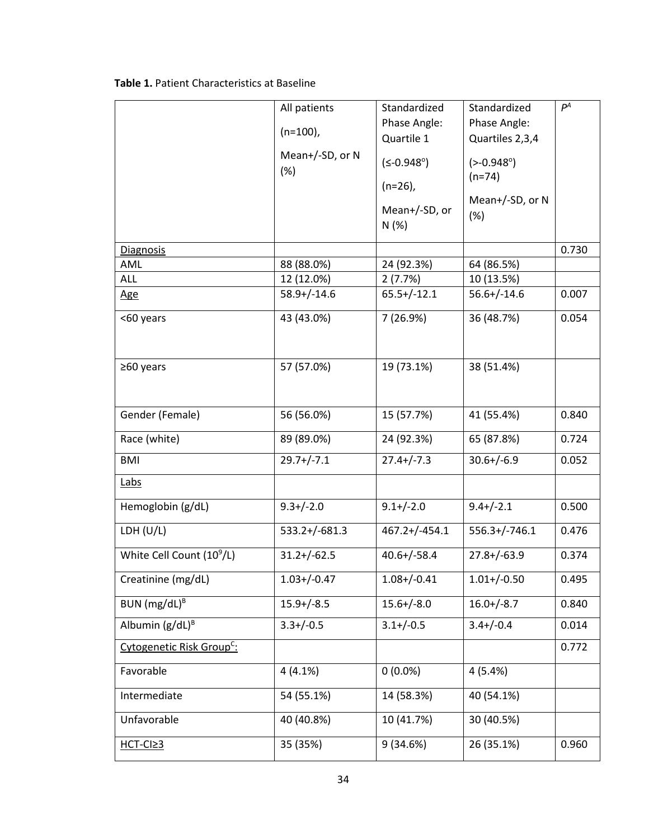|  | <b>Table 1. Patient Characteristics at Baseline</b> |
|--|-----------------------------------------------------|
|--|-----------------------------------------------------|

|                                       | All patients           | Standardized          | Standardized           | $P^A$ |
|---------------------------------------|------------------------|-----------------------|------------------------|-------|
|                                       |                        | Phase Angle:          | Phase Angle:           |       |
|                                       | $(n=100)$ ,            | Quartile 1            | Quartiles 2,3,4        |       |
|                                       | Mean+/-SD, or N<br>(%) | $(5 - 0.948^{\circ})$ | $(-0.948°)$            |       |
|                                       |                        | $(n=26)$ ,            | $(n=74)$               |       |
|                                       |                        | Mean+/-SD, or<br>N(%) | Mean+/-SD, or N<br>(%) |       |
| <b>Diagnosis</b>                      |                        |                       |                        | 0.730 |
| AML                                   | 88 (88.0%)             | 24 (92.3%)            | 64 (86.5%)             |       |
| <b>ALL</b>                            | 12 (12.0%)             | 2(7.7%)               | 10 (13.5%)             |       |
| <u>Age</u>                            | $58.9+/-14.6$          | $65.5+/-12.1$         | $56.6 + / -14.6$       | 0.007 |
| <60 years                             | 43 (43.0%)             | 7 (26.9%)             | 36 (48.7%)             | 0.054 |
| ≥60 years                             | 57 (57.0%)             | 19 (73.1%)            | 38 (51.4%)             |       |
| Gender (Female)                       | 56 (56.0%)             | 15 (57.7%)            | 41 (55.4%)             | 0.840 |
| Race (white)                          | 89 (89.0%)             | 24 (92.3%)            | 65 (87.8%)             | 0.724 |
| <b>BMI</b>                            | $29.7+/-7.1$           | $27.4 + / -7.3$       | $30.6 + (-6.9)$        | 0.052 |
| <b>Labs</b>                           |                        |                       |                        |       |
| Hemoglobin (g/dL)                     | $9.3 + (-2.0)$         | $9.1 + (-2.0)$        | $9.4 + (-2.1)$         | 0.500 |
| LDH $(U/L)$                           | 533.2+/-681.3          | $467.2 + (-454.1)$    | $556.3+/-746.1$        | 0.476 |
| White Cell Count (10 <sup>9</sup> /L) | $31.2 + (-62.5)$       | $40.6 + / -58.4$      | $27.8 + (-63.9)$       | 0.374 |
| Creatinine (mg/dL)                    | $1.03 + / -0.47$       | $1.08 + / -0.41$      | $1.01 + / -0.50$       | 0.495 |
| BUN $(mg/dL)^{B}$                     | $15.9 + / -8.5$        | $15.6 + / -8.0$       | $16.0 + (-8.7)$        | 0.840 |
| Albumin $(g/dL)^B$                    | $3.3 + / -0.5$         | $3.1 + (-0.5)$        | $3.4 + (-0.4)$         | 0.014 |
| Cytogenetic Risk Group <sup>C</sup> : |                        |                       |                        | 0.772 |
| Favorable                             | 4(4.1%)                | $0(0.0\%)$            | 4(5.4%)                |       |
| Intermediate                          | 54 (55.1%)             | 14 (58.3%)            | 40 (54.1%)             |       |
| Unfavorable                           | 40 (40.8%)             | 10 (41.7%)            | 30 (40.5%)             |       |
| $HCT-CI23$                            | 35 (35%)               | 9(34.6%)              | 26 (35.1%)             | 0.960 |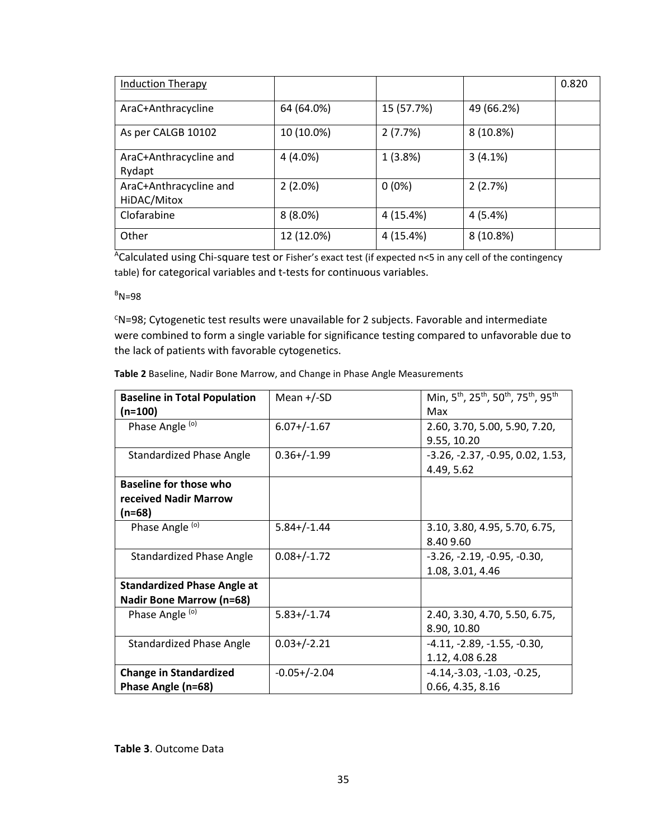| <b>Induction Therapy</b>              |            |            |            | 0.820 |
|---------------------------------------|------------|------------|------------|-------|
| AraC+Anthracycline                    | 64 (64.0%) | 15 (57.7%) | 49 (66.2%) |       |
| As per CALGB 10102                    | 10 (10.0%) | 2(7.7%)    | 8(10.8%)   |       |
| AraC+Anthracycline and<br>Rydapt      | $4(4.0\%)$ | 1(3.8%)    | 3(4.1%)    |       |
| AraC+Anthracycline and<br>HiDAC/Mitox | 2(2.0%)    | $0(0\%)$   | 2(2.7%)    |       |
| Clofarabine                           | $8(8.0\%)$ | 4 (15.4%)  | 4(5.4%)    |       |
| Other                                 | 12 (12.0%) | 4 (15.4%)  | 8 (10.8%)  |       |

ACalculated using Chi-square test or Fisher's exact test (if expected n<5 in any cell of the contingency table) for categorical variables and t-tests for continuous variables.

 $B_{N=98}$ 

<sup>C</sup>N=98; Cytogenetic test results were unavailable for 2 subjects. Favorable and intermediate were combined to form a single variable for significance testing compared to unfavorable due to the lack of patients with favorable cytogenetics.

| <b>Baseline in Total Population</b><br>(n=100) | Mean $+/-SD$     | Min, 5 <sup>th</sup> , 25 <sup>th</sup> , 50 <sup>th</sup> , 75 <sup>th</sup> , 95 <sup>th</sup><br>Max |
|------------------------------------------------|------------------|---------------------------------------------------------------------------------------------------------|
| Phase Angle (o)                                | $6.07+/-1.67$    | 2.60, 3.70, 5.00, 5.90, 7.20,                                                                           |
|                                                |                  | 9.55, 10.20                                                                                             |
| Standardized Phase Angle                       | $0.36 + / -1.99$ | $-3.26, -2.37, -0.95, 0.02, 1.53,$                                                                      |
|                                                |                  | 4.49, 5.62                                                                                              |
| <b>Baseline for those who</b>                  |                  |                                                                                                         |
| received Nadir Marrow                          |                  |                                                                                                         |
| (n=68)                                         |                  |                                                                                                         |
| Phase Angle (o)                                | $5.84 + (-1.44)$ | 3.10, 3.80, 4.95, 5.70, 6.75,                                                                           |
|                                                |                  | 8.409.60                                                                                                |
| <b>Standardized Phase Angle</b>                | $0.08 + (-1.72)$ | $-3.26, -2.19, -0.95, -0.30,$                                                                           |
|                                                |                  | 1.08, 3.01, 4.46                                                                                        |
| <b>Standardized Phase Angle at</b>             |                  |                                                                                                         |
| <b>Nadir Bone Marrow (n=68)</b>                |                  |                                                                                                         |
| Phase Angle (o)                                | $5.83+/-1.74$    | 2.40, 3.30, 4.70, 5.50, 6.75,                                                                           |
|                                                |                  | 8.90, 10.80                                                                                             |
| Standardized Phase Angle                       | $0.03+/-2.21$    | $-4.11, -2.89, -1.55, -0.30,$                                                                           |
|                                                |                  | 1.12, 4.08 6.28                                                                                         |
| <b>Change in Standardized</b>                  | $-0.05+/-2.04$   | $-4.14, -3.03, -1.03, -0.25,$                                                                           |
| Phase Angle (n=68)                             |                  | 0.66, 4.35, 8.16                                                                                        |

**Table 3**. Outcome Data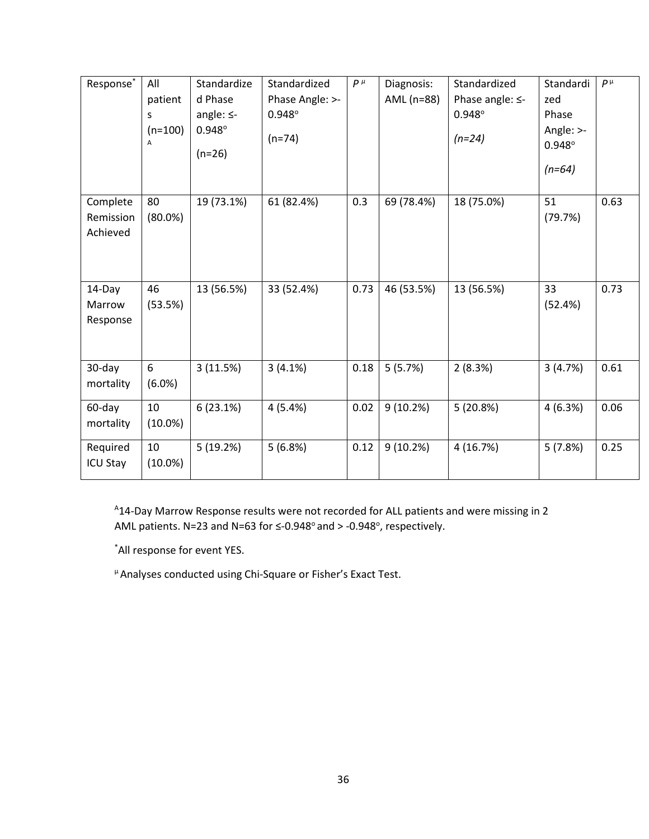| Response*                         | All<br>patient<br>S<br>$(n=100)$<br>А | Standardize<br>d Phase<br>angle: $\leq$ -<br>$0.948^\circ$<br>$(n=26)$ | Standardized<br>Phase Angle: >-<br>$0.948^{\circ}$<br>$(n=74)$ | $P^{\mu}$ | Diagnosis:<br>AML (n=88) | Standardized<br>Phase angle: $\leq$ -<br>$0.948^\circ$<br>$(n=24)$ | Standardi<br>zed<br>Phase<br>Angle: >-<br>$0.948^{\circ}$<br>$(n=64)$ | $P^{\mu}$ |
|-----------------------------------|---------------------------------------|------------------------------------------------------------------------|----------------------------------------------------------------|-----------|--------------------------|--------------------------------------------------------------------|-----------------------------------------------------------------------|-----------|
| Complete<br>Remission<br>Achieved | 80<br>$(80.0\%)$                      | 19 (73.1%)                                                             | 61 (82.4%)                                                     | 0.3       | 69 (78.4%)               | 18 (75.0%)                                                         | 51<br>(79.7%)                                                         | 0.63      |
| 14-Day<br>Marrow<br>Response      | 46<br>(53.5%)                         | 13 (56.5%)                                                             | 33 (52.4%)                                                     | 0.73      | 46 (53.5%)               | 13 (56.5%)                                                         | 33<br>(52.4%)                                                         | 0.73      |
| 30-day<br>mortality               | 6<br>(6.0%)                           | 3(11.5%)                                                               | 3(4.1%)                                                        | 0.18      | 5(5.7%)                  | 2(8.3%)                                                            | 3(4.7%)                                                               | 0.61      |
| 60-day<br>mortality               | 10<br>$(10.0\%)$                      | 6(23.1%)                                                               | 4(5.4%)                                                        | 0.02      | 9(10.2%)                 | 5(20.8%)                                                           | 4(6.3%)                                                               | 0.06      |
| Required<br><b>ICU Stay</b>       | 10<br>$(10.0\%)$                      | 5(19.2%)                                                               | 5(6.8%)                                                        | 0.12      | 9(10.2%)                 | 4(16.7%)                                                           | 5(7.8%)                                                               | 0.25      |

A14-Day Marrow Response results were not recorded for ALL patients and were missing in 2 AML patients. N=23 and N=63 for  $\leq$ -0.948 $^{\circ}$  and > -0.948 $^{\circ}$ , respectively.

\*All response for event YES.

µ Analyses conducted using Chi-Square or Fisher's Exact Test.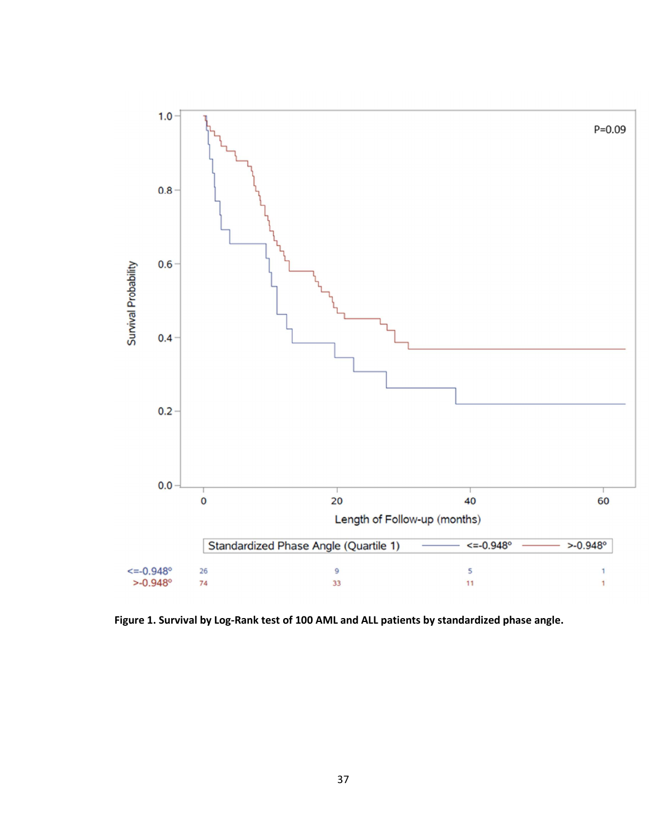

**Figure 1. Survival by Log-Rank test of 100 AML and ALL patients by standardized phase angle.**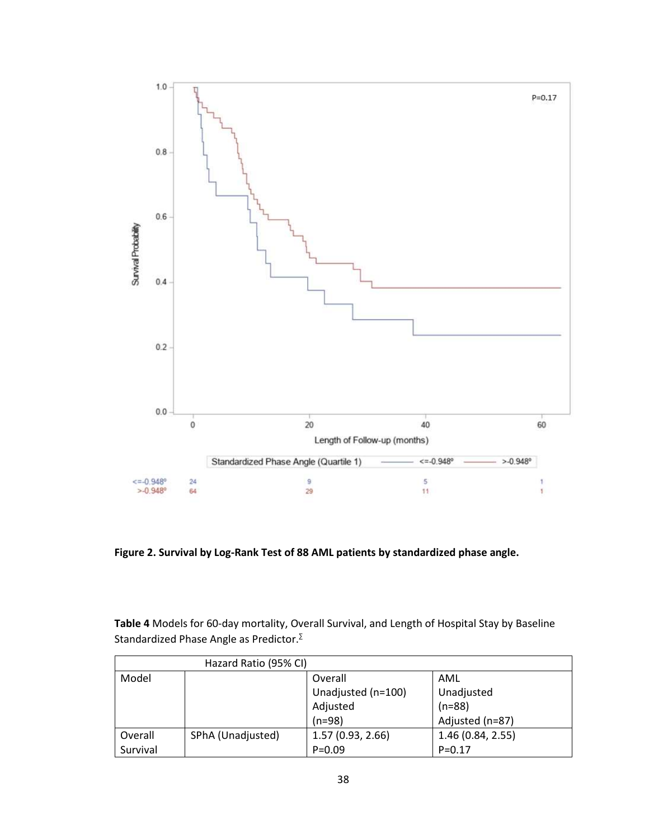

**Figure 2. Survival by Log-Rank Test of 88 AML patients by standardized phase angle.**

**Table 4** Models for 60-day mortality, Overall Survival, and Length of Hospital Stay by Baseline Standardized Phase Angle as Predictor.<sup>∑</sup>

|          | Hazard Ratio (95% CI) |                    |                   |
|----------|-----------------------|--------------------|-------------------|
| Model    |                       | Overall            | AML               |
|          |                       | Unadjusted (n=100) | Unadjusted        |
|          |                       | Adjusted           | $(n=88)$          |
|          |                       | $(n=98)$           | Adjusted (n=87)   |
| Overall  | SPhA (Unadjusted)     | 1.57(0.93, 2.66)   | 1.46 (0.84, 2.55) |
| Survival |                       | $P = 0.09$         | $P = 0.17$        |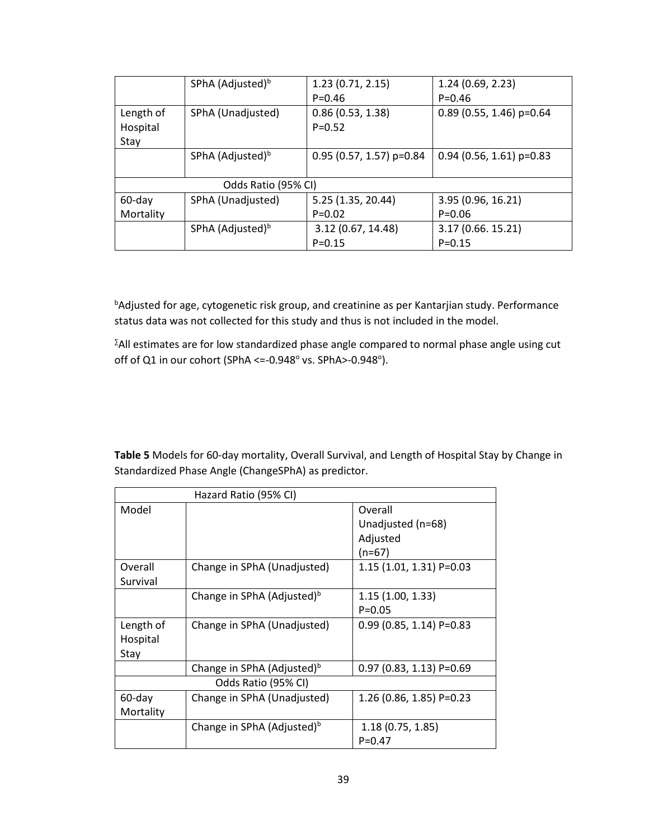|           | SPhA (Adjusted) <sup>b</sup> | 1.23(0.71, 2.15)           | 1.24(0.69, 2.23)           |
|-----------|------------------------------|----------------------------|----------------------------|
|           |                              | $P = 0.46$                 | $P = 0.46$                 |
| Length of | SPhA (Unadjusted)            | 0.86(0.53, 1.38)           | $0.89$ (0.55, 1.46) p=0.64 |
| Hospital  |                              | $P = 0.52$                 |                            |
| Stay      |                              |                            |                            |
|           | SPhA (Adjusted) <sup>b</sup> | $0.95$ (0.57, 1.57) p=0.84 | $0.94$ (0.56, 1.61) p=0.83 |
|           |                              |                            |                            |
|           | Odds Ratio (95% CI)          |                            |                            |
| 60-day    | SPhA (Unadjusted)            | 5.25 (1.35, 20.44)         | 3.95 (0.96, 16.21)         |
| Mortality |                              | $P = 0.02$                 | $P = 0.06$                 |
|           | SPhA (Adjusted) <sup>b</sup> | 3.12 (0.67, 14.48)         | 3.17 (0.66. 15.21)         |
|           |                              | $P = 0.15$                 | $P = 0.15$                 |

**bAdjusted for age, cytogenetic risk group, and creatinine as per Kantarjian study. Performance** status data was not collected for this study and thus is not included in the model.

<sup>∑</sup>All estimates are for low standardized phase angle compared to normal phase angle using cut off of Q1 in our cohort (SPhA <=-0.948 $^{\circ}$  vs. SPhA>-0.948 $^{\circ}$ ).

**Table 5** Models for 60-day mortality, Overall Survival, and Length of Hospital Stay by Change in Standardized Phase Angle (ChangeSPhA) as predictor.

|           | Hazard Ratio (95% CI)                  |                            |  |  |  |
|-----------|----------------------------------------|----------------------------|--|--|--|
| Model     |                                        | Overall                    |  |  |  |
|           |                                        | Unadjusted (n=68)          |  |  |  |
|           |                                        | Adjusted                   |  |  |  |
|           |                                        | (n=67)                     |  |  |  |
| Overall   | Change in SPhA (Unadjusted)            | 1.15 (1.01, 1.31) P=0.03   |  |  |  |
| Survival  |                                        |                            |  |  |  |
|           | Change in SPhA (Adjusted) <sup>b</sup> | 1.15(1.00, 1.33)           |  |  |  |
|           |                                        | $P = 0.05$                 |  |  |  |
| Length of | Change in SPhA (Unadjusted)            | $0.99$ (0.85, 1.14) P=0.83 |  |  |  |
| Hospital  |                                        |                            |  |  |  |
| Stay      |                                        |                            |  |  |  |
|           | Change in SPhA (Adjusted) <sup>b</sup> | $0.97$ (0.83, 1.13) P=0.69 |  |  |  |
|           | Odds Ratio (95% CI)                    |                            |  |  |  |
| 60-day    | Change in SPhA (Unadjusted)            | $1.26$ (0.86, 1.85) P=0.23 |  |  |  |
| Mortality |                                        |                            |  |  |  |
|           | Change in SPhA (Adjusted) <sup>b</sup> | 1.18 (0.75, 1.85)          |  |  |  |
|           |                                        | $P = 0.47$                 |  |  |  |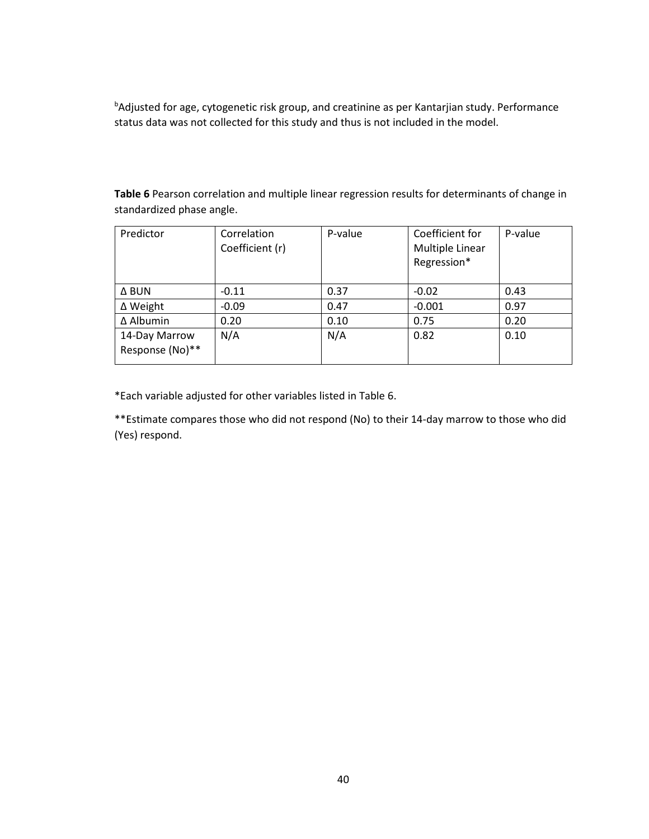**bAdjusted for age, cytogenetic risk group, and creatinine as per Kantarjian study. Performance** status data was not collected for this study and thus is not included in the model.

| Predictor                        | Correlation<br>Coefficient (r) | P-value | Coefficient for<br>Multiple Linear<br>Regression* | P-value |
|----------------------------------|--------------------------------|---------|---------------------------------------------------|---------|
| Δ BUN                            | $-0.11$                        | 0.37    | $-0.02$                                           | 0.43    |
| ∆ Weight                         | $-0.09$                        | 0.47    | $-0.001$                                          | 0.97    |
| ∆ Albumin                        | 0.20                           | 0.10    | 0.75                                              | 0.20    |
| 14-Day Marrow<br>Response (No)** | N/A                            | N/A     | 0.82                                              | 0.10    |

**Table 6** Pearson correlation and multiple linear regression results for determinants of change in standardized phase angle.

\*Each variable adjusted for other variables listed in Table 6.

\*\*Estimate compares those who did not respond (No) to their 14-day marrow to those who did (Yes) respond.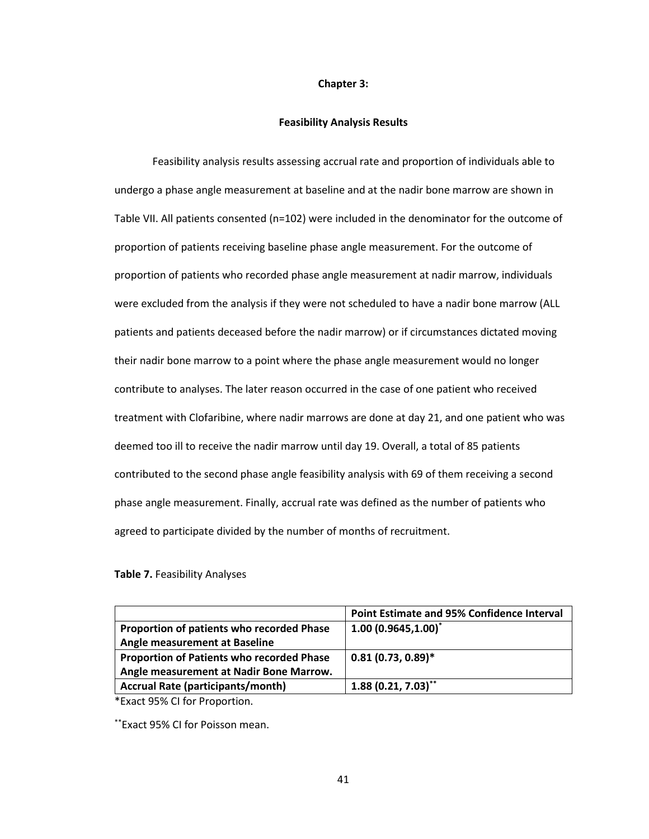### **Chapter 3:**

### **Feasibility Analysis Results**

 Feasibility analysis results assessing accrual rate and proportion of individuals able to undergo a phase angle measurement at baseline and at the nadir bone marrow are shown in Table VII. All patients consented (n=102) were included in the denominator for the outcome of proportion of patients receiving baseline phase angle measurement. For the outcome of proportion of patients who recorded phase angle measurement at nadir marrow, individuals were excluded from the analysis if they were not scheduled to have a nadir bone marrow (ALL patients and patients deceased before the nadir marrow) or if circumstances dictated moving their nadir bone marrow to a point where the phase angle measurement would no longer contribute to analyses. The later reason occurred in the case of one patient who received treatment with Clofaribine, where nadir marrows are done at day 21, and one patient who was deemed too ill to receive the nadir marrow until day 19. Overall, a total of 85 patients contributed to the second phase angle feasibility analysis with 69 of them receiving a second phase angle measurement. Finally, accrual rate was defined as the number of patients who agreed to participate divided by the number of months of recruitment.

## **Table 7.** Feasibility Analyses

|                                                  | <b>Point Estimate and 95% Confidence Interval</b> |
|--------------------------------------------------|---------------------------------------------------|
| <b>Proportion of patients who recorded Phase</b> | $1.00(0.9645,1.00)^{*}$                           |
| Angle measurement at Baseline                    |                                                   |
| <b>Proportion of Patients who recorded Phase</b> | $0.81(0.73, 0.89)$ *                              |
| Angle measurement at Nadir Bone Marrow.          |                                                   |
| <b>Accrual Rate (participants/month)</b>         | $1.88(0.21, 7.03)$ **                             |

\*Exact 95% CI for Proportion.

\*\*Exact 95% CI for Poisson mean.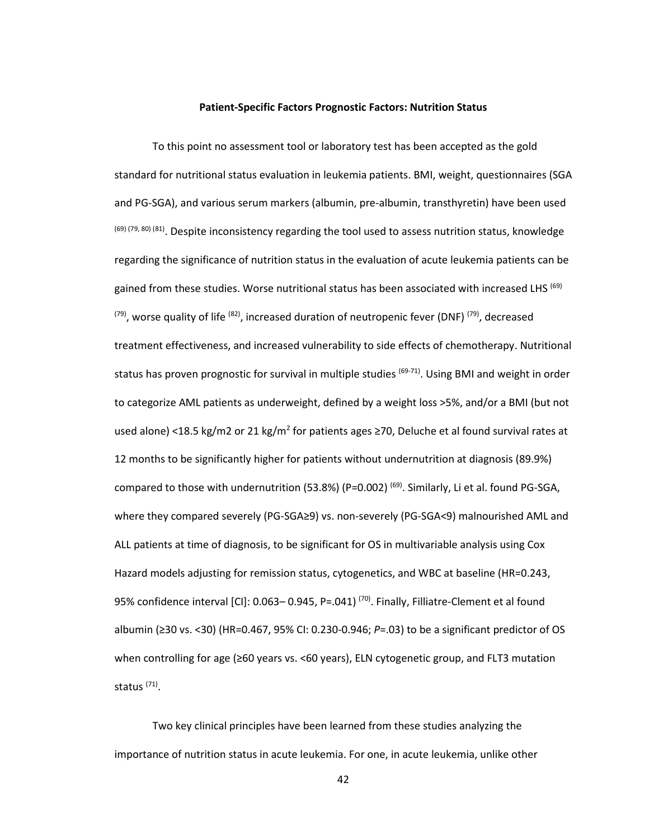### **Patient-Specific Factors Prognostic Factors: Nutrition Status**

To this point no assessment tool or laboratory test has been accepted as the gold standard for nutritional status evaluation in leukemia patients. BMI, weight, questionnaires (SGA and PG-SGA), and various serum markers (albumin, pre-albumin, transthyretin) have been used (69) (79, 80) (81). Despite inconsistency regarding the tool used to assess nutrition status, knowledge regarding the significance of nutrition status in the evaluation of acute leukemia patients can be gained from these studies. Worse nutritional status has been associated with increased LHS  $^{(69)}$  $(79)$ , worse quality of life  $(82)$ , increased duration of neutropenic fever (DNF)  $(79)$ , decreased treatment effectiveness, and increased vulnerability to side effects of chemotherapy. Nutritional status has proven prognostic for survival in multiple studies <sup>(69-71)</sup>. Using BMI and weight in order to categorize AML patients as underweight, defined by a weight loss >5%, and/or a BMI (but not used alone) <18.5 kg/m2 or 21 kg/m<sup>2</sup> for patients ages ≥70, Deluche et al found survival rates at 12 months to be significantly higher for patients without undernutrition at diagnosis (89.9%) compared to those with undernutrition (53.8%) (P=0.002)<sup>(69)</sup>. Similarly, Li et al. found PG-SGA, where they compared severely (PG-SGA≥9) vs. non-severely (PG-SGA<9) malnourished AML and ALL patients at time of diagnosis, to be significant for OS in multivariable analysis using Cox Hazard models adjusting for remission status, cytogenetics, and WBC at baseline (HR=0.243, 95% confidence interval [CI]: 0.063-0.945, P=.041)<sup>(70)</sup>. Finally, Filliatre-Clement et al found albumin (≥30 vs. <30) (HR=0.467, 95% CI: 0.230-0.946; *P*=.03) to be a significant predictor of OS when controlling for age (≥60 years vs. <60 years), ELN cytogenetic group, and FLT3 mutation status <sup>(71)</sup>.

Two key clinical principles have been learned from these studies analyzing the importance of nutrition status in acute leukemia. For one, in acute leukemia, unlike other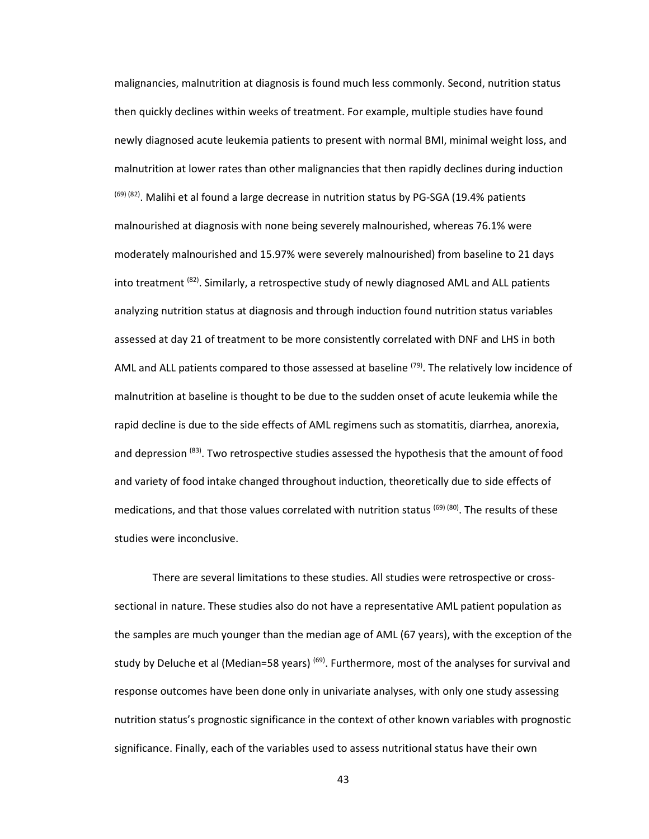malignancies, malnutrition at diagnosis is found much less commonly. Second, nutrition status then quickly declines within weeks of treatment. For example, multiple studies have found newly diagnosed acute leukemia patients to present with normal BMI, minimal weight loss, and malnutrition at lower rates than other malignancies that then rapidly declines during induction  $(69)$   $(82)$ . Malihi et al found a large decrease in nutrition status by PG-SGA (19.4% patients malnourished at diagnosis with none being severely malnourished, whereas 76.1% were moderately malnourished and 15.97% were severely malnourished) from baseline to 21 days into treatment  $^{(82)}$ . Similarly, a retrospective study of newly diagnosed AML and ALL patients analyzing nutrition status at diagnosis and through induction found nutrition status variables assessed at day 21 of treatment to be more consistently correlated with DNF and LHS in both AML and ALL patients compared to those assessed at baseline  $(79)$ . The relatively low incidence of malnutrition at baseline is thought to be due to the sudden onset of acute leukemia while the rapid decline is due to the side effects of AML regimens such as stomatitis, diarrhea, anorexia, and depression <sup>(83)</sup>. Two retrospective studies assessed the hypothesis that the amount of food and variety of food intake changed throughout induction, theoretically due to side effects of medications, and that those values correlated with nutrition status  $^{(69)}$  (80). The results of these studies were inconclusive.

 There are several limitations to these studies. All studies were retrospective or crosssectional in nature. These studies also do not have a representative AML patient population as the samples are much younger than the median age of AML (67 years), with the exception of the study by Deluche et al (Median=58 years) <sup>(69)</sup>. Furthermore, most of the analyses for survival and response outcomes have been done only in univariate analyses, with only one study assessing nutrition status's prognostic significance in the context of other known variables with prognostic significance. Finally, each of the variables used to assess nutritional status have their own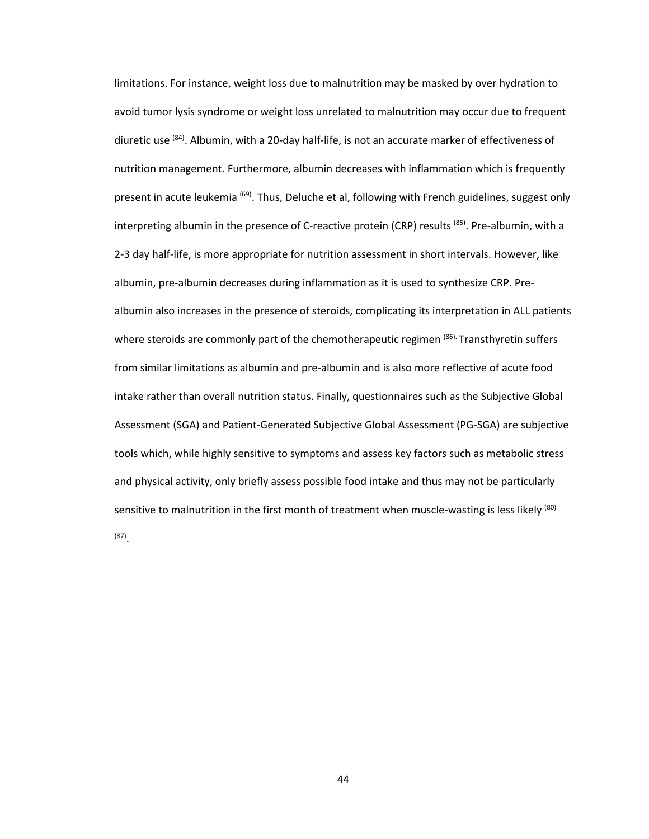limitations. For instance, weight loss due to malnutrition may be masked by over hydration to avoid tumor lysis syndrome or weight loss unrelated to malnutrition may occur due to frequent diuretic use <sup>(84)</sup>. Albumin, with a 20-day half-life, is not an accurate marker of effectiveness of nutrition management. Furthermore, albumin decreases with inflammation which is frequently present in acute leukemia <sup>(69)</sup>. Thus, Deluche et al, following with French guidelines, suggest only interpreting albumin in the presence of C-reactive protein (CRP) results  $^{(85)}$ . Pre-albumin, with a 2-3 day half-life, is more appropriate for nutrition assessment in short intervals. However, like albumin, pre-albumin decreases during inflammation as it is used to synthesize CRP. Prealbumin also increases in the presence of steroids, complicating its interpretation in ALL patients where steroids are commonly part of the chemotherapeutic regimen (86). Transthyretin suffers from similar limitations as albumin and pre-albumin and is also more reflective of acute food intake rather than overall nutrition status. Finally, questionnaires such as the Subjective Global Assessment (SGA) and Patient-Generated Subjective Global Assessment (PG-SGA) are subjective tools which, while highly sensitive to symptoms and assess key factors such as metabolic stress and physical activity, only briefly assess possible food intake and thus may not be particularly sensitive to malnutrition in the first month of treatment when muscle-wasting is less likely  $(80)$ (87) .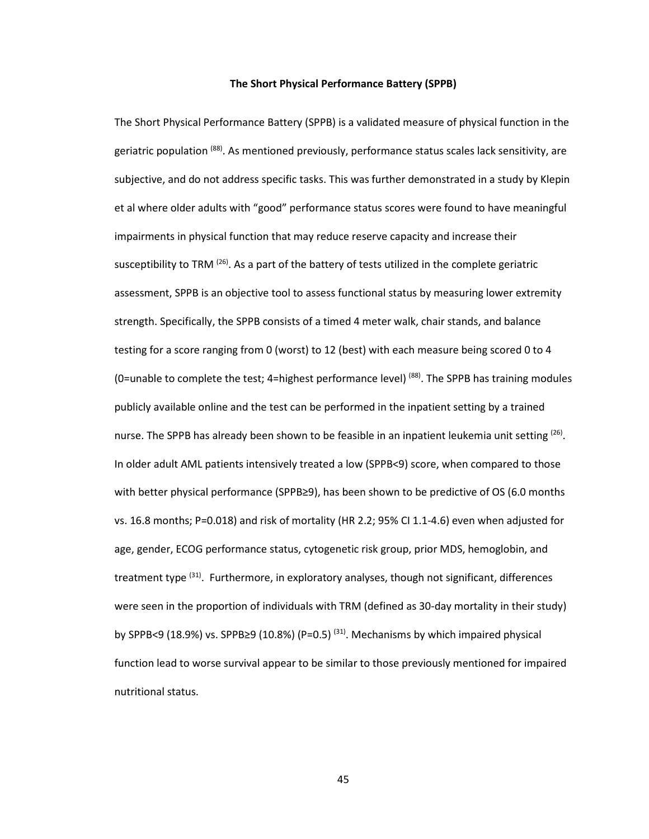### **The Short Physical Performance Battery (SPPB)**

The Short Physical Performance Battery (SPPB) is a validated measure of physical function in the geriatric population <sup>(88)</sup>. As mentioned previously, performance status scales lack sensitivity, are subjective, and do not address specific tasks. This was further demonstrated in a study by Klepin et al where older adults with "good" performance status scores were found to have meaningful impairments in physical function that may reduce reserve capacity and increase their susceptibility to TRM  $(26)$ . As a part of the battery of tests utilized in the complete geriatric assessment, SPPB is an objective tool to assess functional status by measuring lower extremity strength. Specifically, the SPPB consists of a timed 4 meter walk, chair stands, and balance testing for a score ranging from 0 (worst) to 12 (best) with each measure being scored 0 to 4 (0=unable to complete the test; 4=highest performance level)<sup>(88)</sup>. The SPPB has training modules publicly available online and the test can be performed in the inpatient setting by a trained nurse. The SPPB has already been shown to be feasible in an inpatient leukemia unit setting <sup>(26)</sup>. In older adult AML patients intensively treated a low (SPPB<9) score, when compared to those with better physical performance (SPPB≥9), has been shown to be predictive of OS (6.0 months vs. 16.8 months; P=0.018) and risk of mortality (HR 2.2; 95% CI 1.1-4.6) even when adjusted for age, gender, ECOG performance status, cytogenetic risk group, prior MDS, hemoglobin, and treatment type  $(31)$ . Furthermore, in exploratory analyses, though not significant, differences were seen in the proportion of individuals with TRM (defined as 30-day mortality in their study) by SPPB<9 (18.9%) vs. SPPB $\geq$ 9 (10.8%) (P=0.5)<sup>(31)</sup>. Mechanisms by which impaired physical function lead to worse survival appear to be similar to those previously mentioned for impaired nutritional status.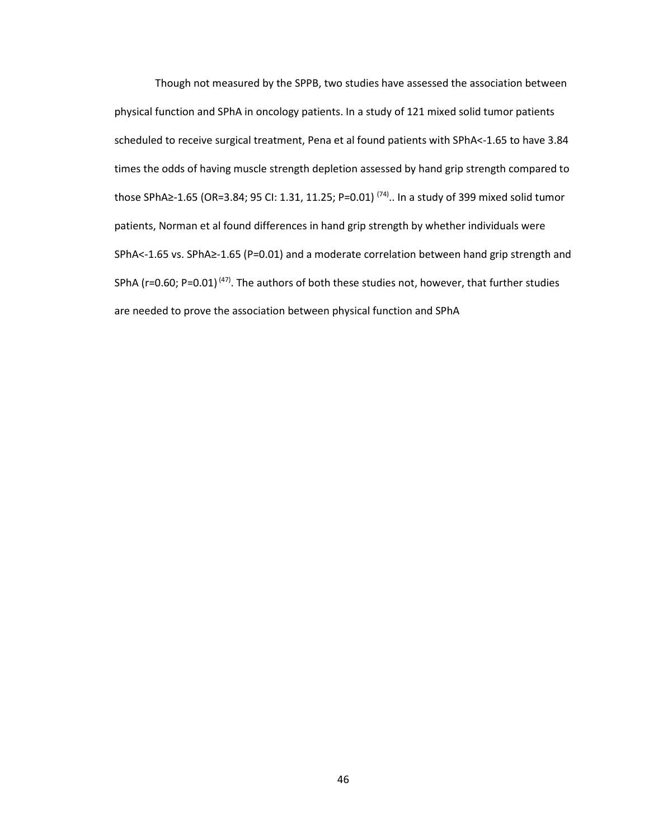Though not measured by the SPPB, two studies have assessed the association between physical function and SPhA in oncology patients. In a study of 121 mixed solid tumor patients scheduled to receive surgical treatment, Pena et al found patients with SPhA<-1.65 to have 3.84 times the odds of having muscle strength depletion assessed by hand grip strength compared to those SPhA≥-1.65 (OR=3.84; 95 CI: 1.31, 11.25; P=0.01)<sup>(74)</sup>.. In a study of 399 mixed solid tumor patients, Norman et al found differences in hand grip strength by whether individuals were SPhA<-1.65 vs. SPhA≥-1.65 (P=0.01) and a moderate correlation between hand grip strength and SPhA ( $r=0.60$ ; P=0.01)<sup>(47)</sup>. The authors of both these studies not, however, that further studies are needed to prove the association between physical function and SPhA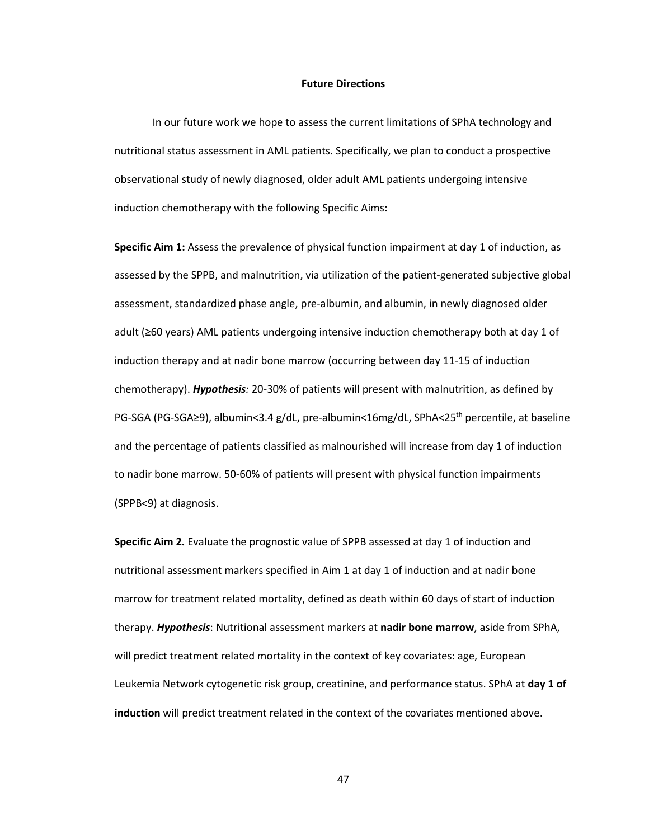#### **Future Directions**

 In our future work we hope to assess the current limitations of SPhA technology and nutritional status assessment in AML patients. Specifically, we plan to conduct a prospective observational study of newly diagnosed, older adult AML patients undergoing intensive induction chemotherapy with the following Specific Aims:

**Specific Aim 1:** Assess the prevalence of physical function impairment at day 1 of induction, as assessed by the SPPB, and malnutrition, via utilization of the patient-generated subjective global assessment, standardized phase angle, pre-albumin, and albumin, in newly diagnosed older adult (≥60 years) AML patients undergoing intensive induction chemotherapy both at day 1 of induction therapy and at nadir bone marrow (occurring between day 11-15 of induction chemotherapy). *Hypothesis:* 20-30% of patients will present with malnutrition, as defined by PG-SGA (PG-SGA≥9), albumin<3.4 g/dL, pre-albumin<16mg/dL, SPhA<25<sup>th</sup> percentile, at baseline and the percentage of patients classified as malnourished will increase from day 1 of induction to nadir bone marrow. 50-60% of patients will present with physical function impairments (SPPB<9) at diagnosis.

**Specific Aim 2.** Evaluate the prognostic value of SPPB assessed at day 1 of induction and nutritional assessment markers specified in Aim 1 at day 1 of induction and at nadir bone marrow for treatment related mortality, defined as death within 60 days of start of induction therapy. *Hypothesis*: Nutritional assessment markers at **nadir bone marrow**, aside from SPhA, will predict treatment related mortality in the context of key covariates: age, European Leukemia Network cytogenetic risk group, creatinine, and performance status. SPhA at **day 1 of induction** will predict treatment related in the context of the covariates mentioned above.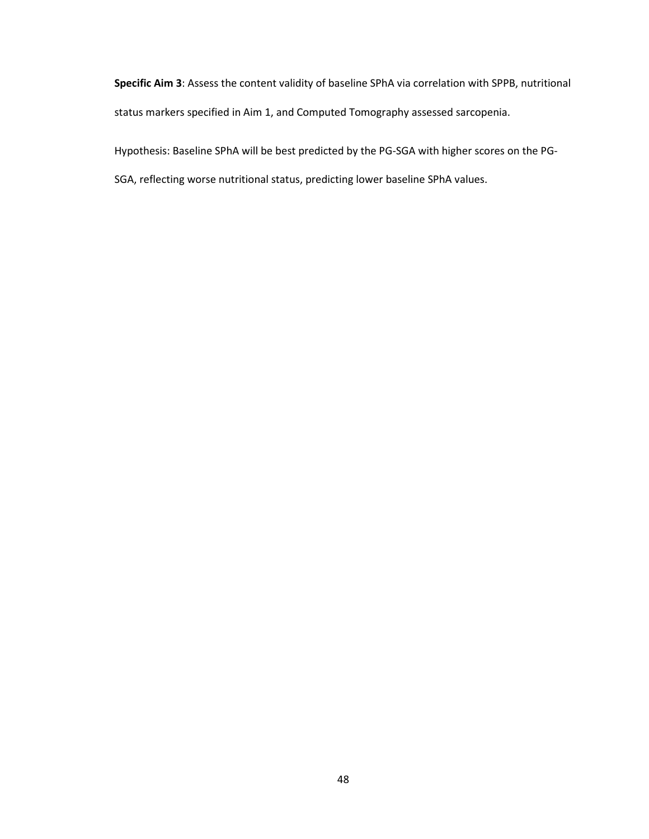**Specific Aim 3**: Assess the content validity of baseline SPhA via correlation with SPPB, nutritional status markers specified in Aim 1, and Computed Tomography assessed sarcopenia.

Hypothesis: Baseline SPhA will be best predicted by the PG-SGA with higher scores on the PG-

SGA, reflecting worse nutritional status, predicting lower baseline SPhA values.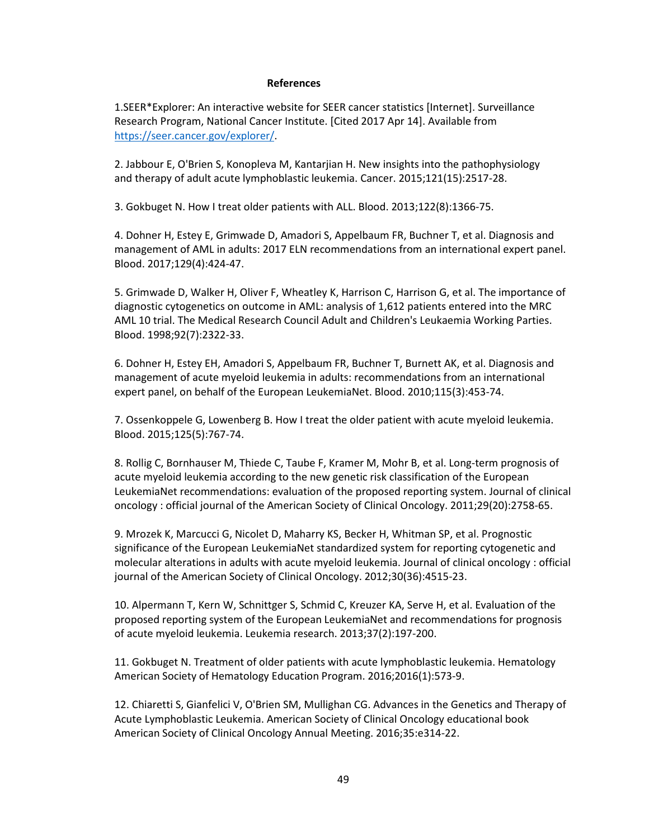## **References**

1.SEER\*Explorer: An interactive website for SEER cancer statistics [Internet]. Surveillance Research Program, National Cancer Institute. [Cited 2017 Apr 14]. Available from https://seer.cancer.gov/explorer/.

2. Jabbour E, O'Brien S, Konopleva M, Kantarjian H. New insights into the pathophysiology and therapy of adult acute lymphoblastic leukemia. Cancer. 2015;121(15):2517-28.

3. Gokbuget N. How I treat older patients with ALL. Blood. 2013;122(8):1366-75.

4. Dohner H, Estey E, Grimwade D, Amadori S, Appelbaum FR, Buchner T, et al. Diagnosis and management of AML in adults: 2017 ELN recommendations from an international expert panel. Blood. 2017;129(4):424-47.

5. Grimwade D, Walker H, Oliver F, Wheatley K, Harrison C, Harrison G, et al. The importance of diagnostic cytogenetics on outcome in AML: analysis of 1,612 patients entered into the MRC AML 10 trial. The Medical Research Council Adult and Children's Leukaemia Working Parties. Blood. 1998;92(7):2322-33.

6. Dohner H, Estey EH, Amadori S, Appelbaum FR, Buchner T, Burnett AK, et al. Diagnosis and management of acute myeloid leukemia in adults: recommendations from an international expert panel, on behalf of the European LeukemiaNet. Blood. 2010;115(3):453-74.

7. Ossenkoppele G, Lowenberg B. How I treat the older patient with acute myeloid leukemia. Blood. 2015;125(5):767-74.

8. Rollig C, Bornhauser M, Thiede C, Taube F, Kramer M, Mohr B, et al. Long-term prognosis of acute myeloid leukemia according to the new genetic risk classification of the European LeukemiaNet recommendations: evaluation of the proposed reporting system. Journal of clinical oncology : official journal of the American Society of Clinical Oncology. 2011;29(20):2758-65.

9. Mrozek K, Marcucci G, Nicolet D, Maharry KS, Becker H, Whitman SP, et al. Prognostic significance of the European LeukemiaNet standardized system for reporting cytogenetic and molecular alterations in adults with acute myeloid leukemia. Journal of clinical oncology : official journal of the American Society of Clinical Oncology. 2012;30(36):4515-23.

10. Alpermann T, Kern W, Schnittger S, Schmid C, Kreuzer KA, Serve H, et al. Evaluation of the proposed reporting system of the European LeukemiaNet and recommendations for prognosis of acute myeloid leukemia. Leukemia research. 2013;37(2):197-200.

11. Gokbuget N. Treatment of older patients with acute lymphoblastic leukemia. Hematology American Society of Hematology Education Program. 2016;2016(1):573-9.

12. Chiaretti S, Gianfelici V, O'Brien SM, Mullighan CG. Advances in the Genetics and Therapy of Acute Lymphoblastic Leukemia. American Society of Clinical Oncology educational book American Society of Clinical Oncology Annual Meeting. 2016;35:e314-22.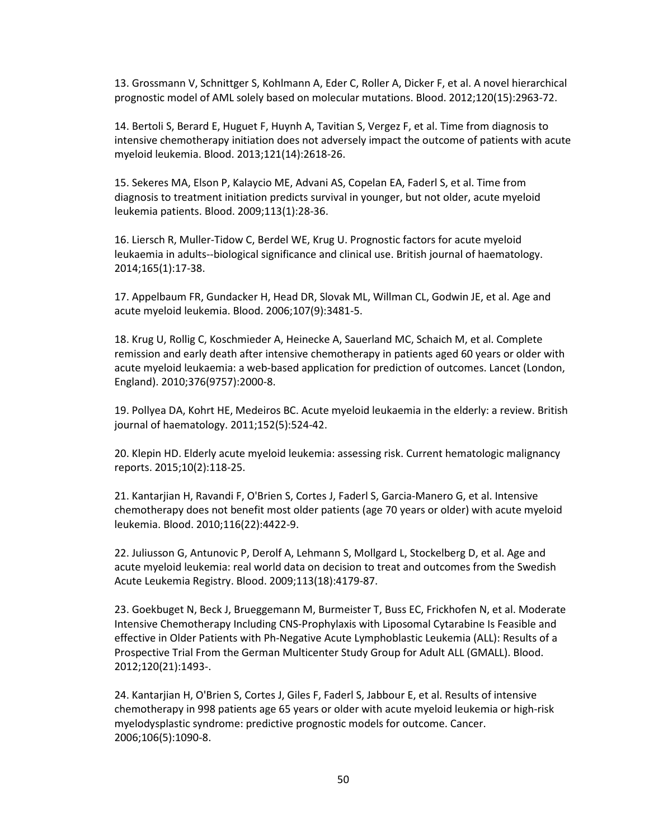13. Grossmann V, Schnittger S, Kohlmann A, Eder C, Roller A, Dicker F, et al. A novel hierarchical prognostic model of AML solely based on molecular mutations. Blood. 2012;120(15):2963-72.

14. Bertoli S, Berard E, Huguet F, Huynh A, Tavitian S, Vergez F, et al. Time from diagnosis to intensive chemotherapy initiation does not adversely impact the outcome of patients with acute myeloid leukemia. Blood. 2013;121(14):2618-26.

15. Sekeres MA, Elson P, Kalaycio ME, Advani AS, Copelan EA, Faderl S, et al. Time from diagnosis to treatment initiation predicts survival in younger, but not older, acute myeloid leukemia patients. Blood. 2009;113(1):28-36.

16. Liersch R, Muller-Tidow C, Berdel WE, Krug U. Prognostic factors for acute myeloid leukaemia in adults--biological significance and clinical use. British journal of haematology. 2014;165(1):17-38.

17. Appelbaum FR, Gundacker H, Head DR, Slovak ML, Willman CL, Godwin JE, et al. Age and acute myeloid leukemia. Blood. 2006;107(9):3481-5.

18. Krug U, Rollig C, Koschmieder A, Heinecke A, Sauerland MC, Schaich M, et al. Complete remission and early death after intensive chemotherapy in patients aged 60 years or older with acute myeloid leukaemia: a web-based application for prediction of outcomes. Lancet (London, England). 2010;376(9757):2000-8.

19. Pollyea DA, Kohrt HE, Medeiros BC. Acute myeloid leukaemia in the elderly: a review. British journal of haematology. 2011;152(5):524-42.

20. Klepin HD. Elderly acute myeloid leukemia: assessing risk. Current hematologic malignancy reports. 2015;10(2):118-25.

21. Kantarjian H, Ravandi F, O'Brien S, Cortes J, Faderl S, Garcia-Manero G, et al. Intensive chemotherapy does not benefit most older patients (age 70 years or older) with acute myeloid leukemia. Blood. 2010;116(22):4422-9.

22. Juliusson G, Antunovic P, Derolf A, Lehmann S, Mollgard L, Stockelberg D, et al. Age and acute myeloid leukemia: real world data on decision to treat and outcomes from the Swedish Acute Leukemia Registry. Blood. 2009;113(18):4179-87.

23. Goekbuget N, Beck J, Brueggemann M, Burmeister T, Buss EC, Frickhofen N, et al. Moderate Intensive Chemotherapy Including CNS-Prophylaxis with Liposomal Cytarabine Is Feasible and effective in Older Patients with Ph-Negative Acute Lymphoblastic Leukemia (ALL): Results of a Prospective Trial From the German Multicenter Study Group for Adult ALL (GMALL). Blood. 2012;120(21):1493-.

24. Kantarjian H, O'Brien S, Cortes J, Giles F, Faderl S, Jabbour E, et al. Results of intensive chemotherapy in 998 patients age 65 years or older with acute myeloid leukemia or high-risk myelodysplastic syndrome: predictive prognostic models for outcome. Cancer. 2006;106(5):1090-8.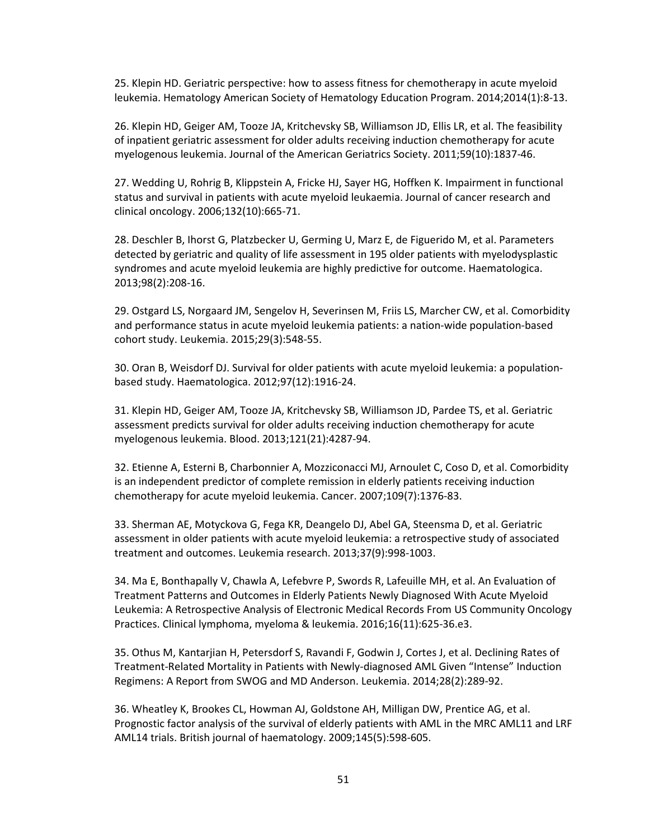25. Klepin HD. Geriatric perspective: how to assess fitness for chemotherapy in acute myeloid leukemia. Hematology American Society of Hematology Education Program. 2014;2014(1):8-13.

26. Klepin HD, Geiger AM, Tooze JA, Kritchevsky SB, Williamson JD, Ellis LR, et al. The feasibility of inpatient geriatric assessment for older adults receiving induction chemotherapy for acute myelogenous leukemia. Journal of the American Geriatrics Society. 2011;59(10):1837-46.

27. Wedding U, Rohrig B, Klippstein A, Fricke HJ, Sayer HG, Hoffken K. Impairment in functional status and survival in patients with acute myeloid leukaemia. Journal of cancer research and clinical oncology. 2006;132(10):665-71.

28. Deschler B, Ihorst G, Platzbecker U, Germing U, Marz E, de Figuerido M, et al. Parameters detected by geriatric and quality of life assessment in 195 older patients with myelodysplastic syndromes and acute myeloid leukemia are highly predictive for outcome. Haematologica. 2013;98(2):208-16.

29. Ostgard LS, Norgaard JM, Sengelov H, Severinsen M, Friis LS, Marcher CW, et al. Comorbidity and performance status in acute myeloid leukemia patients: a nation-wide population-based cohort study. Leukemia. 2015;29(3):548-55.

30. Oran B, Weisdorf DJ. Survival for older patients with acute myeloid leukemia: a populationbased study. Haematologica. 2012;97(12):1916-24.

31. Klepin HD, Geiger AM, Tooze JA, Kritchevsky SB, Williamson JD, Pardee TS, et al. Geriatric assessment predicts survival for older adults receiving induction chemotherapy for acute myelogenous leukemia. Blood. 2013;121(21):4287-94.

32. Etienne A, Esterni B, Charbonnier A, Mozziconacci MJ, Arnoulet C, Coso D, et al. Comorbidity is an independent predictor of complete remission in elderly patients receiving induction chemotherapy for acute myeloid leukemia. Cancer. 2007;109(7):1376-83.

33. Sherman AE, Motyckova G, Fega KR, Deangelo DJ, Abel GA, Steensma D, et al. Geriatric assessment in older patients with acute myeloid leukemia: a retrospective study of associated treatment and outcomes. Leukemia research. 2013;37(9):998-1003.

34. Ma E, Bonthapally V, Chawla A, Lefebvre P, Swords R, Lafeuille MH, et al. An Evaluation of Treatment Patterns and Outcomes in Elderly Patients Newly Diagnosed With Acute Myeloid Leukemia: A Retrospective Analysis of Electronic Medical Records From US Community Oncology Practices. Clinical lymphoma, myeloma & leukemia. 2016;16(11):625-36.e3.

35. Othus M, Kantarjian H, Petersdorf S, Ravandi F, Godwin J, Cortes J, et al. Declining Rates of Treatment-Related Mortality in Patients with Newly-diagnosed AML Given "Intense" Induction Regimens: A Report from SWOG and MD Anderson. Leukemia. 2014;28(2):289-92.

36. Wheatley K, Brookes CL, Howman AJ, Goldstone AH, Milligan DW, Prentice AG, et al. Prognostic factor analysis of the survival of elderly patients with AML in the MRC AML11 and LRF AML14 trials. British journal of haematology. 2009;145(5):598-605.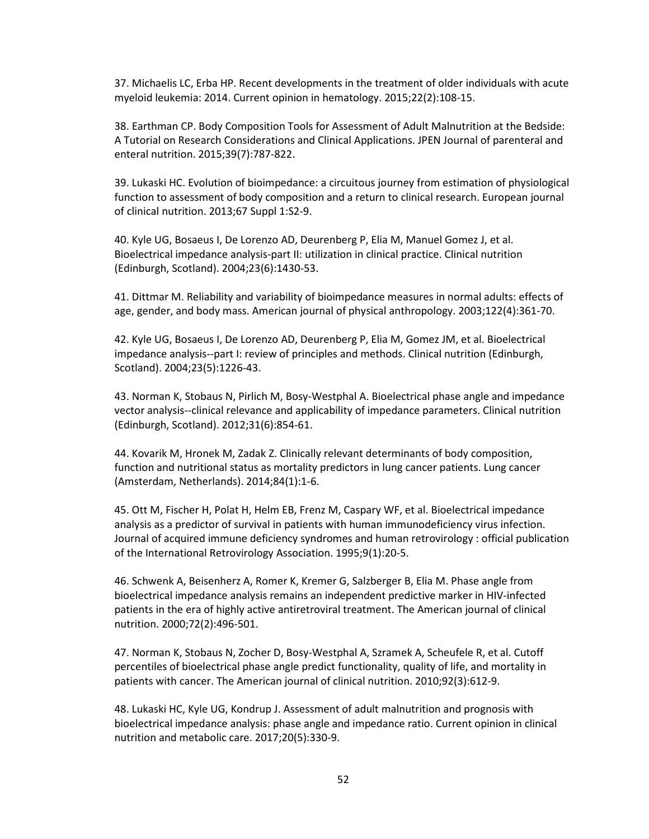37. Michaelis LC, Erba HP. Recent developments in the treatment of older individuals with acute myeloid leukemia: 2014. Current opinion in hematology. 2015;22(2):108-15.

38. Earthman CP. Body Composition Tools for Assessment of Adult Malnutrition at the Bedside: A Tutorial on Research Considerations and Clinical Applications. JPEN Journal of parenteral and enteral nutrition. 2015;39(7):787-822.

39. Lukaski HC. Evolution of bioimpedance: a circuitous journey from estimation of physiological function to assessment of body composition and a return to clinical research. European journal of clinical nutrition. 2013;67 Suppl 1:S2-9.

40. Kyle UG, Bosaeus I, De Lorenzo AD, Deurenberg P, Elia M, Manuel Gomez J, et al. Bioelectrical impedance analysis-part II: utilization in clinical practice. Clinical nutrition (Edinburgh, Scotland). 2004;23(6):1430-53.

41. Dittmar M. Reliability and variability of bioimpedance measures in normal adults: effects of age, gender, and body mass. American journal of physical anthropology. 2003;122(4):361-70.

42. Kyle UG, Bosaeus I, De Lorenzo AD, Deurenberg P, Elia M, Gomez JM, et al. Bioelectrical impedance analysis--part I: review of principles and methods. Clinical nutrition (Edinburgh, Scotland). 2004;23(5):1226-43.

43. Norman K, Stobaus N, Pirlich M, Bosy-Westphal A. Bioelectrical phase angle and impedance vector analysis--clinical relevance and applicability of impedance parameters. Clinical nutrition (Edinburgh, Scotland). 2012;31(6):854-61.

44. Kovarik M, Hronek M, Zadak Z. Clinically relevant determinants of body composition, function and nutritional status as mortality predictors in lung cancer patients. Lung cancer (Amsterdam, Netherlands). 2014;84(1):1-6.

45. Ott M, Fischer H, Polat H, Helm EB, Frenz M, Caspary WF, et al. Bioelectrical impedance analysis as a predictor of survival in patients with human immunodeficiency virus infection. Journal of acquired immune deficiency syndromes and human retrovirology : official publication of the International Retrovirology Association. 1995;9(1):20-5.

46. Schwenk A, Beisenherz A, Romer K, Kremer G, Salzberger B, Elia M. Phase angle from bioelectrical impedance analysis remains an independent predictive marker in HIV-infected patients in the era of highly active antiretroviral treatment. The American journal of clinical nutrition. 2000;72(2):496-501.

47. Norman K, Stobaus N, Zocher D, Bosy-Westphal A, Szramek A, Scheufele R, et al. Cutoff percentiles of bioelectrical phase angle predict functionality, quality of life, and mortality in patients with cancer. The American journal of clinical nutrition. 2010;92(3):612-9.

48. Lukaski HC, Kyle UG, Kondrup J. Assessment of adult malnutrition and prognosis with bioelectrical impedance analysis: phase angle and impedance ratio. Current opinion in clinical nutrition and metabolic care. 2017;20(5):330-9.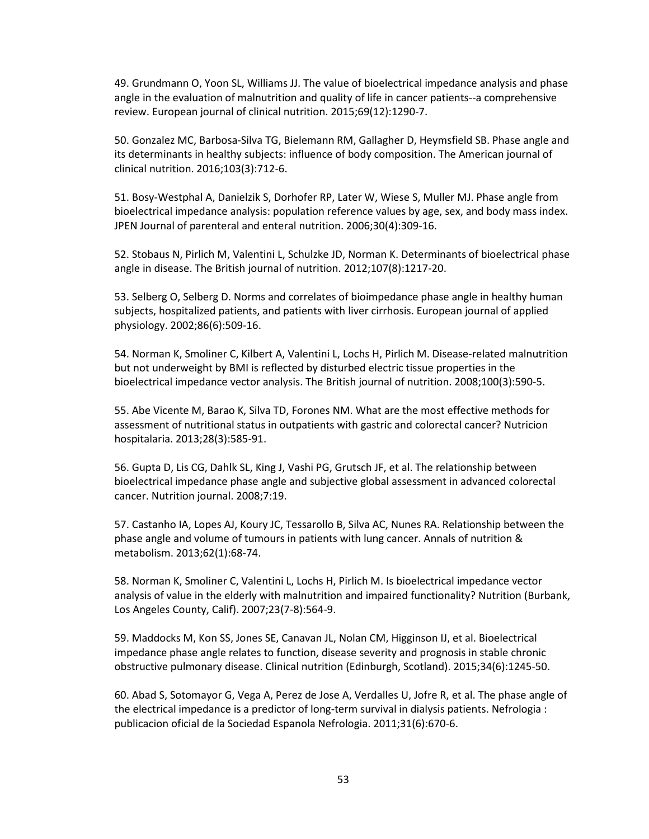49. Grundmann O, Yoon SL, Williams JJ. The value of bioelectrical impedance analysis and phase angle in the evaluation of malnutrition and quality of life in cancer patients--a comprehensive review. European journal of clinical nutrition. 2015;69(12):1290-7.

50. Gonzalez MC, Barbosa-Silva TG, Bielemann RM, Gallagher D, Heymsfield SB. Phase angle and its determinants in healthy subjects: influence of body composition. The American journal of clinical nutrition. 2016;103(3):712-6.

51. Bosy-Westphal A, Danielzik S, Dorhofer RP, Later W, Wiese S, Muller MJ. Phase angle from bioelectrical impedance analysis: population reference values by age, sex, and body mass index. JPEN Journal of parenteral and enteral nutrition. 2006;30(4):309-16.

52. Stobaus N, Pirlich M, Valentini L, Schulzke JD, Norman K. Determinants of bioelectrical phase angle in disease. The British journal of nutrition. 2012;107(8):1217-20.

53. Selberg O, Selberg D. Norms and correlates of bioimpedance phase angle in healthy human subjects, hospitalized patients, and patients with liver cirrhosis. European journal of applied physiology. 2002;86(6):509-16.

54. Norman K, Smoliner C, Kilbert A, Valentini L, Lochs H, Pirlich M. Disease-related malnutrition but not underweight by BMI is reflected by disturbed electric tissue properties in the bioelectrical impedance vector analysis. The British journal of nutrition. 2008;100(3):590-5.

55. Abe Vicente M, Barao K, Silva TD, Forones NM. What are the most effective methods for assessment of nutritional status in outpatients with gastric and colorectal cancer? Nutricion hospitalaria. 2013;28(3):585-91.

56. Gupta D, Lis CG, Dahlk SL, King J, Vashi PG, Grutsch JF, et al. The relationship between bioelectrical impedance phase angle and subjective global assessment in advanced colorectal cancer. Nutrition journal. 2008;7:19.

57. Castanho IA, Lopes AJ, Koury JC, Tessarollo B, Silva AC, Nunes RA. Relationship between the phase angle and volume of tumours in patients with lung cancer. Annals of nutrition & metabolism. 2013;62(1):68-74.

58. Norman K, Smoliner C, Valentini L, Lochs H, Pirlich M. Is bioelectrical impedance vector analysis of value in the elderly with malnutrition and impaired functionality? Nutrition (Burbank, Los Angeles County, Calif). 2007;23(7-8):564-9.

59. Maddocks M, Kon SS, Jones SE, Canavan JL, Nolan CM, Higginson IJ, et al. Bioelectrical impedance phase angle relates to function, disease severity and prognosis in stable chronic obstructive pulmonary disease. Clinical nutrition (Edinburgh, Scotland). 2015;34(6):1245-50.

60. Abad S, Sotomayor G, Vega A, Perez de Jose A, Verdalles U, Jofre R, et al. The phase angle of the electrical impedance is a predictor of long-term survival in dialysis patients. Nefrologia : publicacion oficial de la Sociedad Espanola Nefrologia. 2011;31(6):670-6.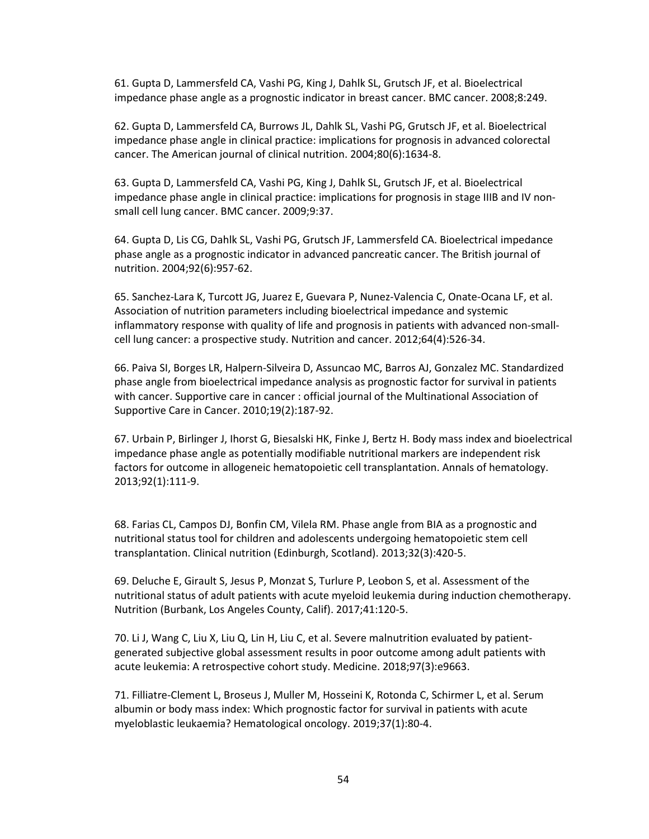61. Gupta D, Lammersfeld CA, Vashi PG, King J, Dahlk SL, Grutsch JF, et al. Bioelectrical impedance phase angle as a prognostic indicator in breast cancer. BMC cancer. 2008;8:249.

62. Gupta D, Lammersfeld CA, Burrows JL, Dahlk SL, Vashi PG, Grutsch JF, et al. Bioelectrical impedance phase angle in clinical practice: implications for prognosis in advanced colorectal cancer. The American journal of clinical nutrition. 2004;80(6):1634-8.

63. Gupta D, Lammersfeld CA, Vashi PG, King J, Dahlk SL, Grutsch JF, et al. Bioelectrical impedance phase angle in clinical practice: implications for prognosis in stage IIIB and IV nonsmall cell lung cancer. BMC cancer. 2009;9:37.

64. Gupta D, Lis CG, Dahlk SL, Vashi PG, Grutsch JF, Lammersfeld CA. Bioelectrical impedance phase angle as a prognostic indicator in advanced pancreatic cancer. The British journal of nutrition. 2004;92(6):957-62.

65. Sanchez-Lara K, Turcott JG, Juarez E, Guevara P, Nunez-Valencia C, Onate-Ocana LF, et al. Association of nutrition parameters including bioelectrical impedance and systemic inflammatory response with quality of life and prognosis in patients with advanced non-smallcell lung cancer: a prospective study. Nutrition and cancer. 2012;64(4):526-34.

66. Paiva SI, Borges LR, Halpern-Silveira D, Assuncao MC, Barros AJ, Gonzalez MC. Standardized phase angle from bioelectrical impedance analysis as prognostic factor for survival in patients with cancer. Supportive care in cancer : official journal of the Multinational Association of Supportive Care in Cancer. 2010;19(2):187-92.

67. Urbain P, Birlinger J, Ihorst G, Biesalski HK, Finke J, Bertz H. Body mass index and bioelectrical impedance phase angle as potentially modifiable nutritional markers are independent risk factors for outcome in allogeneic hematopoietic cell transplantation. Annals of hematology. 2013;92(1):111-9.

68. Farias CL, Campos DJ, Bonfin CM, Vilela RM. Phase angle from BIA as a prognostic and nutritional status tool for children and adolescents undergoing hematopoietic stem cell transplantation. Clinical nutrition (Edinburgh, Scotland). 2013;32(3):420-5.

69. Deluche E, Girault S, Jesus P, Monzat S, Turlure P, Leobon S, et al. Assessment of the nutritional status of adult patients with acute myeloid leukemia during induction chemotherapy. Nutrition (Burbank, Los Angeles County, Calif). 2017;41:120-5.

70. Li J, Wang C, Liu X, Liu Q, Lin H, Liu C, et al. Severe malnutrition evaluated by patientgenerated subjective global assessment results in poor outcome among adult patients with acute leukemia: A retrospective cohort study. Medicine. 2018;97(3):e9663.

71. Filliatre-Clement L, Broseus J, Muller M, Hosseini K, Rotonda C, Schirmer L, et al. Serum albumin or body mass index: Which prognostic factor for survival in patients with acute myeloblastic leukaemia? Hematological oncology. 2019;37(1):80-4.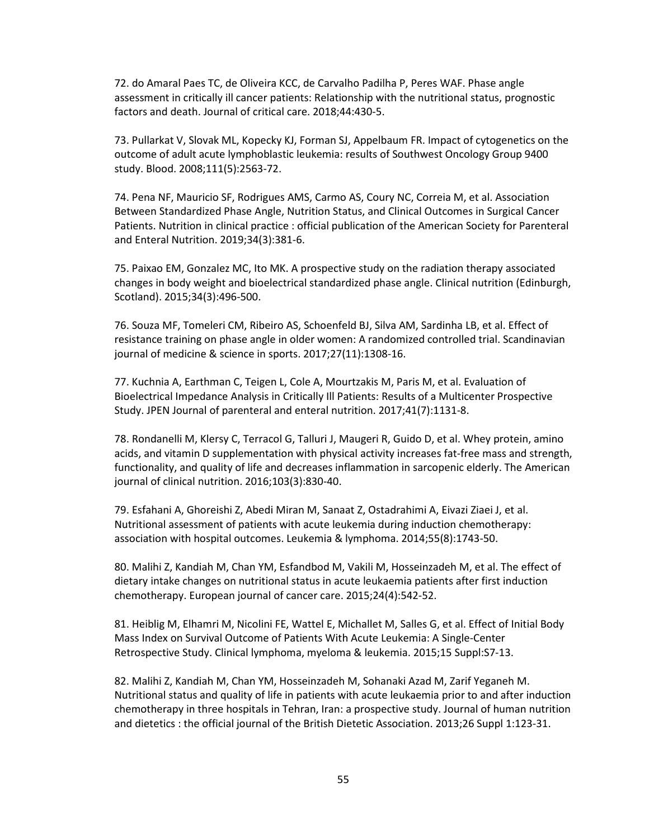72. do Amaral Paes TC, de Oliveira KCC, de Carvalho Padilha P, Peres WAF. Phase angle assessment in critically ill cancer patients: Relationship with the nutritional status, prognostic factors and death. Journal of critical care. 2018;44:430-5.

73. Pullarkat V, Slovak ML, Kopecky KJ, Forman SJ, Appelbaum FR. Impact of cytogenetics on the outcome of adult acute lymphoblastic leukemia: results of Southwest Oncology Group 9400 study. Blood. 2008;111(5):2563-72.

74. Pena NF, Mauricio SF, Rodrigues AMS, Carmo AS, Coury NC, Correia M, et al. Association Between Standardized Phase Angle, Nutrition Status, and Clinical Outcomes in Surgical Cancer Patients. Nutrition in clinical practice : official publication of the American Society for Parenteral and Enteral Nutrition. 2019;34(3):381-6.

75. Paixao EM, Gonzalez MC, Ito MK. A prospective study on the radiation therapy associated changes in body weight and bioelectrical standardized phase angle. Clinical nutrition (Edinburgh, Scotland). 2015;34(3):496-500.

76. Souza MF, Tomeleri CM, Ribeiro AS, Schoenfeld BJ, Silva AM, Sardinha LB, et al. Effect of resistance training on phase angle in older women: A randomized controlled trial. Scandinavian journal of medicine & science in sports. 2017;27(11):1308-16.

77. Kuchnia A, Earthman C, Teigen L, Cole A, Mourtzakis M, Paris M, et al. Evaluation of Bioelectrical Impedance Analysis in Critically Ill Patients: Results of a Multicenter Prospective Study. JPEN Journal of parenteral and enteral nutrition. 2017;41(7):1131-8.

78. Rondanelli M, Klersy C, Terracol G, Talluri J, Maugeri R, Guido D, et al. Whey protein, amino acids, and vitamin D supplementation with physical activity increases fat-free mass and strength, functionality, and quality of life and decreases inflammation in sarcopenic elderly. The American journal of clinical nutrition. 2016;103(3):830-40.

79. Esfahani A, Ghoreishi Z, Abedi Miran M, Sanaat Z, Ostadrahimi A, Eivazi Ziaei J, et al. Nutritional assessment of patients with acute leukemia during induction chemotherapy: association with hospital outcomes. Leukemia & lymphoma. 2014;55(8):1743-50.

80. Malihi Z, Kandiah M, Chan YM, Esfandbod M, Vakili M, Hosseinzadeh M, et al. The effect of dietary intake changes on nutritional status in acute leukaemia patients after first induction chemotherapy. European journal of cancer care. 2015;24(4):542-52.

81. Heiblig M, Elhamri M, Nicolini FE, Wattel E, Michallet M, Salles G, et al. Effect of Initial Body Mass Index on Survival Outcome of Patients With Acute Leukemia: A Single-Center Retrospective Study. Clinical lymphoma, myeloma & leukemia. 2015;15 Suppl:S7-13.

82. Malihi Z, Kandiah M, Chan YM, Hosseinzadeh M, Sohanaki Azad M, Zarif Yeganeh M. Nutritional status and quality of life in patients with acute leukaemia prior to and after induction chemotherapy in three hospitals in Tehran, Iran: a prospective study. Journal of human nutrition and dietetics : the official journal of the British Dietetic Association. 2013;26 Suppl 1:123-31.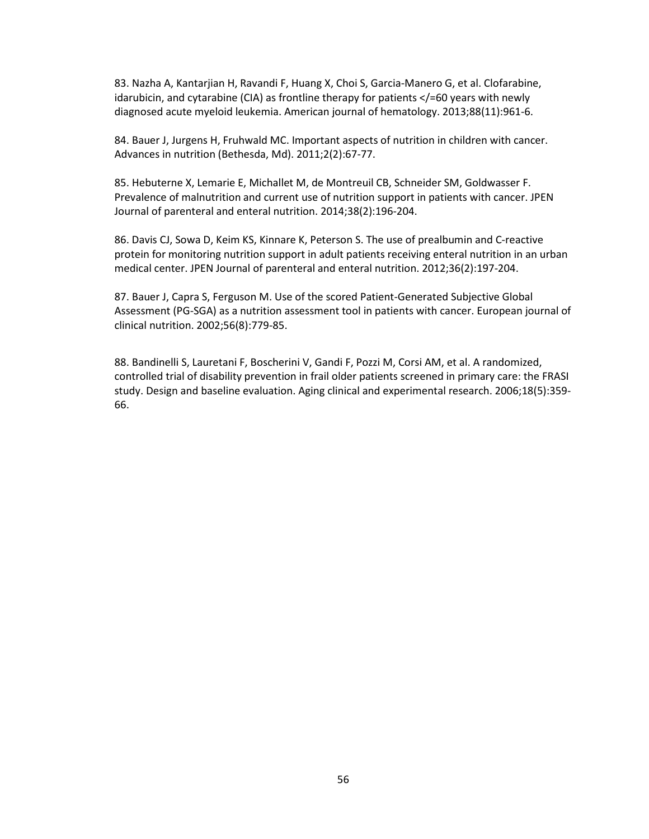83. Nazha A, Kantarjian H, Ravandi F, Huang X, Choi S, Garcia-Manero G, et al. Clofarabine, idarubicin, and cytarabine (CIA) as frontline therapy for patients </=60 years with newly diagnosed acute myeloid leukemia. American journal of hematology. 2013;88(11):961-6.

84. Bauer J, Jurgens H, Fruhwald MC. Important aspects of nutrition in children with cancer. Advances in nutrition (Bethesda, Md). 2011;2(2):67-77.

85. Hebuterne X, Lemarie E, Michallet M, de Montreuil CB, Schneider SM, Goldwasser F. Prevalence of malnutrition and current use of nutrition support in patients with cancer. JPEN Journal of parenteral and enteral nutrition. 2014;38(2):196-204.

86. Davis CJ, Sowa D, Keim KS, Kinnare K, Peterson S. The use of prealbumin and C-reactive protein for monitoring nutrition support in adult patients receiving enteral nutrition in an urban medical center. JPEN Journal of parenteral and enteral nutrition. 2012;36(2):197-204.

87. Bauer J, Capra S, Ferguson M. Use of the scored Patient-Generated Subjective Global Assessment (PG-SGA) as a nutrition assessment tool in patients with cancer. European journal of clinical nutrition. 2002;56(8):779-85.

88. Bandinelli S, Lauretani F, Boscherini V, Gandi F, Pozzi M, Corsi AM, et al. A randomized, controlled trial of disability prevention in frail older patients screened in primary care: the FRASI study. Design and baseline evaluation. Aging clinical and experimental research. 2006;18(5):359- 66.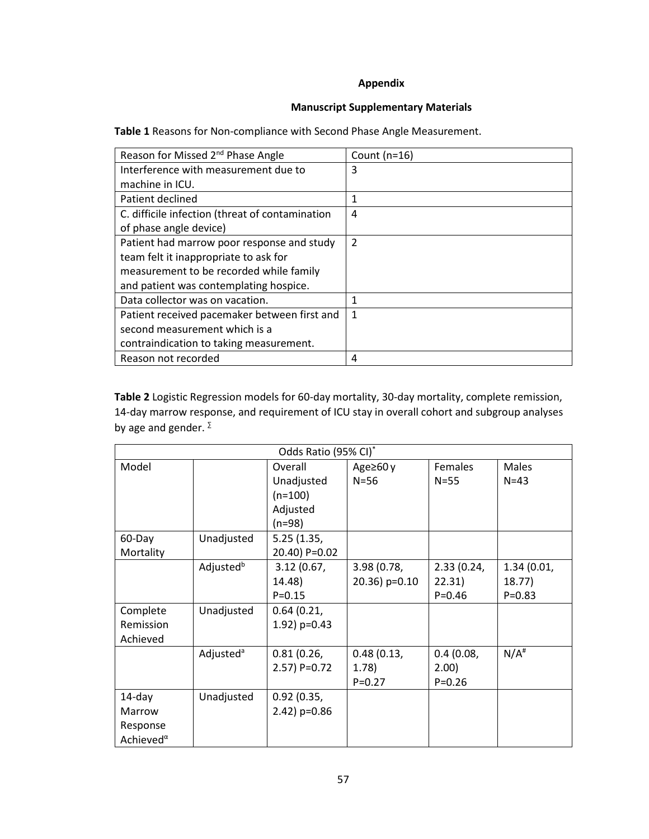# **Appendix**

# **Manuscript Supplementary Materials**

**Table 1** Reasons for Non-compliance with Second Phase Angle Measurement.

| Reason for Missed 2 <sup>nd</sup> Phase Angle   | Count $(n=16)$ |
|-------------------------------------------------|----------------|
| Interference with measurement due to            | 3              |
| machine in ICU.                                 |                |
| Patient declined                                |                |
| C. difficile infection (threat of contamination | 4              |
| of phase angle device)                          |                |
| Patient had marrow poor response and study      | 2              |
| team felt it inappropriate to ask for           |                |
| measurement to be recorded while family         |                |
| and patient was contemplating hospice.          |                |
| Data collector was on vacation.                 |                |
| Patient received pacemaker between first and    | 1              |
| second measurement which is a                   |                |
| contraindication to taking measurement.         |                |
| Reason not recorded                             | 4              |

**Table 2** Logistic Regression models for 60-day mortality, 30-day mortality, complete remission, 14-day marrow response, and requirement of ICU stay in overall cohort and subgroup analyses by age and gender.  $\Sigma$ 

| Odds Ratio (95% CI)*                    |                       |                 |                |            |                    |
|-----------------------------------------|-----------------------|-----------------|----------------|------------|--------------------|
| Model                                   |                       | Overall         | Age $\geq 60y$ | Females    | <b>Males</b>       |
|                                         |                       | Unadjusted      | $N=56$         | $N=55$     | $N = 43$           |
|                                         |                       | $(n=100)$       |                |            |                    |
|                                         |                       | Adjusted        |                |            |                    |
|                                         |                       | $(n=98)$        |                |            |                    |
| 60-Day                                  | Unadjusted            | 5.25(1.35,      |                |            |                    |
| Mortality                               |                       | 20.40) P=0.02   |                |            |                    |
|                                         | Adjusted <sup>b</sup> | 3.12(0.67)      | 3.98(0.78,     | 2.33(0.24, | 1.34(0.01,         |
|                                         |                       | 14.48)          | 20.36) p=0.10  | 22.31)     | 18.77              |
|                                         |                       | $P = 0.15$      |                | $P = 0.46$ | $P = 0.83$         |
| Complete                                | Unadjusted            | 0.64(0.21,      |                |            |                    |
| Remission                               |                       | 1.92) $p=0.43$  |                |            |                    |
| Achieved                                |                       |                 |                |            |                    |
|                                         | Adjusted <sup>a</sup> | 0.81(0.26,      | 0.48(0.13,     | 0.4(0.08,  | $N/A$ <sup>#</sup> |
|                                         |                       | $2.57$ ) P=0.72 | (1.78)         | 2.00)      |                    |
|                                         |                       |                 | $P = 0.27$     | $P = 0.26$ |                    |
| $14$ -day                               | Unadjusted            | 0.92(0.35,      |                |            |                    |
| Marrow                                  |                       | $2.42$ ) p=0.86 |                |            |                    |
| Response                                |                       |                 |                |            |                    |
| Achieved <sup><math>\alpha</math></sup> |                       |                 |                |            |                    |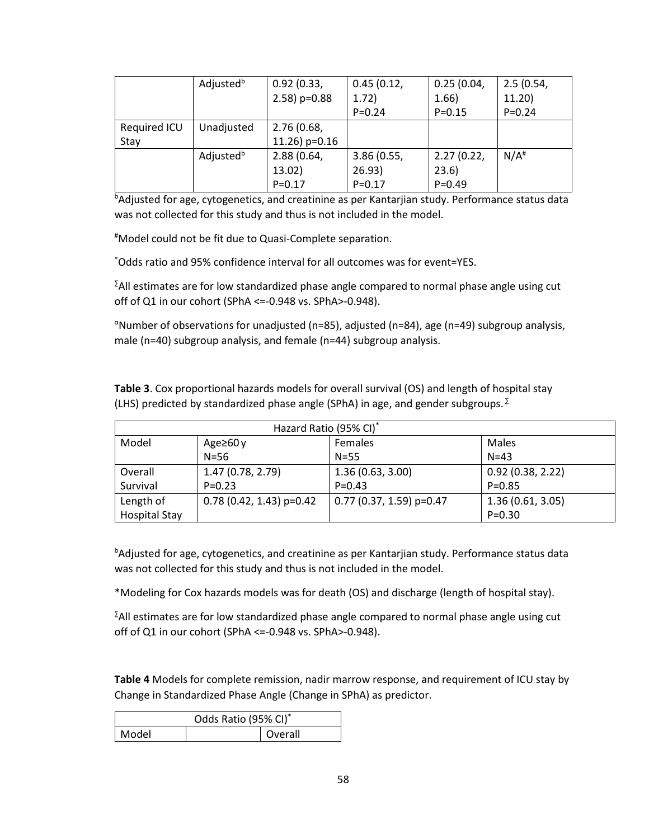|              | Adjusted <sup>b</sup> | 0.92(0.33,      | 0.45(0.12, | 0.25(0.04, | 2.5(0.54,          |
|--------------|-----------------------|-----------------|------------|------------|--------------------|
|              |                       | $2.58$ ) p=0.88 | 1.72)      | 1.66)      | 11.20              |
|              |                       |                 | $P = 0.24$ | $P = 0.15$ | $P = 0.24$         |
| Required ICU | Unadjusted            | 2.76(0.68,      |            |            |                    |
| Stay         |                       | 11.26) $p=0.16$ |            |            |                    |
|              | Adjusted <sup>b</sup> | 2.88(0.64,      | 3.86(0.55, | 2.27(0.22, | $N/A$ <sup>#</sup> |
|              |                       | 13.02)          | 26.93)     | 23.6)      |                    |
|              |                       | $P = 0.17$      | $P = 0.17$ | $P = 0.49$ |                    |

**bAdjusted for age, cytogenetics, and creatinine as per Kantarjian study. Performance status data** was not collected for this study and thus is not included in the model.

#Model could not be fit due to Quasi-Complete separation.

\*Odds ratio and 95% confidence interval for all outcomes was for event=YES.

 $\Sigma$ All estimates are for low standardized phase angle compared to normal phase angle using cut off of Q1 in our cohort (SPhA <=-0.948 vs. SPhA>-0.948).

<sup>α</sup>Number of observations for unadjusted (n=85), adjusted (n=84), age (n=49) subgroup analysis, male (n=40) subgroup analysis, and female (n=44) subgroup analysis.

**Table 3**. Cox proportional hazards models for overall survival (OS) and length of hospital stay (LHS) predicted by standardized phase angle (SPhA) in age, and gender subgroups.  $\Sigma$ 

| Hazard Ratio (95% CI) <sup>*</sup> |                            |                            |                  |  |  |
|------------------------------------|----------------------------|----------------------------|------------------|--|--|
| Model                              | Age $\geq 60y$             | <b>Females</b>             | Males            |  |  |
|                                    | $N=56$                     | $N=55$                     | $N = 43$         |  |  |
| Overall                            | 1.47(0.78, 2.79)           | 1.36(0.63, 3.00)           | 0.92(0.38, 2.22) |  |  |
| Survival                           | $P = 0.23$                 | $P = 0.43$                 | $P = 0.85$       |  |  |
| Length of                          | $0.78$ (0.42, 1.43) p=0.42 | $0.77$ (0.37, 1.59) p=0.47 | 1.36(0.61, 3.05) |  |  |
| <b>Hospital Stay</b>               |                            |                            | $P = 0.30$       |  |  |

<sup>b</sup>Adjusted for age, cytogenetics, and creatinine as per Kantarjian study. Performance status data was not collected for this study and thus is not included in the model.

\*Modeling for Cox hazards models was for death (OS) and discharge (length of hospital stay).

 $\Sigma$ All estimates are for low standardized phase angle compared to normal phase angle using cut off of Q1 in our cohort (SPhA <=-0.948 vs. SPhA>-0.948).

**Table 4** Models for complete remission, nadir marrow response, and requirement of ICU stay by Change in Standardized Phase Angle (Change in SPhA) as predictor.

| Odds Ratio (95% CI)* |  |         |
|----------------------|--|---------|
| Model                |  | Overall |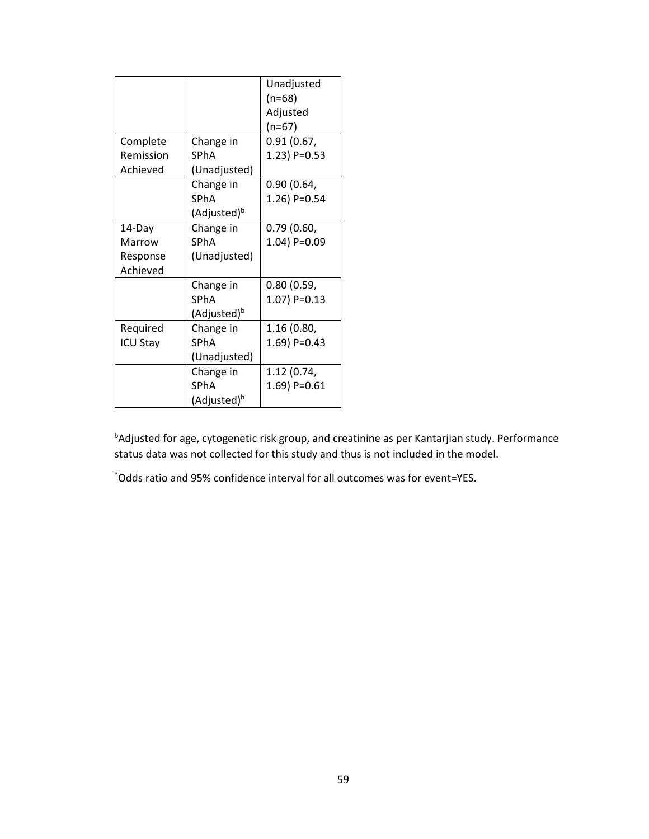|                 |                         | Unadjusted      |
|-----------------|-------------------------|-----------------|
|                 |                         | $(n=68)$        |
|                 |                         | Adjusted        |
|                 |                         | $(n=67)$        |
| Complete        | Change in               | 0.91 (0.67,     |
| Remission       | <b>SPhA</b>             | 1.23) P=0.53    |
| Achieved        | (Unadjusted)            |                 |
|                 | Change in               | 0.90 (0.64,     |
|                 | <b>SPhA</b>             | 1.26) P=0.54    |
|                 | (Adjusted) <sup>b</sup> |                 |
| 14-Day          | Change in               | 0.79(0.60,      |
| Marrow          | <b>SPhA</b>             | $1.04$ ) P=0.09 |
| Response        | (Unadjusted)            |                 |
| Achieved        |                         |                 |
|                 | Change in               | 0.80(0.59,      |
|                 | <b>SPhA</b>             | $1.07$ ) P=0.13 |
|                 | (Adjusted) <sup>b</sup> |                 |
| Required        | Change in               | 1.16 (0.80,     |
| <b>ICU Stay</b> | <b>SPhA</b>             | 1.69) P=0.43    |
|                 | (Unadjusted)            |                 |
|                 | Change in               | 1.12 (0.74,     |
|                 | <b>SPhA</b>             | 1.69) P=0.61    |
|                 | (Adjusted) <sup>b</sup> |                 |

bAdjusted for age, cytogenetic risk group, and creatinine as per Kantarjian study. Performance status data was not collected for this study and thus is not included in the model.

\*Odds ratio and 95% confidence interval for all outcomes was for event=YES.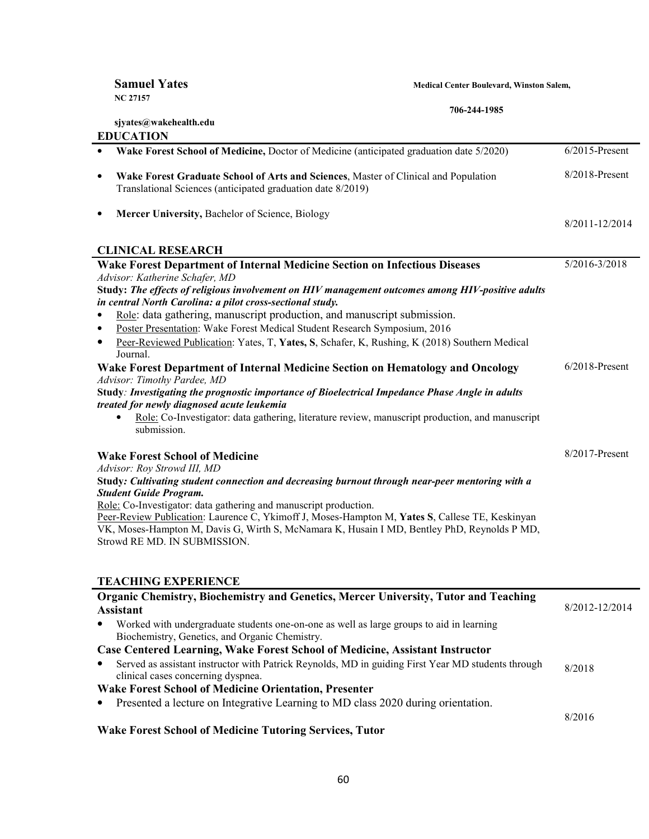| <b>Samuel Yates</b><br><b>NC 27157</b>                                                                                                                              | Medical Center Boulevard, Winston Salem, |                   |
|---------------------------------------------------------------------------------------------------------------------------------------------------------------------|------------------------------------------|-------------------|
|                                                                                                                                                                     | 706-244-1985                             |                   |
| sjyates@wakehealth.edu                                                                                                                                              |                                          |                   |
| <b>EDUCATION</b>                                                                                                                                                    |                                          |                   |
| Wake Forest School of Medicine, Doctor of Medicine (anticipated graduation date 5/2020)<br>٠                                                                        |                                          | $6/2015$ -Present |
| Wake Forest Graduate School of Arts and Sciences, Master of Clinical and Population<br>$\bullet$<br>Translational Sciences (anticipated graduation date 8/2019)     |                                          | 8/2018-Present    |
| Mercer University, Bachelor of Science, Biology<br>$\bullet$                                                                                                        |                                          | 8/2011-12/2014    |
| <b>CLINICAL RESEARCH</b>                                                                                                                                            |                                          |                   |
| Wake Forest Department of Internal Medicine Section on Infectious Diseases                                                                                          |                                          | 5/2016-3/2018     |
| Advisor: Katherine Schafer, MD                                                                                                                                      |                                          |                   |
| Study: The effects of religious involvement on HIV management outcomes among HIV-positive adults                                                                    |                                          |                   |
| in central North Carolina: a pilot cross-sectional study.                                                                                                           |                                          |                   |
| Role: data gathering, manuscript production, and manuscript submission.<br>Poster Presentation: Wake Forest Medical Student Research Symposium, 2016<br>٠           |                                          |                   |
| Peer-Reviewed Publication: Yates, T, Yates, S, Schafer, K, Rushing, K (2018) Southern Medical<br>٠                                                                  |                                          |                   |
| Journal.                                                                                                                                                            |                                          |                   |
| Wake Forest Department of Internal Medicine Section on Hematology and Oncology                                                                                      |                                          | $6/2018$ -Present |
| Advisor: Timothy Pardee, MD                                                                                                                                         |                                          |                   |
| Study: Investigating the prognostic importance of Bioelectrical Impedance Phase Angle in adults                                                                     |                                          |                   |
| treated for newly diagnosed acute leukemia                                                                                                                          |                                          |                   |
| Role: Co-Investigator: data gathering, literature review, manuscript production, and manuscript<br>submission.                                                      |                                          |                   |
| <b>Wake Forest School of Medicine</b>                                                                                                                               |                                          | 8/2017-Present    |
| Advisor: Roy Strowd III, MD                                                                                                                                         |                                          |                   |
| Study: Cultivating student connection and decreasing burnout through near-peer mentoring with a                                                                     |                                          |                   |
| <b>Student Guide Program.</b>                                                                                                                                       |                                          |                   |
| Role: Co-Investigator: data gathering and manuscript production.<br>Peer-Review Publication: Laurence C, Ykimoff J, Moses-Hampton M, Yates S, Callese TE, Keskinyan |                                          |                   |
| VK, Moses-Hampton M, Davis G, Wirth S, McNamara K, Husain I MD, Bentley PhD, Reynolds P MD,                                                                         |                                          |                   |
| Strowd RE MD. IN SUBMISSION.                                                                                                                                        |                                          |                   |
|                                                                                                                                                                     |                                          |                   |
|                                                                                                                                                                     |                                          |                   |
| <b>TEACHING EXPERIENCE</b>                                                                                                                                          |                                          |                   |
| Organic Chemistry, Biochemistry and Genetics, Mercer University, Tutor and Teaching                                                                                 |                                          |                   |
| <b>Assistant</b>                                                                                                                                                    |                                          | 8/2012-12/2014    |
| Worked with undergraduate students one-on-one as well as large groups to aid in learning<br>Biochemistry, Genetics, and Organic Chemistry.                          |                                          |                   |
| <b>Case Centered Learning, Wake Forest School of Medicine, Assistant Instructor</b>                                                                                 |                                          |                   |
| Served as assistant instructor with Patrick Reynolds, MD in guiding First Year MD students through<br>clinical cases concerning dyspnea.                            |                                          | 8/2018            |

# **Wake Forest School of Medicine Orientation, Presenter**

• Presented a lecture on Integrative Learning to MD class 2020 during orientation.

8/2016

# **Wake Forest School of Medicine Tutoring Services, Tutor**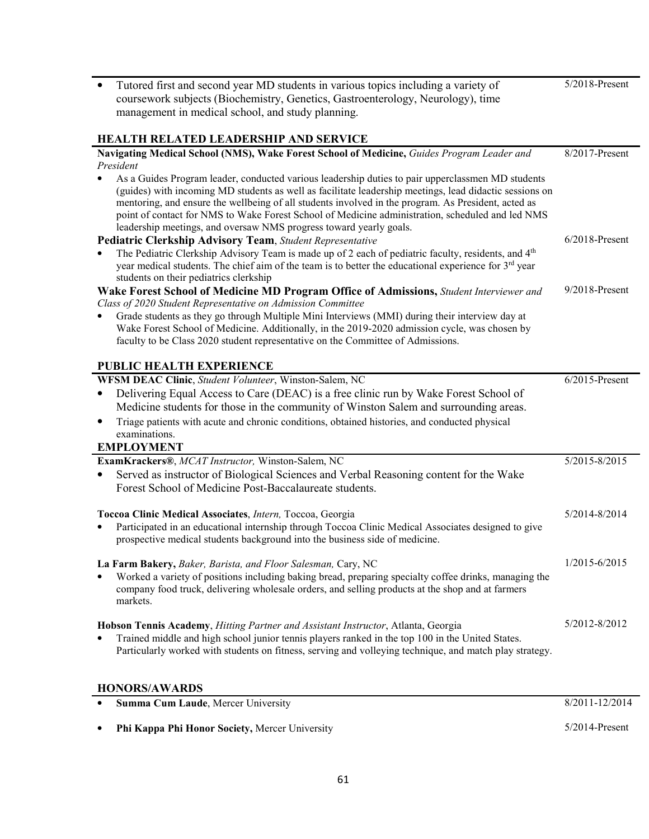| Tutored first and second year MD students in various topics including a variety of<br>$\bullet$                                                                                                              | 5/2018-Present    |
|--------------------------------------------------------------------------------------------------------------------------------------------------------------------------------------------------------------|-------------------|
| coursework subjects (Biochemistry, Genetics, Gastroenterology, Neurology), time                                                                                                                              |                   |
| management in medical school, and study planning.                                                                                                                                                            |                   |
|                                                                                                                                                                                                              |                   |
| <b>HEALTH RELATED LEADERSHIP AND SERVICE</b>                                                                                                                                                                 |                   |
| Navigating Medical School (NMS), Wake Forest School of Medicine, Guides Program Leader and                                                                                                                   | 8/2017-Present    |
| President                                                                                                                                                                                                    |                   |
| As a Guides Program leader, conducted various leadership duties to pair upperclassmen MD students<br>(guides) with incoming MD students as well as facilitate leadership meetings, lead didactic sessions on |                   |
| mentoring, and ensure the wellbeing of all students involved in the program. As President, acted as                                                                                                          |                   |
| point of contact for NMS to Wake Forest School of Medicine administration, scheduled and led NMS                                                                                                             |                   |
| leadership meetings, and oversaw NMS progress toward yearly goals.                                                                                                                                           |                   |
| <b>Pediatric Clerkship Advisory Team, Student Representative</b>                                                                                                                                             | $6/2018$ -Present |
| The Pediatric Clerkship Advisory Team is made up of 2 each of pediatric faculty, residents, and 4 <sup>th</sup>                                                                                              |                   |
| year medical students. The chief aim of the team is to better the educational experience for $3rd$ year                                                                                                      |                   |
| students on their pediatrics clerkship                                                                                                                                                                       |                   |
| Wake Forest School of Medicine MD Program Office of Admissions, Student Interviewer and                                                                                                                      | $9/2018$ -Present |
| Class of 2020 Student Representative on Admission Committee                                                                                                                                                  |                   |
| Grade students as they go through Multiple Mini Interviews (MMI) during their interview day at                                                                                                               |                   |
| Wake Forest School of Medicine. Additionally, in the 2019-2020 admission cycle, was chosen by                                                                                                                |                   |
| faculty to be Class 2020 student representative on the Committee of Admissions.                                                                                                                              |                   |
| <b>PUBLIC HEALTH EXPERIENCE</b>                                                                                                                                                                              |                   |
| WFSM DEAC Clinic, Student Volunteer, Winston-Salem, NC                                                                                                                                                       | $6/2015$ -Present |
| Delivering Equal Access to Care (DEAC) is a free clinic run by Wake Forest School of<br>$\bullet$                                                                                                            |                   |
| Medicine students for those in the community of Winston Salem and surrounding areas.                                                                                                                         |                   |
|                                                                                                                                                                                                              |                   |
| Triage patients with acute and chronic conditions, obtained histories, and conducted physical<br>٠<br>examinations.                                                                                          |                   |
| <b>EMPLOYMENT</b>                                                                                                                                                                                            |                   |
| ExamKrackers®, MCAT Instructor, Winston-Salem, NC                                                                                                                                                            | 5/2015-8/2015     |
| Served as instructor of Biological Sciences and Verbal Reasoning content for the Wake<br>٠                                                                                                                   |                   |
| Forest School of Medicine Post-Baccalaureate students.                                                                                                                                                       |                   |
|                                                                                                                                                                                                              |                   |
| Toccoa Clinic Medical Associates, Intern, Toccoa, Georgia                                                                                                                                                    | 5/2014-8/2014     |
| Participated in an educational internship through Toccoa Clinic Medical Associates designed to give<br>٠                                                                                                     |                   |
| prospective medical students background into the business side of medicine.                                                                                                                                  |                   |
|                                                                                                                                                                                                              |                   |
| La Farm Bakery, Baker, Barista, and Floor Salesman, Cary, NC                                                                                                                                                 | $1/2015 - 6/2015$ |
| Worked a variety of positions including baking bread, preparing specialty coffee drinks, managing the                                                                                                        |                   |
| company food truck, delivering wholesale orders, and selling products at the shop and at farmers                                                                                                             |                   |
| markets.                                                                                                                                                                                                     |                   |
| Hobson Tennis Academy, Hitting Partner and Assistant Instructor, Atlanta, Georgia                                                                                                                            | 5/2012-8/2012     |
| Trained middle and high school junior tennis players ranked in the top 100 in the United States.                                                                                                             |                   |
| Particularly worked with students on fitness, serving and volleying technique, and match play strategy.                                                                                                      |                   |
|                                                                                                                                                                                                              |                   |
|                                                                                                                                                                                                              |                   |
| <b>HONORS/AWARDS</b>                                                                                                                                                                                         | 0/2011.12/20      |

| <b>Summa Cum Laude, Mercer University</b>      | 8/2011-12/2014    |
|------------------------------------------------|-------------------|
| Phi Kappa Phi Honor Society, Mercer University | $5/2014$ -Present |